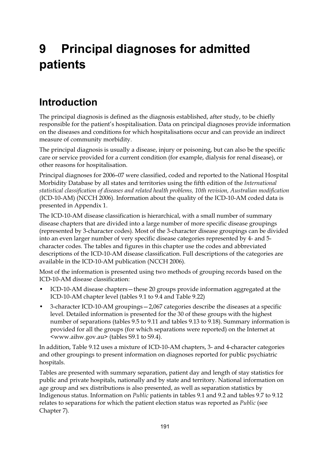# **9 Principal diagnoses for admitted patients**

# **Introduction**

The principal diagnosis is defined as the diagnosis established, after study, to be chiefly responsible for the patient's hospitalisation. Data on principal diagnoses provide information on the diseases and conditions for which hospitalisations occur and can provide an indirect measure of community morbidity.

The principal diagnosis is usually a disease, injury or poisoning, but can also be the specific care or service provided for a current condition (for example, dialysis for renal disease), or other reasons for hospitalisation.

Principal diagnoses for 2006–07 were classified, coded and reported to the National Hospital Morbidity Database by all states and territories using the fifth edition of the *International statistical classification of diseases and related health problems, 10th revision, Australian modification* (ICD-10-AM) (NCCH 2006). Information about the quality of the ICD-10-AM coded data is presented in Appendix 1.

The ICD-10-AM disease classification is hierarchical, with a small number of summary disease chapters that are divided into a large number of more specific disease groupings (represented by 3-character codes). Most of the 3-character disease groupings can be divided into an even larger number of very specific disease categories represented by 4- and 5 character codes. The tables and figures in this chapter use the codes and abbreviated descriptions of the ICD-10-AM disease classification. Full descriptions of the categories are available in the ICD-10-AM publication (NCCH 2006).

Most of the information is presented using two methods of grouping records based on the ICD-10-AM disease classification:

- ICD-10-AM disease chapters—these 20 groups provide information aggregated at the ICD-10-AM chapter level (tables 9.1 to 9.4 and Table 9.22)
- 3-character ICD-10-AM groupings—2,067 categories describe the diseases at a specific level. Detailed information is presented for the 30 of these groups with the highest number of separations (tables 9.5 to 9.11 and tables 9.13 to 9.18). Summary information is provided for all the groups (for which separations were reported) on the Internet at <www.aihw.gov.au> (tables S9.1 to S9.4).

In addition, Table 9.12 uses a mixture of ICD-10-AM chapters, 3- and 4-character categories and other groupings to present information on diagnoses reported for public psychiatric hospitals.

Tables are presented with summary separation, patient day and length of stay statistics for public and private hospitals, nationally and by state and territory. National information on age group and sex distributions is also presented, as well as separation statistics by Indigenous status. Information on *Public* patients in tables 9.1 and 9.2 and tables 9.7 to 9.12 relates to separations for which the patient election status was reported as *Public* (see Chapter 7).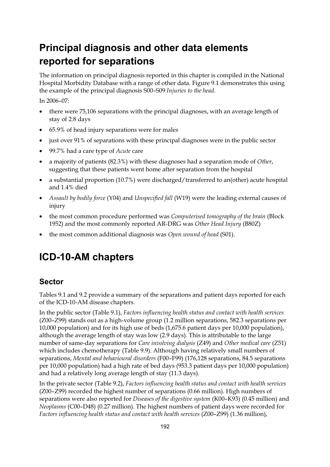# **Principal diagnosis and other data elements reported for separations**

The information on principal diagnosis reported in this chapter is compiled in the National Hospital Morbidity Database with a range of other data. Figure 9.1 demonstrates this using the example of the principal diagnosis S00–S09 *Injuries to the head*.

In 2006–07:

- there were 75,106 separations with the principal diagnoses, with an average length of stay of 2.8 days
- 65.9% of head injury separations were for males
- just over 91% of separations with these principal diagnoses were in the public sector
- 99.7% had a care type of *Acute* care
- a majority of patients (82.3%) with these diagnoses had a separation mode of *Other*, suggesting that these patients went home after separation from the hospital
- a substantial proportion (10.7%) were discharged/transferred to an(other) acute hospital and 1.4% died
- *Assault by bodily force* (Y04) and *Unspecified fall* (W19) were the leading external causes of injury
- the most common procedure performed was *Computerised tomography of the brain* (Block 1952) and the most commonly reported AR-DRG was *Other Head Injury* (B80Z)
- the most common additional diagnosis was *Open wound of head* (S01).

### **ICD-10-AM chapters**

#### **Sector**

Tables 9.1 and 9.2 provide a summary of the separations and patient days reported for each of the ICD-10-AM disease chapters.

In the public sector (Table 9.1), *Factors influencing health status and contact with health services* (Z00–Z99) stands out as a high-volume group (1.2 million separations, 582.3 separations per 10,000 population) and for its high use of beds (1,675.6 patient days per 10,000 population), although the average length of stay was low (2.9 days). This is attributable to the large number of same-day separations for *Care involving dialysis* (Z49) and *Other medical care* (Z51) which includes chemotherapy (Table 9.9). Although having relatively small numbers of separations, *Mental and behavioural disorders* (F00–F99) (176,128 separations, 84.5 separations per 10,000 population) had a high rate of bed days (953.3 patient days per 10,000 population) and had a relatively long average length of stay (11.3 days).

In the private sector (Table 9.2), *Factors influencing health status and contact with health services* (Z00–Z99) recorded the highest number of separations (0.66 million). High numbers of separations were also reported for *Diseases of the digestive system* (K00–K93) (0.45 million) and *Neoplasms* (C00–D48) (0.27 million). The highest numbers of patient days were recorded for *Factors influencing health status and contact with health services* (Z00–Z99) (1.36 million),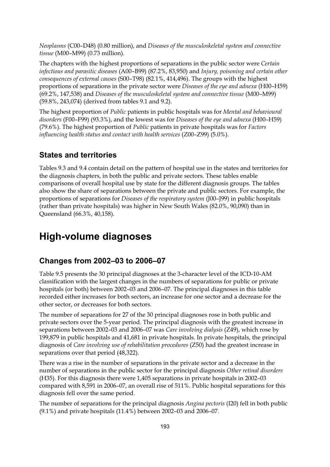*Neoplasms* (C00–D48) (0.80 million), and *Diseases of the musculoskeletal system and connective tissue* (M00–M99) (0.73 million).

The chapters with the highest proportions of separations in the public sector were *Certain infectious and parasitic diseases* (A00–B99) (87.2%, 83,950) and *Injury, poisoning and certain other consequences of external causes* (S00–T98) (82.1%, 414,496). The groups with the highest proportions of separations in the private sector were *Diseases of the eye and adnexa* (H00–H59) (69.2%, 147,538) and *Diseases of the musculoskeletal system and connective tissue* (M00–M99) (59.8%, 243,074) (derived from tables 9.1 and 9.2).

The highest proportion of *Public* patients in public hospitals was for *Mental and behavioural disorders* (F00–F99) (93.3%), and the lowest was for *Diseases of the eye and adnexa* (H00–H59) (79.6%). The highest proportion of *Public* patients in private hospitals was for *Factors influencing health status and contact with health services* (Z00–Z99) (5.0%).

#### **States and territories**

Tables 9.3 and 9.4 contain detail on the pattern of hospital use in the states and territories for the diagnosis chapters, in both the public and private sectors. These tables enable comparisons of overall hospital use by state for the different diagnosis groups. The tables also show the share of separations between the private and public sectors. For example, the proportions of separations for *Diseases of the respiratory system* (J00–J99) in public hospitals (rather than private hospitals) was higher in New South Wales (82.0%, 90,090) than in Queensland (66.3%, 40,158).

### **High-volume diagnoses**

#### **Changes from 2002–03 to 2006–07**

Table 9.5 presents the 30 principal diagnoses at the 3-character level of the ICD-10-AM classification with the largest changes in the numbers of separations for public or private hospitals (or both) between 2002–03 and 2006–07. The principal diagnoses in this table recorded either increases for both sectors, an increase for one sector and a decrease for the other sector, or decreases for both sectors.

The number of separations for 27 of the 30 principal diagnoses rose in both public and private sectors over the 5-year period. The principal diagnosis with the greatest increase in separations between 2002–03 and 2006–07 was *Care involving dialysis* (Z49), which rose by 199,879 in public hospitals and 41,681 in private hospitals. In private hospitals, the principal diagnosis of *Care involving use of rehabilitation procedures* (Z50) had the greatest increase in separations over that period (48,322).

There was a rise in the number of separations in the private sector and a decrease in the number of separations in the public sector for the principal diagnosis *Other retinal disorders* (H35). For this diagnosis there were 1,405 separations in private hospitals in 2002–03 compared with 8,591 in 2006–07, an overall rise of 511%. Public hospital separations for this diagnosis fell over the same period.

The number of separations for the principal diagnosis *Angina pectoris* (I20) fell in both public (9.1%) and private hospitals (11.4%) between 2002–03 and 2006–07.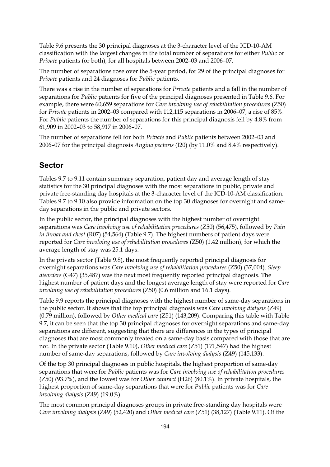Table 9.6 presents the 30 principal diagnoses at the 3-character level of the ICD-10-AM classification with the largest changes in the total number of separations for either *Public* or *Private* patients (or both), for all hospitals between 2002–03 and 2006–07.

The number of separations rose over the 5-year period, for 29 of the principal diagnoses for *Private* patients and 24 diagnoses for *Public* patients.

There was a rise in the number of separations for *Private* patients and a fall in the number of separations for *Public* patients for five of the principal diagnoses presented in Table 9.6. For example, there were 60,659 separations for *Care involving use of rehabilitation procedures* (Z50) for *Private* patients in 2002–03 compared with 112,115 separations in 2006–07, a rise of 85%. For *Public* patients the number of separations for this principal diagnosis fell by 4.8% from 61,909 in 2002–03 to 58,917 in 2006–07.

The number of separations fell for both *Private* and *Public* patients between 2002–03 and 2006–07 for the principal diagnosis *Angina pectoris* (I20) (by 11.0% and 8.4% respectively).

#### **Sector**

Tables 9.7 to 9.11 contain summary separation, patient day and average length of stay statistics for the 30 principal diagnoses with the most separations in public, private and private free-standing day hospitals at the 3-character level of the ICD-10-AM classification. Tables 9.7 to 9.10 also provide information on the top 30 diagnoses for overnight and sameday separations in the public and private sectors.

In the public sector, the principal diagnoses with the highest number of overnight separations was *Care involving use of rehabilitation procedures* (Z50) (56,475), followed by *Pain in throat and chest* (R07) (54,564) (Table 9.7). The highest numbers of patient days were reported for *Care involving use of rehabilitation procedures* (Z50) (1.42 million), for which the average length of stay was 25.1 days.

In the private sector (Table 9.8), the most frequently reported principal diagnosis for overnight separations was *Care involving use of rehabilitation procedures* (Z50) (37,004). *Sleep disorders* (G47) (35,487) was the next most frequently reported principal diagnosis. The highest number of patient days and the longest average length of stay were reported for *Care involving use of rehabilitation procedures* (Z50) (0.6 million and 16.1 days).

Table 9.9 reports the principal diagnoses with the highest number of same-day separations in the public sector. It shows that the top principal diagnosis was *Care involving dialysis* (Z49) (0.79 million), followed by *Other medical care* (Z51) (143,209). Comparing this table with Table 9.7, it can be seen that the top 30 principal diagnoses for overnight separations and same-day separations are different, suggesting that there are differences in the types of principal diagnoses that are most commonly treated on a same-day basis compared with those that are not. In the private sector (Table 9.10), *Other medical care* (Z51) (171,547) had the highest number of same-day separations, followed by *Care involving dialysis* (Z49) (145,133).

Of the top 30 principal diagnoses in public hospitals, the highest proportion of same-day separations that were for *Public* patients was for *Care involving use of rehabilitation procedures*  (Z50) (93.7%), and the lowest was for *Other cataract* (H26) (80.1%). In private hospitals, the highest proportion of same-day separations that were for *Public* patients was for *Care involving dialysis* (Z49) (19.0%).

The most common principal diagnoses groups in private free-standing day hospitals were *Care involving dialysis* (Z49) (52,420) and *Other medical care* (Z51) (38,127) (Table 9.11). Of the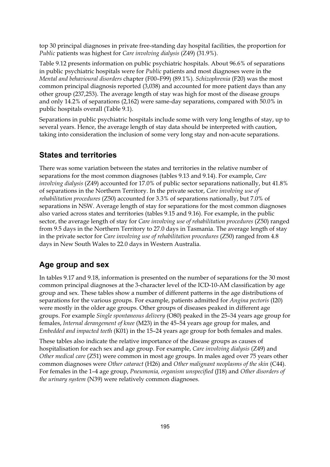top 30 principal diagnoses in private free-standing day hospital facilities, the proportion for *Public* patients was highest for *Care involving dialysis* (Z49) (31.9%).

Table 9.12 presents information on public psychiatric hospitals. About 96.6% of separations in public psychiatric hospitals were for *Public* patients and most diagnoses were in the *Mental and behavioural disorders* chapter (F00–F99) (89.1%). *Schizophrenia* (F20) was the most common principal diagnosis reported (3,038) and accounted for more patient days than any other group (237,253). The average length of stay was high for most of the disease groups and only 14.2% of separations (2,162) were same-day separations, compared with 50.0% in public hospitals overall (Table 9.1).

Separations in public psychiatric hospitals include some with very long lengths of stay, up to several years. Hence, the average length of stay data should be interpreted with caution, taking into consideration the inclusion of some very long stay and non-acute separations.

#### **States and territories**

There was some variation between the states and territories in the relative number of separations for the most common diagnoses (tables 9.13 and 9.14). For example, *Care involving dialysis* (Z49) accounted for 17.0% of public sector separations nationally, but 41.8% of separations in the Northern Territory. In the private sector, *Care involving use of rehabilitation procedures* (Z50) accounted for 3.3% of separations nationally, but 7.0% of separations in NSW. Average length of stay for separations for the most common diagnoses also varied across states and territories (tables 9.15 and 9.16). For example, in the public sector, the average length of stay for *Care involving use of rehabilitation procedures* (Z50) ranged from 9.5 days in the Northern Territory to 27.0 days in Tasmania. The average length of stay in the private sector for *Care involving use of rehabilitation procedures* (Z50) ranged from 4.8 days in New South Wales to 22.0 days in Western Australia.

#### **Age group and sex**

In tables 9.17 and 9.18, information is presented on the number of separations for the 30 most common principal diagnoses at the 3-character level of the ICD-10-AM classification by age group and sex. These tables show a number of different patterns in the age distributions of separations for the various groups. For example, patients admitted for *Angina pectoris* (I20) were mostly in the older age groups. Other groups of diseases peaked in different age groups. For example *Single spontaneous delivery* (O80) peaked in the 25–34 years age group for females, *Internal derangement of knee* (M23) in the 45–54 years age group for males, and *Embedded and impacted teeth* (K01) in the 15–24 years age group for both females and males.

These tables also indicate the relative importance of the disease groups as causes of hospitalisation for each sex and age group. For example, *Care involving dialysis* (Z49) and *Other medical care* (Z51) were common in most age groups. In males aged over 75 years other common diagnoses were *Other cataract* (H26) and *Other malignant neoplasms of the skin* (C44). For females in the 1–4 age group, *Pneumonia, organism unspecified* (J18) and *Other disorders of the urinary system* (N39) were relatively common diagnoses.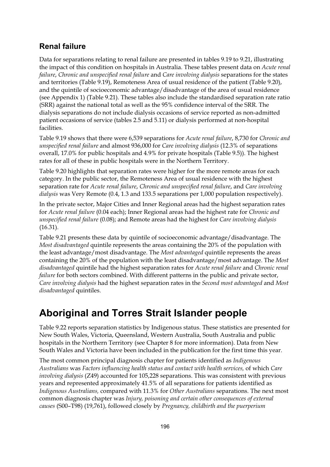#### **Renal failure**

Data for separations relating to renal failure are presented in tables 9.19 to 9.21, illustrating the impact of this condition on hospitals in Australia. These tables present data on *Acute renal failure*, *Chronic and unspecified renal failure* and *Care involving dialysis* separations for the states and territories (Table 9.19), Remoteness Area of usual residence of the patient (Table 9.20), and the quintile of socioeconomic advantage/disadvantage of the area of usual residence (see Appendix 1) (Table 9.21). These tables also include the standardised separation rate ratio (SRR) against the national total as well as the 95% confidence interval of the SRR. The dialysis separations do not include dialysis occasions of service reported as non-admitted patient occasions of service (tables 2.5 and 5.11) or dialysis performed at non-hospital facilities.

Table 9.19 shows that there were 6,539 separations for *Acute renal failure*, 8,730 for *Chronic and unspecified renal failure* and almost 936,000 for *Care involving dialysis* (12.3% of separations overall, 17.0% for public hospitals and 4.9% for private hospitals (Table 9.5)). The highest rates for all of these in public hospitals were in the Northern Territory.

Table 9.20 highlights that separation rates were higher for the more remote areas for each category. In the public sector, the Remoteness Area of usual residence with the highest separation rate for *Acute renal failure*, *Chronic and unspecified renal failure*, and *Care involving dialysis* was Very Remote (0.4, 1.3 and 133.5 separations per 1,000 population respectively).

In the private sector, Major Cities and Inner Regional areas had the highest separation rates for *Acute renal failure* (0.04 each); Inner Regional areas had the highest rate for *Chronic and unspecified renal failure* (0.08); and Remote areas had the highest for *Care involving dialysis* (16.31).

Table 9.21 presents these data by quintile of socioeconomic advantage/disadvantage. The *Most disadvantaged* quintile represents the areas containing the 20% of the population with the least advantage/most disadvantage. The *Most advantaged* quintile represents the areas containing the 20% of the population with the least disadvantage/most advantage. The *Most disadvantaged* quintile had the highest separation rates for *Acute renal failure* and *Chronic renal failure* for both sectors combined. With different patterns in the public and private sector, *Care involving dialysis* had the highest separation rates in the *Second most advantaged* and *Most disadvantaged* quintiles.

### **Aboriginal and Torres Strait Islander people**

Table 9.22 reports separation statistics by Indigenous status. These statistics are presented for New South Wales, Victoria, Queensland, Western Australia, South Australia and public hospitals in the Northern Territory (see Chapter 8 for more information). Data from New South Wales and Victoria have been included in the publication for the first time this year.

The most common principal diagnosis chapter for patients identified as *Indigenous Australians* was *Factors influencing health status and contact with health services,* of which *Care involving dialysis* (Z49) accounted for 105,228 separations. This was consistent with previous years and represented approximately 41.5% of all separations for patients identified as *Indigenous Australians,* compared with 11.3% for *Other Australians* separations. The next most common diagnosis chapter was *Injury, poisoning and certain other consequences of external causes* (S00–T98) (19,761), followed closely by *Pregnancy, childbirth and the puerperium*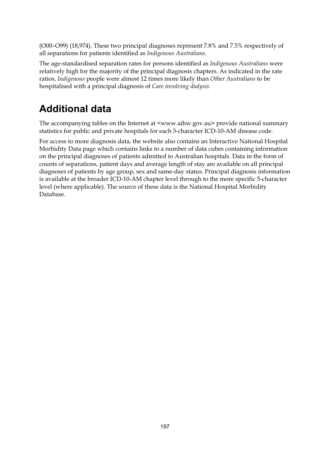(O00–O99) (18,974). These two principal diagnoses represent 7.8% and 7.5% respectively of all separations for patients identified as *Indigenous Australians*.

The age-standardised separation rates for persons identified as *Indigenous Australians* were relatively high for the majority of the principal diagnosis chapters. As indicated in the rate ratios, *Indigenous* people were almost 12 times more likely than *Other Australians* to be hospitalised with a principal diagnosis of *Care involving dialysis*.

# **Additional data**

The accompanying tables on the Internet at <www.aihw.gov.au> provide national summary statistics for public and private hospitals for each 3-character ICD-10-AM disease code.

For access to more diagnosis data, the website also contains an Interactive National Hospital Morbidity Data page which contains links to a number of data cubes containing information on the principal diagnoses of patients admitted to Australian hospitals. Data in the form of counts of separations, patient days and average length of stay are available on all principal diagnoses of patients by age group, sex and same-day status. Principal diagnosis information is available at the broader ICD-10-AM chapter level through to the more specific 5-character level (where applicable). The source of these data is the National Hospital Morbidity Database.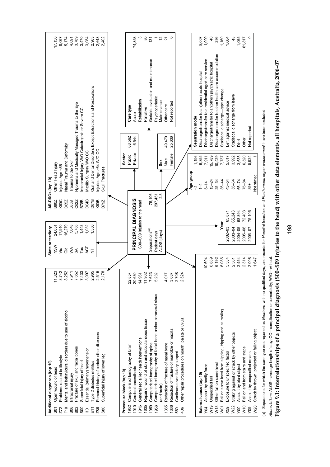

(a) Separations for which the care type was reported as Newborn with no qualified days, and records for Hospital boarders and Posthurnous organ procurement have been excluded. (a) Separations for which the care type was reported as *Newborn* with no qualified days, and records for *Hospital boarders* and *Posthumous organ procurement* have been excluded.

4bbreviations: ALOS-average length of stay; CC-complication or comorbidity; W/O-without.  *Abbreviations:* ALOS—average length of stay; CC—complication or comorbidity; W/O—without.

 **Figure 9.1: Interrelationships of a principal diagnosis (S00–S09 Injuries to the head) with other data elements, all hospitals, Australia, 2006–07** Figure 9.1: Interrelationships of a principal diagnosis (S00–S09 Injuries to the head) with other data elements, all hospitals, Australia, 2006-07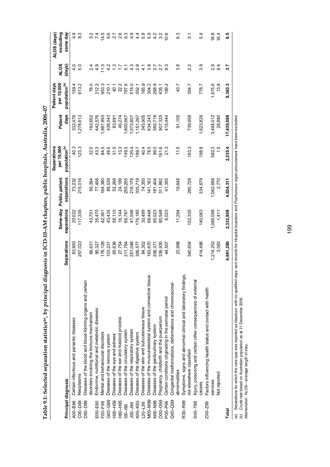|             |                                                                                                                                                                               |                    |             |                         | Separations               |            | Patient days              |                |                          |
|-------------|-------------------------------------------------------------------------------------------------------------------------------------------------------------------------------|--------------------|-------------|-------------------------|---------------------------|------------|---------------------------|----------------|--------------------------|
|             |                                                                                                                                                                               |                    |             | Same-day Public patient | per 10,000                | Patient    | per 10,000                | <b>ALOS</b>    | excluding<br>ALOS (days) |
|             | Principal diagnosis                                                                                                                                                           | <b>Separations</b> | separations | separations             | population <sup>(b)</sup> | days       | population <sup>(b)</sup> | (days)         | same day                 |
| A00-B99     | Certain infectious and parasitic diseases                                                                                                                                     | 83,950             | 20,032      | 73,232                  | 40.3                      | 332,476    | 1594                      | $\frac{4}{10}$ | 4.9                      |
| C00-D48     | Neoplasms                                                                                                                                                                     | 257,022            | 117,335     | 215,014                 | 123.3                     | 1,278,613  | 613.2                     | 5.0            | 83                       |
| D50-D89     | Diseases of the blood and blood-forming organs and certain                                                                                                                    |                    |             |                         |                           |            |                           |                |                          |
|             | disorders involving the immune mechanism                                                                                                                                      | 66,631             | 43,701      | 56,394                  | 32.0                      | 162,662    | 78.0                      | $\frac{4}{2}$  |                          |
| E00-E90     | Endocrine, nutritional and metabolic diseases                                                                                                                                 | 90,327             | 35,470      | 77,456                  | 43.3                      | 442,576    | 212.2                     | 4.9            |                          |
| F00-F99     | Mental and behavioural disorders                                                                                                                                              | 176,128            | 42,361      | 64,380                  | 84.5                      | 1,987,893  | 953.3                     | 11.3           | 14.5                     |
| $G00 - G99$ | Diseases of the nervous system                                                                                                                                                | 103,231            | 43,435      | 88,539                  | 49.5                      | 438,043    | 210.1                     | 4.2            | 6.6                      |
| H00-H59     | Diseases of the eye and adnexa                                                                                                                                                | 65,636             | 55,110      | 52,266                  | 31.5                      | 83,691     | 40.1                      | <u>ී</u>       | 27                       |
| H60-H95     | Diseases of the ear and mastoid process                                                                                                                                       | 27,754             | 16,144      | 24,199                  | 13.3                      | 46,274     | 22.2                      | $\frac{7}{1}$  | 2.6                      |
| $100 - 199$ | Diseases of the circulatory system                                                                                                                                            | 311,764            | 69,787      | 255,255                 | 149.5                     | ,600,667   | 767.6                     | 51             | 6.3                      |
| $00 - 000$  | Diseases of the respiratory system                                                                                                                                            | 251,046            | 41,506      | 216,178                 | 120.4                     | 1,073,807  | 515.0                     | 4.3            | 4.9                      |
| K00-K93     | Diseases of the digestive system                                                                                                                                              | 395,577            | 176,185     | 335,719                 | 189.7                     | 1,151,267  | 552.1                     | 2.9            | $4\overline{4}$          |
| $EQ - 00$   | Diseases of the skin and subcutaneous tissue                                                                                                                                  | 84,302             | 30,499      | 74,350                  | 40.4                      | 345,905    | 165.9                     | $\frac{1}{4}$  | 5.9                      |
| M00-M99     | Diseases of the musculoskeletal system and connective tissue                                                                                                                  | 63,670             | 68,448      | 141,163                 | 78.5                      | 634,243    | 304.2                     | 3.9            | 5.9                      |
| N00-N99     | Diseases of the genitourinary system                                                                                                                                          | 206,371            | 95,023      | 181,404                 | 99.0                      | 560,718    | 268.9                     | 2.7            | 4.2                      |
| O00-O99     | Pregnancy, childbirth and the puerperium                                                                                                                                      | 336,930            | 80,548      | 311,882                 | 61.6                      | 907,325    | 435.1                     | 2.7            | 3.2                      |
| P00-P96     | Certain conditions originating in the perinatal period                                                                                                                        | 44,507             | 6,023       | 41,355                  | 21.3                      | 115,444    | 199.2                     | 9.3            | 10.6                     |
| $Q00 - Q99$ | Congenital malformations, deformations and chromosomal                                                                                                                        |                    |             |                         |                           |            |                           |                |                          |
|             | abnormalities                                                                                                                                                                 | 23,998             | 11,294      | 19,648                  | 11.5                      | 91,105     | 43.7                      | 3.8            | 63                       |
| R00-R99     | Symptoms, signs and abnormal clinical and laboratory findings,                                                                                                                |                    |             |                         |                           |            |                           |                |                          |
|             | not elsewhere classified                                                                                                                                                      | 340,604            | 152,335     | 295,729                 | 163.3                     | 739,658    | 354.7                     | 2.2            | $\overline{3}$           |
| $$00 - 198$ | Injury, poisoning and certain other consequences of external                                                                                                                  |                    |             |                         |                           |            |                           |                |                          |
|             | sespres                                                                                                                                                                       | 414,496            | 140,063     | 334,679                 | 198.8                     | 1,623,829  | 778.7                     | 3.9            | 5.4                      |
| Z00-Z99     | Factors influencing health status and contact with health                                                                                                                     |                    |             |                         |                           |            |                           |                |                          |
|             | services                                                                                                                                                                      | 1,214,253          | 1,086,098   | 1,062,699               | 582.3                     | 3,494,012  | 1,675.6                   | 2.9            | 18.8                     |
|             | Not reported                                                                                                                                                                  | 3,083              | 1,411       | 2,770                   | $\frac{5}{1}$             | 28,880     | 13.8                      | 9.4            | 16.4                     |
| Total       |                                                                                                                                                                               | 4,661,280          | 2,332,808   | 4,024,311               | 2,235.4                   | 17,439,088 | 8,363.3                   | 3.7            | ۵.5                      |
|             | a) Separations for which the care type was reported as Newborn with no qualified days, and records for Hospital boarders and Posthurnous organ procurement have been excluded |                    |             |                         |                           |            |                           |                |                          |

Table 9.1: Selected separation statistics<sup>(a)</sup>, by principal diagnosis in ICD-10-AM chapters, public hospitals, Australia, 2006-07 **Table 9.1: Selected separation statistics(a), by principal diagnosis in ICD-10-AM chapters, public hospitals, Australia, 2006–07** 

(b) Crude rate based on Australian population as at 31 December 2006.<br>Abbreviation: ALOS—average length of stay. (b) Crude rate based on Australian population as at 31 December 2006.

*Abbreviation:* ALOS—average length of stay.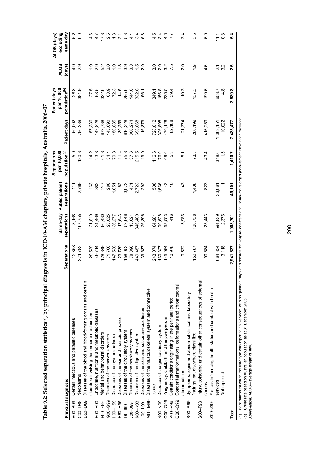|                |                                                              |                    |             | Same-day Public patient | <b>Separations</b><br>per 10,000 |              | Patient days<br>per 10,000 | <b>ALOS</b>        | excluding<br>ALOS (days) |
|----------------|--------------------------------------------------------------|--------------------|-------------|-------------------------|----------------------------------|--------------|----------------------------|--------------------|--------------------------|
|                | Principal diagnosis                                          | <b>Separations</b> | separations | separations             | population <sup>(b)</sup>        | Patient days | population <sup>(b)</sup>  | (days)             | same day                 |
| A00-B99        | Certain infectious and parasitic diseases                    | 12,358             | 3,168       | $\frac{1}{11}$          | 5.9                              | 60,002       | 28.8                       | တ္<br>4.           | 6.2                      |
| C00-D48        | Neoplasms                                                    | 271,783            | 167,755     | 2,769                   | 130.3                            | 796,289      | 381.9                      | တ္<br>$\mathbf{a}$ | 6.0                      |
| D50-D89        | Diseases of the blood and blood-forming organs and certain   |                    |             |                         |                                  |              |                            |                    |                          |
|                | disorders involving the immune mechanism                     | 29,539             | 21,819      | 163                     | 14.2                             | 57,336       | 27.5                       |                    |                          |
| E00-E90        | Endocrine, nutritional and metabolic diseases                | 49,714             | 24,469      | 382                     | 23.8                             | 142,828      | 68.5                       |                    | 4                        |
| $F00 - F99$    | Mental and behavioural disorders                             | 128,849            | 96,430      | 247                     | 61.8                             | 672,738      | 322.6                      |                    | 17.8                     |
| G00-G99        | Diseases of the nervous system                               | 71,766             | 23,025      | 288                     | 34.4                             | 143,690      | 68.9                       |                    | 2.5                      |
| H00-H59        | Diseases of the eye and adnexa                               | 147,538            | 36,277      | $-50,1$                 |                                  | 150,835      | 72.3                       | $\frac{0}{1}$      |                          |
| H60-H95        | Diseases of the ear and mastoid process                      | 23,739             | 17,643      | 62                      | 70.8<br>114<br>75.8              | 30,259       | 14.5                       | $\frac{3}{2}$      | $\frac{1}{2}$            |
| $00 - 199$     | Diseases of the circulatory system                           | 158,053            | 52,646      | 3,072                   |                                  | 316,328      | 295.6                      | 3.9                | 53                       |
| $99 - 001$     | Diseases of the respiratory system                           | 78,396             | 13,624      | 471                     | 37.6                             | 300,274      | 144.0                      | 3.8                | $4\overline{4}$          |
| K00-K93        | Diseases of the digestive system                             | 449,457            | 346,489     | 2,723                   | 215.5                            | 693,868      | 332.8                      | $\frac{5}{1}$      | 3.4                      |
| $-00 - 199$    | Diseases of the skin and subcutaneous tissue                 | 39,637             | 26,396      | 292                     | 19.0                             | 116,879      | 56.1                       | 2.9                | $\frac{8}{6}$            |
| M00-M99        | Diseases of the musculoskeletal system and connective        |                    |             |                         |                                  |              |                            |                    |                          |
|                | tissue                                                       | 243,074            | 04,981      | 506                     | 116.6                            | 728,012      | 349.1                      | <u>ာ</u>           | 4.5                      |
| <b>NOO-N99</b> | Diseases of the genitourinary system                         | 160,327            | 90,628      | 1,566                   | 76.9                             | 326,898      | 156.8                      |                    | 3.4                      |
| 000-099        | Pregnancy, childbirth and the puerperium                     | 145,094            | 53,553      | 42                      | 69.6                             | 470,128      | 225.5                      | 3.2                | 4.6                      |
| P00-P96        | Certain conditions originating in the perinatal period       | 10,978             | 416         | S                       | 5.3                              | 82,108       | 39.4                       | 7.5                |                          |
| $Q00 - Q99$    | Congenital malformations, deformations and chromosomal       |                    |             |                         |                                  |              |                            |                    |                          |
|                | abnormalities                                                | 10,532             | 5,986       | 43                      | 5.1                              | 21,374       | 10.3                       | $\overline{2}$     | 34                       |
| R00-R99        | Symptoms, signs and abnormal clinical and laboratory         |                    |             |                         |                                  |              |                            |                    |                          |
|                | findings, not elsewhere classified                           | 52,767             | 100,738     | 1,408                   | 73.3                             | 286,199      | 137.3                      | $\frac{1}{2}$      | 3.6                      |
| SOO-T98        | Injury, poisoning and certain other consequences of external |                    |             |                         |                                  |              |                            |                    |                          |
|                | causes                                                       | 90,584             | 25,443      | 823                     | 43.4                             | 416,259      | 199.6                      | 4.6                | C.9                      |
| Z00-Z99        | Factors influencing health status and contact with health    |                    |             |                         |                                  |              |                            |                    |                          |
|                | services                                                     | 664,334            | 594,839     | 33,061                  | 318.6                            | 1,363,151    | 653.7                      | $\tilde{\Omega}$   | $\frac{1}{2}$            |
|                | Not reported                                                 | 3,118              | 2,376       | $\tilde{\tau}$          | 1.5                              | 10,022       | 4.8                        | 3.2                | 10.3                     |
| Total          |                                                              | 2,941,637          | 1,908,701   | 49,101                  | 1,410.7                          | 7,485,477    | 3,589.8                    | 2.5                | 5.4                      |
|                |                                                              |                    |             |                         |                                  |              |                            |                    |                          |

Table 9.2: Selected separation statistics(a), by principal diagnosis in ICD-10-AM chapters, private hospitals, Australia, 2006-07 **Table 9.2: Selected separation statistics(a), by principal diagnosis in ICD-10-AM chapters, private hospitals, Australia, 2006–07** 

(a) Separations for which the care type was reported as Newborn with no qualified days, and records for Hospital boarders and Posth*urnous organ procurement* have been excluded.<br>(b) Crude rate based on Australian populatio (a) Separations for which the care type was reported as *Newborn* with no qualified days, and records for *Hospital boarders* and *Posthumous organ procurement* have been excluded.

(b) Crude rate based on Australian population as at 31 December 2006.

*Abbreviation:* ALOS—average length of stay.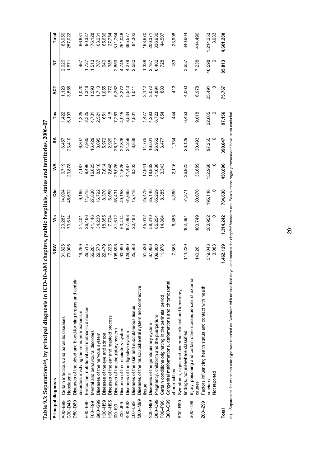|                | ו מאוב איי סב למחמד האל לה לה המלחמה לה לה לה לה לה לה לה המלחמה לה לה לה לה לה לה לה לה לה המלחמה לה לה לה המ |            |           |           |         |         |                |                                    |                         |           |
|----------------|----------------------------------------------------------------------------------------------------------------|------------|-----------|-----------|---------|---------|----------------|------------------------------------|-------------------------|-----------|
|                | Principal diagnosis                                                                                            | <b>NSW</b> | νë        | <b>Ja</b> | ≸       | S       | Tas            | <b>ACT</b>                         | 눙                       | Total     |
| A00-B99        | Certain infectious and parasitic diseases                                                                      | 31,825     | 20,287    | 14,094    | 6,719   | 6,457   | 1,422          | 1,120                              | 2,026                   | 83,950    |
| C00-D48        | Neoplasms                                                                                                      | 79,006     | 73,614    | 45,692    | 23,878  | 23,410  | 6,193          | 3,558                              | 1,671                   | 257,022   |
| D50-D89        | Diseases of the blood and blood-forming organs and certain                                                     |            |           |           |         |         |                |                                    |                         |           |
|                | disorders involving the immune mechanism                                                                       | 19,259     | 21,401    | 9,165     | 7,187   | 6,807   | 1,325          | 0.020                              | 467                     | 66,631    |
| E00-E90        | Endocrine, nutritional and metabolic diseases                                                                  | 26,515     | 26,466    | 14,515    | 9,496   | 7,935   |                | 1,348                              | 727                     | 90,327    |
| $F00 - F99$    | Mental and behavioural disorders                                                                               | 66,261     | 41,146    | 27,830    | 16,625  | 16,429  | 2,325<br>4,731 | 1,593                              | 513                     | 176,128   |
| G00-G99        | Diseases of the nervous system                                                                                 | 29,578     | 34,230    | 16,792    | 8,918   | 8,695   | 2,521          |                                    | 787                     | 103,231   |
| H00-H59        | Diseases of the eye and adnexa                                                                                 | 22,479     | 18,855    | 8,370     | 7,614   | 5,972   | 651            | $1,710$<br>$1,055$                 | 640                     | 65,636    |
| H60-H95        | Diseases of the ear and mastoid process                                                                        | 7,225      | 7,724     | 6,050     | 2,648   | 2,929   | 418            |                                    | 388                     | 27,754    |
| $00 - 199$     | Diseases of the circulatory system                                                                             | 108,895    | 81,612    | 53,431    | 25,925  | 26,717  | 7,263          | 372<br>3702 743<br>53743<br>5365 7 | 2,659                   | 311,764   |
| $00 - 000$     | Diseases of the respiratory system                                                                             | 90,090     | 63,414    | 40,158    | 21,626  | 22,826  | 4,915          |                                    |                         | 251,046   |
| K00-K93        | Diseases of the digestive system                                                                               | 129,690    | 107,093   | 64,695    | 41,487  | 34,256  | 8,534          |                                    | 4,745<br>4,279<br>2,580 | 395,577   |
| $100 - 99$     | Diseases of the skin and subcutaneous tissue                                                                   | 25,568     | 20,483    | 15,718    | 8,303   | 8,838   | 1,801          |                                    |                         | 84,302    |
| <b>NOO-M99</b> | Diseases of the musculoskeletal system and connective                                                          |            |           |           |         |         |                |                                    |                         |           |
|                | tissue                                                                                                         | 51,536     | 45,012    | 25,479    | 17,941  | 14,775  | 4,477          | 3,112                              | 1,338                   | 163,670   |
| <b>NOO-N99</b> | Diseases of the genitourinary system                                                                           | 67,956     | 58,310    | 35,140    | 18,862  | 16,561  | 4,283          | 3,072                              | 2,187                   | 206,371   |
| 000-099        | Pregnancy, childbirth and the puerperium                                                                       | 109,800    | 85,254    | 65,269    | 31,636  | 26,952  | 6,723          | 4,894                              | 6,402                   | 336,930   |
| P00-P96        | Certain conditions originating in the perinatal period                                                         | 11,976     | 14,864    | 8,385     | 3,343   | 3,477   | 854            | 880                                | 728                     | 44,507    |
| $Q00 - Q99$    | Congenital malformations, deformations and chromosomal                                                         |            |           |           |         |         |                |                                    |                         |           |
|                | abnormalities                                                                                                  | 7,863      | 6,885     | 4,360     | 2,116   | 1,734   | 44             | 413                                | 183                     | 23,998    |
| R00-R99        | Symptoms, signs and abnormal clinical and laboratory                                                           |            |           |           |         |         |                |                                    |                         |           |
|                | findings, not elsewhere classified                                                                             | 114,220    | 102,891   | 54,271    | 26,923  | 28,129  | 6,453          | 4,060                              | 3,657                   | 340,604   |
| $S00 - T98$    | Injury, poisoning and certain other consequences of external                                                   |            |           |           |         |         |                |                                    |                         |           |
|                | causes                                                                                                         | 140,261    | 103,749   | 80,070    | 36,689  | 30,493  | 9,018          | 6,978                              | 7,238                   | 414,496   |
| Z00-Z99        | Factors influencing health status and contact with health                                                      |            |           |           |         |         |                |                                    |                         |           |
|                | services                                                                                                       | 319,043    | 380,952   | 195,146   | 132,960 | 97,255  | 22,805         | 25,494                             | 40,598                  | 1,214,253 |
|                | Not reported                                                                                                   | 3,083      | $\circ$   |           | $\circ$ |         |                |                                    |                         | 3,083     |
| Total          |                                                                                                                | 1,462,129  | 1,314,242 | 784,630   | 450,896 | 390,647 | 97,156         | 75,767                             | 85,813                  | 4,661,280 |
|                |                                                                                                                |            |           |           |         |         |                |                                    |                         |           |

Table 9.3: Separations(a), by principal diagnosis in ICD-10-AM chapters, public hospitals, states and territories, 2006-07 **Table 9.3: Separations(a), by principal diagnosis in ICD-10-AM chapters, public hospitals, states and territories, 2006–07**  (a) Separations for which the care type was reported as Newborn with no qualified days, and records for Hospital boarders and Posthumous organ procurement have been excluded. (a) Separations for which the care type was reported as *Newborn* with no qualified days, and records for *Hospital boarders* and *Posthumous organ procurement* have been excluded.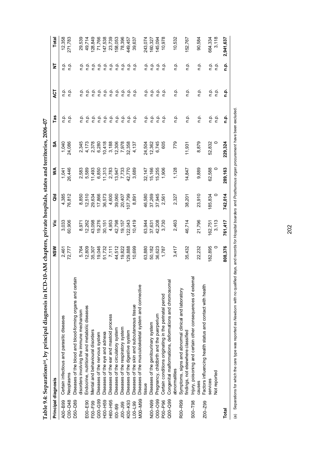| $\frac{1}{2}$ and $\frac{1}{2}$ . The proposition of the proposition of the proposition of the proposition of the proposition of the proposition of the proposition of the proposition of the proposition of the proposition of the pr |                                                                                                              |                                                                                                                                                                               |                                                                                                                                                                                            |                                                                                                                                 |                                                                                                                                                  |                                                                                                                                                   |                                                                                                                                                                                                                                    |                                                                                                                                                                                                                                                                                                                             |                                                                         |
|----------------------------------------------------------------------------------------------------------------------------------------------------------------------------------------------------------------------------------------|--------------------------------------------------------------------------------------------------------------|-------------------------------------------------------------------------------------------------------------------------------------------------------------------------------|--------------------------------------------------------------------------------------------------------------------------------------------------------------------------------------------|---------------------------------------------------------------------------------------------------------------------------------|--------------------------------------------------------------------------------------------------------------------------------------------------|---------------------------------------------------------------------------------------------------------------------------------------------------|------------------------------------------------------------------------------------------------------------------------------------------------------------------------------------------------------------------------------------|-----------------------------------------------------------------------------------------------------------------------------------------------------------------------------------------------------------------------------------------------------------------------------------------------------------------------------|-------------------------------------------------------------------------|
| Principal diagnosis                                                                                                                                                                                                                    | NSW                                                                                                          | yic                                                                                                                                                                           | ald                                                                                                                                                                                        | ≶                                                                                                                               | રુ                                                                                                                                               | Tas                                                                                                                                               | <b>ACT</b>                                                                                                                                                                                                                         | ż                                                                                                                                                                                                                                                                                                                           | Total                                                                   |
| Certain infectious and parasitic diseases                                                                                                                                                                                              |                                                                                                              |                                                                                                                                                                               | 4,385                                                                                                                                                                                      |                                                                                                                                 |                                                                                                                                                  |                                                                                                                                                   |                                                                                                                                                                                                                                    |                                                                                                                                                                                                                                                                                                                             |                                                                         |
| Neoplasms                                                                                                                                                                                                                              |                                                                                                              | 60,906                                                                                                                                                                        | 76,812                                                                                                                                                                                     |                                                                                                                                 |                                                                                                                                                  |                                                                                                                                                   |                                                                                                                                                                                                                                    |                                                                                                                                                                                                                                                                                                                             | 12,358<br>271,783                                                       |
| Diseases of the blood and blood-forming organs and certain                                                                                                                                                                             |                                                                                                              |                                                                                                                                                                               |                                                                                                                                                                                            |                                                                                                                                 |                                                                                                                                                  |                                                                                                                                                   |                                                                                                                                                                                                                                    |                                                                                                                                                                                                                                                                                                                             |                                                                         |
| disorders involving the immune mechanism                                                                                                                                                                                               |                                                                                                              |                                                                                                                                                                               |                                                                                                                                                                                            |                                                                                                                                 |                                                                                                                                                  |                                                                                                                                                   |                                                                                                                                                                                                                                    |                                                                                                                                                                                                                                                                                                                             |                                                                         |
| Endocrine, nutritional and metabolic diseases                                                                                                                                                                                          |                                                                                                              |                                                                                                                                                                               |                                                                                                                                                                                            |                                                                                                                                 |                                                                                                                                                  |                                                                                                                                                   |                                                                                                                                                                                                                                    |                                                                                                                                                                                                                                                                                                                             | 29,539<br>49,714                                                        |
| Mental and behavioural disorders                                                                                                                                                                                                       |                                                                                                              |                                                                                                                                                                               |                                                                                                                                                                                            |                                                                                                                                 |                                                                                                                                                  |                                                                                                                                                   |                                                                                                                                                                                                                                    |                                                                                                                                                                                                                                                                                                                             | 128,849                                                                 |
| Diseases of the nervous system                                                                                                                                                                                                         |                                                                                                              |                                                                                                                                                                               |                                                                                                                                                                                            |                                                                                                                                 |                                                                                                                                                  |                                                                                                                                                   |                                                                                                                                                                                                                                    |                                                                                                                                                                                                                                                                                                                             | 71,766                                                                  |
| Diseases of the eye and adnexa                                                                                                                                                                                                         |                                                                                                              |                                                                                                                                                                               |                                                                                                                                                                                            |                                                                                                                                 |                                                                                                                                                  |                                                                                                                                                   |                                                                                                                                                                                                                                    |                                                                                                                                                                                                                                                                                                                             | 147,538                                                                 |
| Diseases of the ear and mastoid process                                                                                                                                                                                                |                                                                                                              |                                                                                                                                                                               |                                                                                                                                                                                            |                                                                                                                                 |                                                                                                                                                  |                                                                                                                                                   |                                                                                                                                                                                                                                    |                                                                                                                                                                                                                                                                                                                             | 23,739                                                                  |
| Diseases of the circulatory system                                                                                                                                                                                                     |                                                                                                              |                                                                                                                                                                               |                                                                                                                                                                                            |                                                                                                                                 |                                                                                                                                                  |                                                                                                                                                   |                                                                                                                                                                                                                                    |                                                                                                                                                                                                                                                                                                                             | 158,053                                                                 |
| Diseases of the respiratory system                                                                                                                                                                                                     |                                                                                                              |                                                                                                                                                                               | 20,407                                                                                                                                                                                     |                                                                                                                                 |                                                                                                                                                  |                                                                                                                                                   |                                                                                                                                                                                                                                    |                                                                                                                                                                                                                                                                                                                             | 78,396                                                                  |
| Diseases of the digestive system                                                                                                                                                                                                       |                                                                                                              |                                                                                                                                                                               | 107,799                                                                                                                                                                                    |                                                                                                                                 |                                                                                                                                                  |                                                                                                                                                   |                                                                                                                                                                                                                                    |                                                                                                                                                                                                                                                                                                                             | 449,457                                                                 |
|                                                                                                                                                                                                                                        |                                                                                                              |                                                                                                                                                                               |                                                                                                                                                                                            |                                                                                                                                 |                                                                                                                                                  |                                                                                                                                                   |                                                                                                                                                                                                                                    |                                                                                                                                                                                                                                                                                                                             | 39,637                                                                  |
| Diseases of the musculoskeletal system and connective                                                                                                                                                                                  |                                                                                                              |                                                                                                                                                                               |                                                                                                                                                                                            |                                                                                                                                 |                                                                                                                                                  |                                                                                                                                                   |                                                                                                                                                                                                                                    |                                                                                                                                                                                                                                                                                                                             |                                                                         |
| tissue                                                                                                                                                                                                                                 |                                                                                                              |                                                                                                                                                                               |                                                                                                                                                                                            |                                                                                                                                 |                                                                                                                                                  |                                                                                                                                                   |                                                                                                                                                                                                                                    |                                                                                                                                                                                                                                                                                                                             |                                                                         |
| Diseases of the genitourinary system                                                                                                                                                                                                   |                                                                                                              |                                                                                                                                                                               |                                                                                                                                                                                            |                                                                                                                                 |                                                                                                                                                  |                                                                                                                                                   |                                                                                                                                                                                                                                    |                                                                                                                                                                                                                                                                                                                             | 243,074<br>160,327                                                      |
| Pregnancy, childbirth and the puerperium                                                                                                                                                                                               |                                                                                                              |                                                                                                                                                                               |                                                                                                                                                                                            |                                                                                                                                 |                                                                                                                                                  |                                                                                                                                                   |                                                                                                                                                                                                                                    |                                                                                                                                                                                                                                                                                                                             | 145,094                                                                 |
| Certain conditions originating in the perinatal period                                                                                                                                                                                 |                                                                                                              |                                                                                                                                                                               |                                                                                                                                                                                            |                                                                                                                                 |                                                                                                                                                  |                                                                                                                                                   | ن<br>p.                                                                                                                                                                                                                            |                                                                                                                                                                                                                                                                                                                             | 10,978                                                                  |
| Congenital malformations, deformations and chromosomal                                                                                                                                                                                 |                                                                                                              |                                                                                                                                                                               |                                                                                                                                                                                            |                                                                                                                                 |                                                                                                                                                  |                                                                                                                                                   |                                                                                                                                                                                                                                    |                                                                                                                                                                                                                                                                                                                             |                                                                         |
| abnormalities                                                                                                                                                                                                                          |                                                                                                              |                                                                                                                                                                               |                                                                                                                                                                                            |                                                                                                                                 | 779                                                                                                                                              |                                                                                                                                                   |                                                                                                                                                                                                                                    |                                                                                                                                                                                                                                                                                                                             | 10,532                                                                  |
| Symptoms, signs and abnormal clinical and laboratory                                                                                                                                                                                   |                                                                                                              |                                                                                                                                                                               |                                                                                                                                                                                            |                                                                                                                                 |                                                                                                                                                  |                                                                                                                                                   |                                                                                                                                                                                                                                    |                                                                                                                                                                                                                                                                                                                             |                                                                         |
| findings, not elsewhere classified                                                                                                                                                                                                     | 35,432                                                                                                       |                                                                                                                                                                               | 38,201                                                                                                                                                                                     | 14,847                                                                                                                          | 11,931                                                                                                                                           |                                                                                                                                                   |                                                                                                                                                                                                                                    |                                                                                                                                                                                                                                                                                                                             | 152,767                                                                 |
|                                                                                                                                                                                                                                        |                                                                                                              |                                                                                                                                                                               |                                                                                                                                                                                            |                                                                                                                                 |                                                                                                                                                  |                                                                                                                                                   |                                                                                                                                                                                                                                    |                                                                                                                                                                                                                                                                                                                             |                                                                         |
| causes                                                                                                                                                                                                                                 |                                                                                                              |                                                                                                                                                                               |                                                                                                                                                                                            | 9,889                                                                                                                           |                                                                                                                                                  |                                                                                                                                                   |                                                                                                                                                                                                                                    |                                                                                                                                                                                                                                                                                                                             | 90,584                                                                  |
| Factors influencing health status and contact with health                                                                                                                                                                              |                                                                                                              |                                                                                                                                                                               |                                                                                                                                                                                            |                                                                                                                                 |                                                                                                                                                  |                                                                                                                                                   |                                                                                                                                                                                                                                    |                                                                                                                                                                                                                                                                                                                             |                                                                         |
| services                                                                                                                                                                                                                               | 182,895                                                                                                      |                                                                                                                                                                               | 185,834                                                                                                                                                                                    | 62,588                                                                                                                          | 52,832                                                                                                                                           | ρ.<br>Π                                                                                                                                           |                                                                                                                                                                                                                                    | ρ.<br>Π                                                                                                                                                                                                                                                                                                                     | 664,334                                                                 |
| Not reported                                                                                                                                                                                                                           |                                                                                                              | 3,113                                                                                                                                                                         |                                                                                                                                                                                            |                                                                                                                                 |                                                                                                                                                  | ρ.<br>Π                                                                                                                                           | ن<br>ء                                                                                                                                                                                                                             | $\frac{\alpha}{\alpha}$                                                                                                                                                                                                                                                                                                     | 3,118                                                                   |
|                                                                                                                                                                                                                                        | 808,376                                                                                                      | 761,417                                                                                                                                                                       | 742,014                                                                                                                                                                                    | 289,163                                                                                                                         | 229,324                                                                                                                                          | n.p.                                                                                                                                              | n.p.                                                                                                                                                                                                                               | ف<br>1.                                                                                                                                                                                                                                                                                                                     | 2,941,637                                                               |
|                                                                                                                                                                                                                                        | Injury, poisoning and certain other consequences of external<br>Diseases of the skin and subcutaneous tissue | 19,046<br>51,732<br>51,732<br>44,512<br>49,822<br>129,888<br>10,699<br>63,880<br>50,182<br>56,623<br>1,787<br>3,417<br>22,232<br>5,764<br>12,809<br>35,307<br>2,461<br>72,777 | 4,953<br>42,798<br>42,157<br>10,419<br>10,419<br>2,463<br>21,796<br>42,208<br>3,730<br>46,714<br>3,033<br>8,971<br>8,262<br>2,308<br>2,751<br>8,751<br>8,95<br>63,944<br>37,631<br>162,751 | 23,910<br>8,850<br>0,510<br>0,866<br>0,575<br>0,573<br>39,060<br>46,580<br>37,269<br>37,945<br>2,327<br>4,600<br>8,891<br>2,561 | 1,041<br>26,446<br>1,128<br>32, 147<br>15, 166<br>15, 255<br>1, 906<br>0.589<br>0.6893 0.759<br>0.6993 0.759<br>0.759 0.759<br>0.759 0.759 0.999 | 1,040<br>24,086<br>3,188<br>12,306<br>12,558<br>4,137<br>24,504<br>12,362<br>6,745<br>605<br>8,879<br>2 4 5 6<br>5 7 7 8 9<br>5 4 0 6 9<br>10,418 | ن<br>ء<br>ρ.<br>Γ<br>$\frac{a}{c}$<br>ن<br>ء<br>ρ.<br>Γ<br>$\frac{a}{c}$ $\frac{a}{c}$<br>ف<br>E<br>$\frac{\alpha}{\Gamma}$<br>n.p.<br>n.p.<br>ρ.<br>Γ<br>$\frac{a}{c}$ $\frac{a}{c}$<br>ن<br>ء<br>م م<br>n p.<br>ن<br>ء<br>ف<br>n | $\begin{array}{ccc}\n\bullet & \bullet & \bullet \\ \bullet & \bullet & \bullet \\ \bullet & \bullet & \bullet\n\end{array}$<br>ρ.<br>Π<br>$\begin{array}{ccc}\n0 & 0 \\ \hline\n0 & 0\n\end{array}$<br>ρ.<br>Γ<br>ρ.<br>Γ<br>ρ.<br>Γ<br>$\frac{\alpha}{\alpha}$<br>م ف<br>$\frac{a}{c}$ $\frac{a}{c}$<br>ن<br>ء<br>ρ.<br>Π | ن<br>ء<br>e e e e<br>c c c c<br>ρ.<br>Π<br>ρ.<br>Π<br>o.<br>C<br>ن<br>ء |

Table 9.4: Separations(a), by principal diagnosis in ICD-10-AM chapters, private hospitals, states and territories, 2006-07 **Table 9.4: Separations(a), by principal diagnosis in ICD-10-AM chapters, private hospitals, states and territories, 2006–07**  (a) Separations for which the care type was reported as Newborn with no qualified days, and records for Hospital boarders and Posthumous organ procurement have been excluded. (a) Separations for which the care type was reported as *Newborn* with no qualified days, and records for *Hospital boarders* and *Posthumous organ procurement* have been excluded.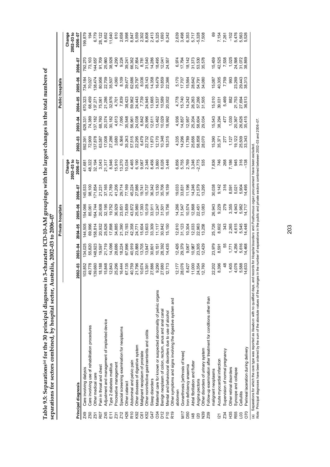Table 9.5: Separations® for the 30 principal diagnoses in 3-character ICD-10-AM groupings with the largest changes in the total numbers of<br>separations for sectors combined, by hospital sector, Australia, 2002-03 to 2006-07 **Table 9.5: Separations(a) for the 30 principal diagnoses in 3-character ICD-10-AM groupings with the largest changes in the total numbers of separations for sectors combined, by hospital sector, Australia, 2002–03 to 2006–07** 

|                  |                                                                   |                                               |                                                |                                                                                                                                                                                                                                                                                             | Private hospitals                                                                                                                          |                                                |                                              |                                                          |                                                                |                                                          | Public hospitals                                        |                                                           |                                                                                                                                                                                                                                                                                                                                                                                                                                                                                                                                                          |
|------------------|-------------------------------------------------------------------|-----------------------------------------------|------------------------------------------------|---------------------------------------------------------------------------------------------------------------------------------------------------------------------------------------------------------------------------------------------------------------------------------------------|--------------------------------------------------------------------------------------------------------------------------------------------|------------------------------------------------|----------------------------------------------|----------------------------------------------------------|----------------------------------------------------------------|----------------------------------------------------------|---------------------------------------------------------|-----------------------------------------------------------|----------------------------------------------------------------------------------------------------------------------------------------------------------------------------------------------------------------------------------------------------------------------------------------------------------------------------------------------------------------------------------------------------------------------------------------------------------------------------------------------------------------------------------------------------------|
|                  |                                                                   |                                               |                                                |                                                                                                                                                                                                                                                                                             |                                                                                                                                            |                                                | Change<br>$2002 - 03$ to                     |                                                          |                                                                |                                                          |                                                         |                                                           | Change<br>$2002 - 03$ to                                                                                                                                                                                                                                                                                                                                                                                                                                                                                                                                 |
|                  | Principal diagnosis                                               | $2002 - 03$                                   | $2003 - 04$                                    | 2004–05                                                                                                                                                                                                                                                                                     | <b>005-06</b>                                                                                                                              | 2006-07                                        | 2006-07                                      | $0 - 00$                                                 | $003 - 04$                                                     | 2004-05                                                  | $005 - 06$                                              | 2006–07                                                   | 2006-07                                                                                                                                                                                                                                                                                                                                                                                                                                                                                                                                                  |
| <b>Z49</b>       | Care involving dialysis                                           | 103,852                                       |                                                |                                                                                                                                                                                                                                                                                             |                                                                                                                                            | 145,533                                        |                                              |                                                          |                                                                |                                                          |                                                         |                                                           |                                                                                                                                                                                                                                                                                                                                                                                                                                                                                                                                                          |
| <b>Z50</b>       | Care involving use of rehabilitation procedures                   |                                               |                                                | $\begin{array}{l} 41.686 \pm 0.836 \pm 0.836 \pm 0.836 \pm 0.836 \pm 0.836 \pm 0.836 \pm 0.836 \pm 0.836 \pm 0.836 \pm 0.836 \pm 0.836 \pm 0.836 \pm 0.836 \pm 0.836 \pm 0.836 \pm 0.836 \pm 0.836 \pm 0.836 \pm 0.836 \pm 0.836 \pm 0.836 \pm 0.836 \pm 0.836 \pm 0.836 \pm 0.836 \pm 0.8$ | ទី ខែ មី ខ្លួន ខេត្ត និង មី ខ្លួន មី ដូច ម<br>ខេត្ត ដូច មី ដូច មី ខេត្ត និង មី ខេត្ត ដូច មី<br>ឆ្នាំ ទី ខ្លួន មី ខ្លួន មី ខេត្ត ដូច ដូច មី | 98,100                                         |                                              |                                                          |                                                                |                                                          |                                                         |                                                           | 199,879<br>194                                                                                                                                                                                                                                                                                                                                                                                                                                                                                                                                           |
| Z51              | Other medical care                                                |                                               |                                                |                                                                                                                                                                                                                                                                                             |                                                                                                                                            |                                                |                                              |                                                          |                                                                |                                                          |                                                         |                                                           |                                                                                                                                                                                                                                                                                                                                                                                                                                                                                                                                                          |
| R07              | Pain in throat and chest                                          |                                               |                                                |                                                                                                                                                                                                                                                                                             |                                                                                                                                            |                                                |                                              |                                                          |                                                                |                                                          |                                                         |                                                           |                                                                                                                                                                                                                                                                                                                                                                                                                                                                                                                                                          |
| Z45              | Adjustment and management of implanted device                     |                                               |                                                |                                                                                                                                                                                                                                                                                             |                                                                                                                                            |                                                |                                              |                                                          |                                                                |                                                          |                                                         |                                                           |                                                                                                                                                                                                                                                                                                                                                                                                                                                                                                                                                          |
| E1               | ype 2 diabetes mellitus                                           |                                               |                                                |                                                                                                                                                                                                                                                                                             |                                                                                                                                            |                                                |                                              |                                                          |                                                                |                                                          |                                                         |                                                           |                                                                                                                                                                                                                                                                                                                                                                                                                                                                                                                                                          |
| Z31              | Procreative management                                            |                                               |                                                |                                                                                                                                                                                                                                                                                             |                                                                                                                                            |                                                |                                              |                                                          |                                                                |                                                          |                                                         |                                                           | $\begin{array}{l} \mathcal{C} \setminus \mathcal{C} \setminus \mathcal{C} \setminus \mathcal{C} \setminus \mathcal{C} \setminus \mathcal{C} \setminus \mathcal{C} \setminus \mathcal{C} \setminus \mathcal{C} \setminus \mathcal{C} \setminus \mathcal{C} \setminus \mathcal{C} \setminus \mathcal{C} \setminus \mathcal{C} \setminus \mathcal{C} \setminus \mathcal{C} \setminus \mathcal{C} \setminus \mathcal{C} \setminus \mathcal{C} \setminus \mathcal{C} \setminus \mathcal{C} \setminus \mathcal{C} \setminus \mathcal{C} \setminus \mathcal{C}$ |
| Z12              | Special screening examination for neoplasms                       |                                               |                                                |                                                                                                                                                                                                                                                                                             |                                                                                                                                            |                                                |                                              |                                                          |                                                                |                                                          |                                                         |                                                           |                                                                                                                                                                                                                                                                                                                                                                                                                                                                                                                                                          |
| H26              | Other cataract                                                    |                                               |                                                |                                                                                                                                                                                                                                                                                             |                                                                                                                                            |                                                |                                              |                                                          |                                                                |                                                          |                                                         |                                                           |                                                                                                                                                                                                                                                                                                                                                                                                                                                                                                                                                          |
| R <sub>10</sub>  | Abdominal and pelvic pain                                         |                                               |                                                |                                                                                                                                                                                                                                                                                             |                                                                                                                                            |                                                |                                              |                                                          |                                                                |                                                          |                                                         |                                                           |                                                                                                                                                                                                                                                                                                                                                                                                                                                                                                                                                          |
| K92              | Other diseases of digestive system                                |                                               |                                                |                                                                                                                                                                                                                                                                                             |                                                                                                                                            |                                                |                                              |                                                          |                                                                |                                                          |                                                         |                                                           |                                                                                                                                                                                                                                                                                                                                                                                                                                                                                                                                                          |
| C61              | Malignant neoplasm of prostate                                    |                                               |                                                |                                                                                                                                                                                                                                                                                             |                                                                                                                                            |                                                |                                              |                                                          |                                                                |                                                          |                                                         |                                                           |                                                                                                                                                                                                                                                                                                                                                                                                                                                                                                                                                          |
| K52              | Other noninfective gastroenteritis and colitis                    |                                               |                                                |                                                                                                                                                                                                                                                                                             |                                                                                                                                            |                                                |                                              |                                                          |                                                                |                                                          |                                                         |                                                           |                                                                                                                                                                                                                                                                                                                                                                                                                                                                                                                                                          |
| G47              | Sleep disorders                                                   |                                               |                                                |                                                                                                                                                                                                                                                                                             |                                                                                                                                            |                                                |                                              |                                                          |                                                                |                                                          |                                                         |                                                           |                                                                                                                                                                                                                                                                                                                                                                                                                                                                                                                                                          |
| <b>C34</b>       | Maternal care for known or suspected abnormality of pelvic organs |                                               |                                                |                                                                                                                                                                                                                                                                                             |                                                                                                                                            |                                                |                                              |                                                          |                                                                |                                                          |                                                         |                                                           |                                                                                                                                                                                                                                                                                                                                                                                                                                                                                                                                                          |
| D <sub>12</sub>  | Benign neoplasm of colon, rectum, anus and anal canal             |                                               |                                                |                                                                                                                                                                                                                                                                                             |                                                                                                                                            |                                                |                                              |                                                          |                                                                |                                                          |                                                         |                                                           |                                                                                                                                                                                                                                                                                                                                                                                                                                                                                                                                                          |
| F10              | Mental and behavioural disorders due to use of alcohol            |                                               |                                                |                                                                                                                                                                                                                                                                                             |                                                                                                                                            |                                                |                                              |                                                          |                                                                |                                                          |                                                         |                                                           |                                                                                                                                                                                                                                                                                                                                                                                                                                                                                                                                                          |
| R <sub>19</sub>  | Other symptoms and signs involving the digestive system and       |                                               |                                                |                                                                                                                                                                                                                                                                                             |                                                                                                                                            |                                                |                                              |                                                          |                                                                |                                                          |                                                         |                                                           |                                                                                                                                                                                                                                                                                                                                                                                                                                                                                                                                                          |
|                  | abdomen                                                           |                                               |                                                |                                                                                                                                                                                                                                                                                             |                                                                                                                                            |                                                |                                              |                                                          |                                                                |                                                          |                                                         |                                                           |                                                                                                                                                                                                                                                                                                                                                                                                                                                                                                                                                          |
| N17              | Gonarthrosis [arthrosis of knee]                                  |                                               |                                                |                                                                                                                                                                                                                                                                                             |                                                                                                                                            |                                                |                                              |                                                          | 4,936<br>14,857                                                |                                                          |                                                         |                                                           |                                                                                                                                                                                                                                                                                                                                                                                                                                                                                                                                                          |
| D50              | ron deficiency anaemia                                            |                                               |                                                |                                                                                                                                                                                                                                                                                             |                                                                                                                                            |                                                |                                              |                                                          | 12,957                                                         | 4,778<br>15,740<br>14,242                                |                                                         |                                                           |                                                                                                                                                                                                                                                                                                                                                                                                                                                                                                                                                          |
| 148              | Atrial fibrillation and flutter                                   |                                               |                                                |                                                                                                                                                                                                                                                                                             |                                                                                                                                            |                                                |                                              |                                                          | 25,204                                                         |                                                          |                                                         |                                                           |                                                                                                                                                                                                                                                                                                                                                                                                                                                                                                                                                          |
| <b>20</b>        | Angina pectoris                                                   | 12,177<br>28,076<br>8,427<br>14,354<br>12,760 | 12,426<br>29,379<br>10,987<br>12,429<br>12,429 | 12,610<br>51,123<br>51,033<br>12,258<br>13,258                                                                                                                                                                                                                                              | 14,266<br>31,547<br>20,868<br>12,083<br>13,083                                                                                             | 19,033<br>33,831<br>14,246<br>14,579<br>13,295 |                                              | 4,335<br>4,288<br>4 1 7,656<br>58,858<br>28,070          | 58,604<br>29,034                                               | 26,263<br>57,266<br>31,505                               | 5,170<br>17,707<br>15,564<br>15,642<br>14,080<br>34,080 | 6,974<br>17,794<br>18,142<br>18,573<br>185,578<br>185,578 | 0.038<br>0.03537<br>0.05778<br>0.05778                                                                                                                                                                                                                                                                                                                                                                                                                                                                                                                   |
| N39              | Other disorders of urinary system                                 |                                               |                                                |                                                                                                                                                                                                                                                                                             |                                                                                                                                            |                                                |                                              |                                                          |                                                                |                                                          |                                                         |                                                           |                                                                                                                                                                                                                                                                                                                                                                                                                                                                                                                                                          |
| 209              | -ollow-up examination after treatment for conditions other than   |                                               |                                                |                                                                                                                                                                                                                                                                                             |                                                                                                                                            |                                                |                                              |                                                          |                                                                |                                                          |                                                         |                                                           |                                                                                                                                                                                                                                                                                                                                                                                                                                                                                                                                                          |
|                  | malignant neoplasms                                               |                                               |                                                |                                                                                                                                                                                                                                                                                             |                                                                                                                                            |                                                |                                              |                                                          |                                                                |                                                          |                                                         |                                                           |                                                                                                                                                                                                                                                                                                                                                                                                                                                                                                                                                          |
| $\overline{2}$ 1 | Acute myocardial infarction                                       | 202<br>2,396<br>2, 396                        | 23,979<br>8,591<br>6,556<br>4,468<br>4,468     |                                                                                                                                                                                                                                                                                             | 843<br>2209 2755<br>2809 2755<br>2809 282<br>2809 282                                                                                      |                                                | 7,836<br>746<br>7, 7, 845<br>7, 845<br>7, 88 | 15,390<br>35,371<br>37,127<br>19,122<br>19,343<br>28,343 | 15,543<br>38,294<br>477<br>1,030<br>20,367<br>20,415<br>35,415 | $15,010$<br>39,031<br>5,469<br>5,753<br>27,694<br>27,694 | 15,087<br>10,305<br>7,759<br>23,269<br>29,313<br>28,313 | 15,459<br>42,538<br>42,538<br>7,598<br>7,598<br>38,869    |                                                                                                                                                                                                                                                                                                                                                                                                                                                                                                                                                          |
| Z34              | Supervision of normal pregnancy                                   |                                               |                                                |                                                                                                                                                                                                                                                                                             |                                                                                                                                            |                                                |                                              |                                                          |                                                                |                                                          |                                                         |                                                           | 7,154<br>7,261<br>7,363<br>5,563<br>5,526                                                                                                                                                                                                                                                                                                                                                                                                                                                                                                                |
| Н35              | Other retinal disorders                                           | 1,405<br>4,076<br>4,633<br>4,633              |                                                |                                                                                                                                                                                                                                                                                             |                                                                                                                                            |                                                |                                              |                                                          |                                                                |                                                          |                                                         |                                                           |                                                                                                                                                                                                                                                                                                                                                                                                                                                                                                                                                          |
| R55              | Syncope and collapse                                              |                                               |                                                |                                                                                                                                                                                                                                                                                             |                                                                                                                                            |                                                |                                              |                                                          |                                                                |                                                          |                                                         |                                                           |                                                                                                                                                                                                                                                                                                                                                                                                                                                                                                                                                          |
| 03               | Cellulitis                                                        |                                               |                                                |                                                                                                                                                                                                                                                                                             |                                                                                                                                            |                                                |                                              |                                                          |                                                                |                                                          |                                                         |                                                           |                                                                                                                                                                                                                                                                                                                                                                                                                                                                                                                                                          |
| 070              | Perineal laceration during delivery                               |                                               |                                                |                                                                                                                                                                                                                                                                                             |                                                                                                                                            |                                                |                                              |                                                          |                                                                |                                                          |                                                         |                                                           |                                                                                                                                                                                                                                                                                                                                                                                                                                                                                                                                                          |
|                  | contect down or<br>stod on Moushorn                               |                                               |                                                |                                                                                                                                                                                                                                                                                             |                                                                                                                                            |                                                |                                              |                                                          |                                                                |                                                          |                                                         |                                                           |                                                                                                                                                                                                                                                                                                                                                                                                                                                                                                                                                          |

(a) Separations for which the care type was reported as *Newborn* with no qualified days, and records for *Hospital boarders* and Pos*thumous organ procurement* have been excluded.<br>*Note: Principal diagnos*es have been ord (a) Separations for which the care type was reported as *Newborn* with no qualified days, and records for *Hospital boarders* and *Posthumous organ procurement* have been excluded.

*Note:* Principal diagnoses have been ordered by the sum of the absolute values of the changes in the number of separations in the public and private sectors combined between 2002–03 and 2006–07.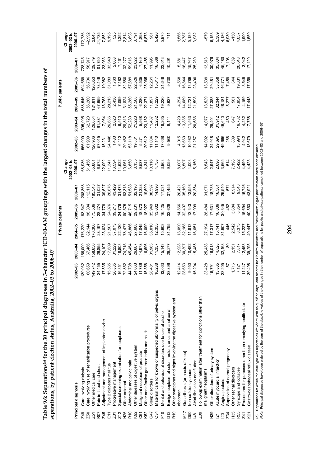Table 9.6: Separations® for the 30 principal diagnoses in 3-character ICD-10-AM groupings with the largest changes in the total numbers of<br>separations, by patient election status, Australia, 2002-03 to 2006-07 **Table 9.6: Separations(a) for the 30 principal diagnoses in 3-character ICD-10-AM groupings with the largest changes in the total numbers of separations, by patient election status, Australia, 2002–03 to 2006–07** 

|                  |                                                                   |                                                        |                        |                                                | Private patients        |                                                          |                                  |                                                                                             |                            |                                                                                                         | Public patients                              |                                     |                                                                               |
|------------------|-------------------------------------------------------------------|--------------------------------------------------------|------------------------|------------------------------------------------|-------------------------|----------------------------------------------------------|----------------------------------|---------------------------------------------------------------------------------------------|----------------------------|---------------------------------------------------------------------------------------------------------|----------------------------------------------|-------------------------------------|-------------------------------------------------------------------------------|
|                  |                                                                   |                                                        |                        |                                                |                         |                                                          | $2002 - 03 to$<br>Change         |                                                                                             |                            |                                                                                                         |                                              |                                     | Change<br>$2002 - 03 to$                                                      |
|                  | Principal diagnosis                                               | $2002 - 03$                                            | 2003-04                | 2004-05                                        | 2005-06                 | 2006-07                                                  | 2006–07                          | $2002 - 03$                                                                                 | $2003 - 04$                | 2004-05                                                                                                 | 2005-06                                      | 2006-07                             | 2006-07                                                                       |
| <b>Z49</b>       | Care involving dialysis                                           | 139,932                                                | 166,009                | 176,229                                        | 93,547                  | 208,868                                                  | 68,936                           | 556,00                                                                                      | 595,995                    | 538,546                                                                                                 | 394,669                                      | 728,74!                             | 172,736                                                                       |
| Z50              | Care involving use of rehabilitation procedures                   | 60,659                                                 | 67,466                 | 82,144                                         | 98,334                  | 112,115                                                  | 51,456                           | 61,909                                                                                      | 62,723                     | 56,260                                                                                                  | 56,706                                       | 58,917                              | $-2,992$                                                                      |
| Z51              | Other medical care                                                | 149,742                                                | 58,650                 | 70,306                                         | 175,536                 | 85,543                                                   | 35,801                           | 126,906                                                                                     | 26,654                     | 124, 811                                                                                                | 26,653                                       | 129,749                             |                                                                               |
| R07              | Pain in throat and chest                                          | 24,455                                                 | 26,855                 | 28,197                                         | 28,274                  | 31,027                                                   | 6,572                            | 57,015                                                                                      |                            | 67,659                                                                                                  | 73,149                                       | 81,750                              |                                                                               |
| Z45              | Adjustment and management of implanted device                     | 17,535                                                 | 24,107                 | 28,024                                         | 34,778                  | 39,627                                                   | 22,092<br>11,341                 | 15,231                                                                                      | 61,381<br>17,964           | 18,763                                                                                                  |                                              | 23,083                              | 2,843<br>24,735<br>7,852                                                      |
| E11              | ype 2 diabetes mellitus                                           | 15,535                                                 | 17,609                 | 21,507                                         | 24,076                  | 26,876                                                   |                                  | 24,448                                                                                      |                            | 29,213                                                                                                  |                                              | 33,643                              | 9,195                                                                         |
| Z31              | Procreative management                                            | 26,835                                                 | 31,229                 | 37,073                                         | 39,217                  | 43,429                                                   | 16,594                           |                                                                                             |                            |                                                                                                         |                                              |                                     |                                                                               |
| Z12              | Special screening examination for neoplasms                       |                                                        | 18,808                 | 22,120                                         | 24,776                  | 31,473                                                   | 14,622                           |                                                                                             |                            |                                                                                                         |                                              | 2,008<br>7,464                      |                                                                               |
| H26              | Other cataract                                                    | 16,851<br>72,352                                       | 74,715                 | 78,477                                         | 80,575                  | 83,313<br>51,588                                         | 10,961                           |                                                                                             |                            |                                                                                                         |                                              | 32,277                              |                                                                               |
| R <sub>10</sub>  | Abdominal and pelvic pain                                         | 44,738                                                 | 45,454                 | 46,866                                         | 48,715                  |                                                          | 6,850                            |                                                                                             |                            |                                                                                                         |                                              |                                     |                                                                               |
| K92              | Other diseases of digestive system                                | 24,063                                                 | 26,687                 | 27,608                                         | 29,231                  | 32,198                                                   | 8,135                            |                                                                                             |                            |                                                                                                         |                                              | 59,816<br>23,622<br>7,169           |                                                                               |
| C61              | Malignant neoplasm of prostate                                    | 11,786                                                 | 14,973                 | 17,045                                         | 18,873                  | 21,323                                                   |                                  |                                                                                             |                            |                                                                                                         |                                              |                                     |                                                                               |
| K52              | Other noninfective gastroenteritis and colitis                    | 15,358                                                 | 16,696                 | 16,099                                         | 18,027                  | 19,699                                                   |                                  |                                                                                             |                            |                                                                                                         |                                              | 27,485<br>11,995                    |                                                                               |
| G47              | Sleep disorders                                                   | 28,481                                                 | 31,963                 |                                                | 35,949                  | 38,597                                                   |                                  |                                                                                             |                            |                                                                                                         |                                              |                                     |                                                                               |
| 034              | Maternal care for known or suspected abnormality of pelvic organs | 10,238                                                 | 11,357                 | 35,010<br>12,355                               | 13,632                  | 14,996                                                   | 9.537<br>9.341<br>9.341<br>9.758 | $7.483\n6.463\n7.463\n8.37\n9.637\n10.634\n11.40\n12.43\n13.44\n14.45\n15.44\n16.45\n17.44$ |                            | $7,8980$ $7,8980$ $7,8980$ $7,8980$ $7,8980$ $7,8980$ $7,8980$ $7,8980$ $7,890$ $7,890$ $7,790$ $7,790$ |                                              | 16,566                              |                                                                               |
| F10              | Mental and behavioural disorders due to use of alcohol            | 13,063                                                 | 5,143                  | 5,908                                          | 6,425                   | 17,031                                                   | 3,968                            | 17,668                                                                                      | 18,265                     | 19,220                                                                                                  | 21,648                                       | 23,643                              | 525<br>52635 5365 5365 5365<br>5263 5365 5365 5367<br>536 5365 5365 5         |
| $\tilde{D}$ 12   | Benign neoplasm of colon, rectum, anus and anal canal             | 28,396                                                 | 29,277                 | 31,795                                         | 32,629                  | 37,455                                                   | 9,059                            | 9,580                                                                                       | 9,14                       | 9,627                                                                                                   | 9,730                                        | 10,291                              |                                                                               |
| R <sub>19</sub>  | Other symptoms and signs involving the digestive system and       |                                                        |                        |                                                |                         |                                                          |                                  |                                                                                             |                            |                                                                                                         |                                              |                                     |                                                                               |
|                  | abdomen                                                           | 12,414<br>28,653                                       | 12,928                 |                                                |                         |                                                          |                                  |                                                                                             |                            |                                                                                                         |                                              | 5,581                               |                                                                               |
| N17              | Gonarthrosis [arthrosis of knee]                                  |                                                        | 30,397                 | 13,090<br>32,168                               | 14,866<br>32,407        | 20,421<br>35,160                                         |                                  | 4,015<br>13,660                                                                             |                            |                                                                                                         |                                              | 16,447                              | 1,566<br>2,787                                                                |
| D50              | ron deficiency anaemia                                            | 9,550<br>15,204                                        | 0,482                  | 1,813                                          | 12,343                  | 13,558                                                   | 8,507<br>6,508<br>6,406<br>5,150 | 10,582<br>21,257                                                                            | 4,429<br>13,835<br>11,533  | 4.294<br>4.689<br>4.4.598<br>7.598                                                                      | 4,568<br>16,848<br>13,789<br>23,490          | 15,767                              | 5,185<br>3,982                                                                |
| 148              | Atrial fibrillation and flutter                                   |                                                        | 5,485                  | 6,651                                          | 17,999                  | 20,354                                                   |                                  |                                                                                             | 20,686                     |                                                                                                         |                                              | 25,239                              |                                                                               |
| Z <sub>0</sub> 9 | Follow-up examination after treatment for conditions other than   |                                                        |                        |                                                |                         |                                                          |                                  |                                                                                             |                            |                                                                                                         |                                              |                                     |                                                                               |
|                  | malignant neoplasms                                               | 23,428                                                 | 0.5,438                |                                                |                         | 31,97                                                    | 8,543                            | 14,092                                                                                      | 14,077                     | 13,529                                                                                                  | 13,539                                       | 13,513                              | $-579$                                                                        |
| <b>QSD</b>       | Other disorders of urinary system                                 | 15,791<br>13,865<br>33,205<br>57                       | 16,018                 | 27,194<br>17,317<br>15,141<br>31,907<br>31,946 | 28,484<br>I7,631        | 18,738<br>16,561<br>29,543<br>29,543<br>43,921<br>43,921 |                                  | 24,918                                                                                      | 25,401<br>31,912<br>49,640 | 27,388<br>32,344<br>48,181<br>17,954<br>17,448<br>17,448                                                | 29,481<br>33,358<br>46,771<br>7,459<br>7,459 | 30,076<br>35,004<br>45,480<br>7,198 | 5,158                                                                         |
| $\overline{2}1$  | Acute myocardial infarction                                       |                                                        |                        |                                                |                         |                                                          |                                  |                                                                                             |                            |                                                                                                         |                                              |                                     | 5,309                                                                         |
| $\overline{20}$  | Angina pectoris                                                   |                                                        | 14,828<br>32,168<br>80 |                                                | 16,036<br>30,345<br>462 |                                                          |                                  | 29,695<br>49,666                                                                            |                            |                                                                                                         |                                              |                                     |                                                                               |
| Z34              | Supervision of normal pregnancy                                   |                                                        |                        |                                                |                         |                                                          |                                  | 268                                                                                         | 450<br>647                 |                                                                                                         |                                              |                                     | $4,186$<br>6,930                                                              |
| H35              | Other retinal disorders                                           |                                                        |                        |                                                |                         |                                                          |                                  | 809                                                                                         |                            |                                                                                                         |                                              |                                     |                                                                               |
| R55              | Syncope and collapse                                              | $1,716$<br>$7,121$<br>$11,247$<br>$11,247$<br>$39,498$ | $2,151$<br>$7,817$     | 2.542<br>2.5727<br>2.547<br>2.547              |                         |                                                          |                                  | 15,991                                                                                      | 16,782<br>4,232<br>17,758  |                                                                                                         | 19,331<br>3,548<br>17,358                    | 20,048                              | $\begin{array}{r}\n 150 \\  750 \\  750 \\  750 \\  750 \\  750\n\end{array}$ |
| Z41              | Procedures for purposes other than remedying health state         |                                                        | 2,453<br>39,295        |                                                |                         |                                                          |                                  | 4,942                                                                                       |                            |                                                                                                         |                                              | 3,042<br>I7,120                     |                                                                               |
| <b>21</b>        | Gastro-oesophageal reflux disease                                 |                                                        |                        |                                                |                         |                                                          |                                  | 18,679                                                                                      |                            |                                                                                                         |                                              |                                     |                                                                               |
|                  |                                                                   |                                                        |                        |                                                |                         |                                                          |                                  |                                                                                             |                            |                                                                                                         |                                              |                                     |                                                                               |

(a) Separations for which the care type was reported as *Newborn wi*th no qualified days, and records for *Hospital boarders* and *Posthumous organ procurement* have been excluded.<br>*Note: Pr*incipal diagnoses have been ord (a) Separations for which the care type was reported as *Newborn* with no qualified days, and records for *Hospital boarders* and *Posthumous organ procurement* have been excluded.

*Note:* Principal diagnoses have been ordered by the sum of the absolute values of the changes in the number of separations for public and private patients combined between 2002–03 and 2006–07.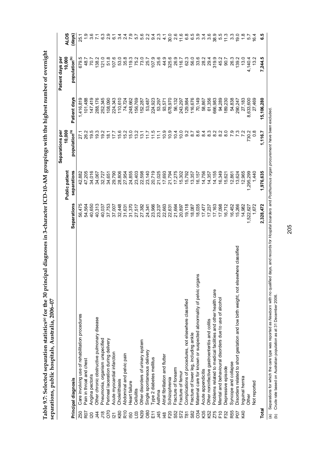| with the highest number of overnier.<br>. 30 principal diagnoses in 3-character ICD-10-AM groupings with<br>$- - - +$ $-  + -  - -$ |              |  |
|-------------------------------------------------------------------------------------------------------------------------------------|--------------|--|
|                                                                                                                                     | י אורות הורי |  |

|                    |                                                                                                                                        |                  |                               | Separations per<br>10,000                           |              | 10,000<br>Patient days per |                                                        |
|--------------------|----------------------------------------------------------------------------------------------------------------------------------------|------------------|-------------------------------|-----------------------------------------------------|--------------|----------------------------|--------------------------------------------------------|
|                    | Principal diagnosis                                                                                                                    | Separations      | separations<br>Public patient | population <sup>(b)</sup>                           | Patient days | population <sup>(b)</sup>  | <b>ALOS</b><br>(days)                                  |
| <b>Z50</b>         | Care involving use of rehabilitation procedures                                                                                        | 56,475           | 42,882                        |                                                     | 1,416,819    | 679.5                      | 25.1                                                   |
| R <sub>07</sub>    | Pain in throat and chest                                                                                                               | 54,564           | 47,205                        | 26.2                                                | 101,488      | 48.7                       |                                                        |
| $\overline{20}$    | Angina pectoris                                                                                                                        | 40,650           | 34,016                        | 19.5                                                | 147,419      | 70.7                       | 3.6                                                    |
| $\frac{4}{4}$      | Other chronic obstructive pulmonary disease                                                                                            | 40,313           | 34,067                        | 19.3                                                | 288,176      | 138.2                      |                                                        |
| $\frac{8}{10}$     | Pneumonia, organism unspecified                                                                                                        | 40,037           | 32,727                        | 19.2                                                | 252,345      | 121.0                      |                                                        |
| 070                | Perineal laceration during delivery                                                                                                    | 37,753           | 34,651                        | 18.1                                                | 108,090      | 51.8                       |                                                        |
| $\overline{21}$    | Acute myocardial infarction                                                                                                            | 37,007           | 29,790                        | 17.7                                                | 224,343      | 107.6                      |                                                        |
| K80                | Cholelithiasis                                                                                                                         | 32,448           | 28,806                        | 15.6                                                | 110,610      | 53.0                       |                                                        |
| R <sub>10</sub>    | Abdominal and pelvic pain                                                                                                              | 31,631           | 27,954                        | 15.2                                                | 74,724       | 35.8                       | 0.990                                                  |
| 50                 | Heart failure                                                                                                                          | 31,370           | 24,855                        | 15.0                                                | 248,662      | 119.3                      |                                                        |
| L03                | Cellulitis                                                                                                                             | 27,517           | 23,403                        | 13.2                                                | 156,769      | 75.2                       |                                                        |
| N39                | Other disorders of urinary system                                                                                                      | 27,382           | 22,598                        | 13.1                                                | 152,287      | 73.0                       | n m m m m m m                                          |
| 080                | Single spontaneous delivery                                                                                                            | 24,341           | 23,140                        | $\begin{array}{l} 1.7 \\ 1.7 \\ 2.7 \\ \end{array}$ | 53,487       | 25.7                       |                                                        |
| E11                | Type 2 diabetes mellitus                                                                                                               |                  | 20,719                        |                                                     | 224,923      | 107.9<br>25.6              |                                                        |
| <b>J45</b>         | Asthma                                                                                                                                 | 23,966<br>23,237 | 21,025                        |                                                     | 53,297       |                            |                                                        |
| $\frac{8}{4}$      | Atrial fibrillation and flutter                                                                                                        | 22,663           | 17,693                        |                                                     | 93,571       | 44.9                       |                                                        |
| <b>E282</b><br>982 | Schizophrenia                                                                                                                          | 22,631           | 21,794                        | $0.9$<br>$0.9$<br>$0.4$                             | 678,970      | 325.6                      | $30.0$<br>2.6                                          |
|                    | Fracture of forearm                                                                                                                    | 21,664           | 17,275                        |                                                     | 56,132       | 26.9                       |                                                        |
|                    | Fracture of femur                                                                                                                      | 20,897           | 15,302                        |                                                     | 243,297      | 116.7<br>62.3              |                                                        |
| $\overline{18}$    | Complications of procedures, not elsewhere classified                                                                                  | 19,118           | 15,792                        | c a c a c a c a c a c<br>C a c a c a c a c a c      | 129,984      |                            | $5 \over 6 \overline{6}$ $\omega \omega \omega \omega$ |
| S82                | Fracture of lower leg, including ankle                                                                                                 | 18,087           | 13,357                        |                                                     | 116,676      | 56.0<br>33.6               |                                                        |
| 034                | Maternal care for known or suspected abnormality of pelvic organs                                                                      | 18,035           | 16,157                        |                                                     | 70,149       |                            |                                                        |
| K35                | Acute appendicitis                                                                                                                     | 17,477           | 14,756                        |                                                     | 58,867       | 28.2                       |                                                        |
| K52                | Other noninfective gastroenteritis and colitis                                                                                         | 17,237           | 14,357                        |                                                     | 61,356       | 29.4                       |                                                        |
| Z75                | Problems related to medical facilities and other health care                                                                           | 17,163           | 14,155                        |                                                     | 666,983      | 319.9                      | 38.5<br>5.5                                            |
| F10                | Mental and behavioural disorders due to use of alcohol                                                                                 | 17,098           | 16,349                        |                                                     | 94,289       | 45.2                       |                                                        |
| F32                | Depressive episode                                                                                                                     | 16,712           | 15,621                        |                                                     | 189,230      | 90.7                       | 11.3                                                   |
| R <sub>55</sub>    | Syncope and collapse                                                                                                                   | 16,452           | 12,861                        |                                                     | 54,838       | 26.3                       | $3.\overline{3}$                                       |
| <b>POT</b>         | Disorders related to short gestation and low birth weight, not elsewhere classified                                                    | 15,266           | 13,624                        |                                                     | 290,247      | 139.2                      | 19.0                                                   |
| K40                | Inguinal hemia                                                                                                                         | 14,982           | 12,965                        |                                                     | 27,183       | 13.0                       | $\frac{8}{10}$                                         |
|                    | Other                                                                                                                                  | 1,522,627        | 1,295,299                     | 730.2                                               | 8,633,600    | 4,140.4                    | 57                                                     |
|                    | Not reported                                                                                                                           | 1,672            | 1,440                         | $\frac{8}{2}$                                       | 27,469       | 13.2                       | 16.4                                                   |
| Total              |                                                                                                                                        | 2,328,472        | 1,976,635                     | 1,116.7                                             | 15,106,280   | 7,244.5                    | ه.<br>ق                                                |
| $\tilde{c}$        | ad dave and records for Hospital hoardore and Posthumous<br>Senardings for which the care two was reported as Mourborn with no qualifi |                  |                               |                                                     |              |                            |                                                        |

(a) Separations for which the care type was reported as Newborn with no qualified days, and records for *Hospital boarders* and Posthumous organ procurement have been excluded.<br>(b) Crude rate based on Australian population (a) Separations for which the care type was reported as *Newborn* with no qualified days, and records for *Hospital boarders* and *Posthumous organ procurement* have been excluded.

(b) Crude rate based on Australian population as at 31 December 2006.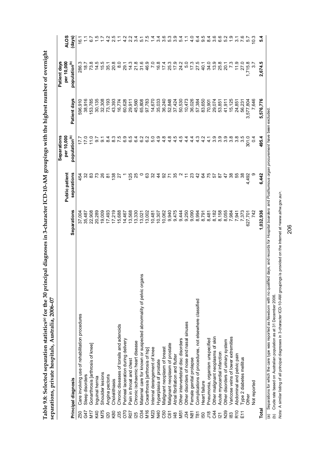| אית היה הסת היו אין ה<br>֘                                                            |                                                                                         |
|---------------------------------------------------------------------------------------|-----------------------------------------------------------------------------------------|
| りしょうしょう<br>.<br>م<br>j<br>r<br>C                                                      |                                                                                         |
| י<br>י<br>;;<br>;<br>;<br>Ć                                                           | ξ                                                                                       |
| $\sim$ - $\sim$ ror the 30 $\sim$<br>أهامهما<br>ible 9.8: Selected separation statist | c<br>C<br>C<br>C<br>らん<br>comprotione nrivate hospitals Arc<br>ĺ<br>The Little Armstras |
| r<br>F                                                                                |                                                                                         |

|                 |                                                                                                                                                                                |                                  |                       | Separations                                                   |              | Patient days              |               |
|-----------------|--------------------------------------------------------------------------------------------------------------------------------------------------------------------------------|----------------------------------|-----------------------|---------------------------------------------------------------|--------------|---------------------------|---------------|
|                 |                                                                                                                                                                                |                                  | <b>Public patient</b> | per 10,000                                                    |              | per 10,000                | <b>ALOS</b>   |
|                 | Principal diagnosis                                                                                                                                                            | Separations                      | separations           | population <sup>(b)</sup>                                     | Patient days | population <sup>(b)</sup> | (days)        |
| <b>Z50</b>      | Care involving use of rehabilitation procedures                                                                                                                                | 37,004                           | 454                   |                                                               | 596,910      | 286.3                     | 16.1          |
| G47             | Sleep disorders                                                                                                                                                                | 35,487                           |                       |                                                               | 38,916       | 18.7                      |               |
| <b>N17</b>      | Gonarthrosis [arthrosis of knee]                                                                                                                                               | 22,908                           |                       | $\frac{0}{11}$                                                | 153,785      | 73.8                      |               |
| K40             | Inguinal hernia                                                                                                                                                                | 20,289                           |                       | 56                                                            | 30,135       | 14.5                      |               |
| M75             | Shoulder lesions                                                                                                                                                               | 19,009                           |                       | 5                                                             | 32,308       | 15.5                      |               |
| $\overline{20}$ | Angina pectoris                                                                                                                                                                | 17,493                           | ळ                     | $\frac{4}{3}$                                                 | 73,193       | 35.1                      |               |
| K80             | Cholelithiasis                                                                                                                                                                 | 17,219                           | 138                   | <u>က္</u>                                                     | 43,393       | 20.8                      |               |
| <b>J35</b>      | Chronic diseases of tonsils and adenoids                                                                                                                                       | 15,688                           | 27                    |                                                               | 16,774       | $\frac{0}{8}$             |               |
| 070             | Perineal laceration during delivery                                                                                                                                            | 14,467                           |                       | 6.9                                                           | 60,628       | 29.1                      |               |
| R <sub>07</sub> | Pain in throat and chest                                                                                                                                                       | 13,568                           | 125                   | 6.5                                                           | 29,911       | 14.3                      | $\frac{2}{3}$ |
| <b>25</b>       | Chronic ischaemic heart disease                                                                                                                                                | 13,330                           | 25                    | 6.4                                                           | 45,560       | 21.8                      | 34            |
| 034             | ans<br>Maternal care for known or suspected abnormality of pelvic org                                                                                                          | 13,021                           |                       | 6.2                                                           | 65,808       | 31.6                      | 5             |
| M16             | Coxarthrosis [arthrosis of hip]                                                                                                                                                | 13,002                           | ී                     | $\begin{array}{c} 0 & 0 & 0 & 0 \\ 0 & 0 & 4 & 4 \end{array}$ | 97,783       | 46.9                      | $\frac{5}{7}$ |
| M23             | Internal derangement of knee                                                                                                                                                   | 10,481                           | ೫                     |                                                               | 14,670       | $\overline{7.0}$          |               |
| N40             | Hyperplasia of prostate                                                                                                                                                        | 10,307                           | 4                     |                                                               | 35,033       | 16.8                      | 6             |
| C50             | Malignant neoplasm of breast                                                                                                                                                   | 10,062                           |                       |                                                               | 36,240       | イスリスト イストリング しょうしょうじょう    | က             |
| C61             | Malignant neoplasm of prostate                                                                                                                                                 | 9,940                            | <b>S Z S</b>          | œ<br>4                                                        | 52,848       |                           | ιó            |
| $\frac{48}{5}$  | Atrial fibrillation and flutter                                                                                                                                                | 9,475                            |                       | ယ္<br>4                                                       | 37,424       |                           | က             |
| M51             | Other intervertebral disc disorders                                                                                                                                            | 9,444                            |                       | ယ္<br>4                                                       | 50,530       |                           | $\frac{5}{4}$ |
| 34              | Other disorders of nose and nasal sinuses                                                                                                                                      | 9,250                            |                       | 4<br>4.                                                       | 10,473       |                           |               |
| $\frac{5}{2}$   | Female genital prolapse                                                                                                                                                        | 9,090                            | 23                    | $4\overline{4}$                                               | 36,026       |                           | $\frac{0}{4}$ |
| <b>Pa</b><br>Pa | Complications of procedures, not elsewhere classified                                                                                                                          | 8,994                            | $\frac{2}{3}$         | 4.3                                                           | 57,384       |                           | 64            |
|                 | Heart failure                                                                                                                                                                  | 8,791                            | 84                    | 4.2                                                           | 83,650       | 40.1                      | တ် ထဲ         |
| $\frac{2}{3}$   | Pneumonia, organism unspecified                                                                                                                                                | 8,481<br>8,168<br>8,055<br>8,055 |                       | 7<br>$\frac{1}{4}$                                            | 70,901       | 34.0                      |               |
|                 | Other malignant neoplasms of skin                                                                                                                                              |                                  | 57                    | 3.9                                                           | 29,074       | 13.9                      | ဖ<br>S        |
| $\overline{2}$  | Acute myocardial infarction                                                                                                                                                    |                                  | 28                    | တ္<br>6                                                       | 53,851       | 25.8                      | ဖ<br>G        |
| N <sub>39</sub> | Other disorders of urinary system                                                                                                                                              |                                  | 47                    | တ္<br>6                                                       | 41,911       | 20.1                      | $\sim$<br>က   |
| 83              | Varicose veins of lower extremities                                                                                                                                            | 7,984                            | 38                    | 3.8                                                           | 15,125       | 7.3                       | $\frac{0}{1}$ |
| R10<br>E11      | Abdominal and pelvic pain                                                                                                                                                      | 7,941                            | 55                    | 3.8                                                           | 24,851       | 11.9                      | S             |
|                 | Type 2 diabetes mellitus                                                                                                                                                       | 7,373                            | 38                    | 3.5                                                           | 56,231       | 27.0                      | 7.6           |
|                 | <b>Other</b>                                                                                                                                                                   | 627,701                          | 4,492                 | 301.0                                                         | 3,577,804    | 1,715.8                   | 5.7           |
|                 | Not reported                                                                                                                                                                   | 742                              |                       | $\frac{4}{4}$                                                 | 7,646        | $\dot{\rm c}$             | $\frac{3}{2}$ |
| Total           |                                                                                                                                                                                | 1,032,936                        | 6,442                 | 495.4                                                         | 5,576,776    | 2,674.5                   | 5.4           |
|                 | (a) Separations for which the care type was reported as Newborn with no qualified days, and records for Hospital boarders and Posthurnous organ procurement have been excluded |                                  |                       |                                                               |              |                           |               |

(a) Separations for which the care type was reported as Newbo*r*n with no qualified days, and records for *Hospital boarders* and *Posthurnous organ procurement* have been excluded.<br>(b) Crude rate based on Australian popul *Note:* A similar listing of all principal diagnoses in 3-character ICD-10-AM groupings is provided on the Internet at <www.aihw.gov.au>.

(b) Crude rate based on Australian population as at 31 December 2006.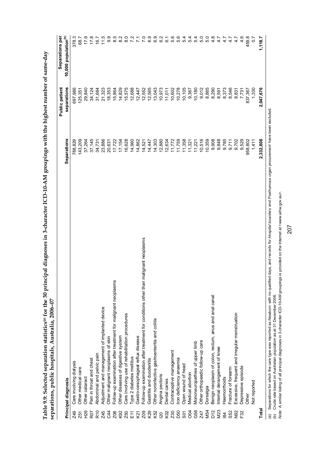|                                                                                     |             | Public patient                                                                                   | Separations per                      |
|-------------------------------------------------------------------------------------|-------------|--------------------------------------------------------------------------------------------------|--------------------------------------|
| Principal diagnosis                                                                 | Separations | separations                                                                                      | 10,000 population <sup>(b)</sup>     |
| Care involving dialysis                                                             | 788,829     | 697,986                                                                                          | 378.3                                |
| Other medical care                                                                  |             |                                                                                                  | 68.7                                 |
| Other cataract                                                                      |             | 29,840                                                                                           | 17.9                                 |
| Pain in throat and chest                                                            |             | 34,124                                                                                           | 17.8                                 |
| Abdominal and pelvic pain                                                           | 34,731      | 31,684                                                                                           | 16.7                                 |
| Adjustment and management of implanted device                                       |             |                                                                                                  | $\frac{5}{11}$                       |
| Other malignant neoplasms of skin                                                   |             |                                                                                                  | 9.9                                  |
| Follow-up examination after treatment for malignant neoplasms                       |             | 15,864                                                                                           | $\frac{5}{8}$                        |
| Other diseases of digestive system                                                  | 17,154      | 14,829                                                                                           | $\frac{2}{8}$                        |
| Care involving use of rehabilitation procedures                                     | 16,628      | 15,575                                                                                           | $\frac{0}{8}$                        |
| Type 2 diabetes mellitus                                                            | 14,960      | 12,688                                                                                           | $\overline{ }$                       |
| Gastro-oesophageal reflux disease                                                   | 14,862      | 12,447                                                                                           | $\sim$                               |
| Follow-up examination after treatment for conditions other than malignant neoplasms | 14,521      | 12,552                                                                                           | $\overline{2}$                       |
| Gastritis and duodenitis                                                            | 14,447      | 12,565                                                                                           | 6.9                                  |
| Other noninfective gastroenteritis and colitis                                      | 14,303      | 13,043                                                                                           | င်<br>ဝ                              |
| Angina pectoris                                                                     | 12,880      | 10,973                                                                                           | c<br>6                               |
| Dental caries                                                                       | 12,634      | 11,011                                                                                           | G                                    |
| Contraceptive management                                                            | 11,772      | 10,602                                                                                           | ن<br>5                               |
| Iron deficiency anaemia                                                             |             | 10,278                                                                                           | 5.6                                  |
| Open wound of head                                                                  | 11,358      | 10,105                                                                                           | ျက်                                  |
| Medical abortion                                                                    |             | 9,367                                                                                            | S                                    |
| Mononeuropathies of upper limb                                                      |             | 10,180                                                                                           | 4<br>S                               |
| Other orthopaedic follow-up care                                                    | 10,516      | 9,012                                                                                            | 5.0                                  |
| Dorsalgia                                                                           | 10,359      | 8,865                                                                                            | 5.0                                  |
| Benign neoplasm of colon, rectum, anus and anal canal                               | 9,908       | 8,290                                                                                            | $4.\overline{8}$                     |
| Internal derangement of knee                                                        |             | 8,591                                                                                            | 4.7                                  |
| Haemorrhoids                                                                        | 9,785       | 8,373                                                                                            | 4.7                                  |
| Fracture of forearm                                                                 | 9,711       | 8,546                                                                                            | 4.7                                  |
| Excessive, frequent and irregular menstruation                                      | 9,702       | 8,831                                                                                            | 4.7                                  |
| Depressive episode                                                                  | 9,529       |                                                                                                  | $\frac{6}{4}$                        |
| Other                                                                               | 958,802     | 837,367                                                                                          | 459.8                                |
| Not reported                                                                        | 1,411       | 1,330                                                                                            | $\frac{2}{3}$                        |
|                                                                                     | 2,332,808   | 2,047,676                                                                                        | 1,118.7                              |
|                                                                                     |             | 143,209<br>11,759<br>9,848<br>37,264<br>37,145<br>23,886<br>17,722<br>20,631<br>11,221<br>11,321 | 21,323<br>18,353<br>7,731<br>125,351 |

Table 9.9: Selected separation statistics® for the 30 principal diagnoses in 3-character ICD-10-AM groupings with the highest number of same-day **Table 9.9: Selected separation statistics(a) for the 30 principal diagnoses in 3-character ICD-10-AM groupings with the highest number of same-day separations, public hospitals, Australia, 2006–07** 

(a) Separations for which the care type was reported as Me*wborn wi*th no qualified days, and records for *Hospital boarders* and *Posthurnous organ procurement* have been excluded.<br>(b) Crude rate based on Australian popul *Note:* A similar listing of all principal diagnoses in 3-character ICD-10-AM groupings is provided on the Internet at <www.aihw.gov.au>.

(b) Crude rate based on Australian population as at 31 December 2006.

(a) Separations for which the care type was reported as *Newborn* with no qualified days, and records for *Hospital boarders* and *Posthumous organ procurement* have been excluded.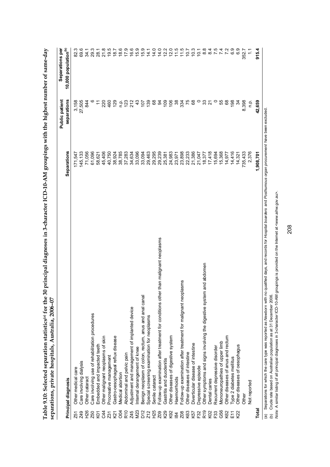| $19.5$<br>$18.7$<br>69.6<br>29.3<br>21.8<br>18.6<br>17.9<br>15.9<br>15.9<br>8.8<br>82.3<br>16.6<br>14.0<br>12.2<br>12.0<br>11.5<br>10.3<br>75<br>$\mathbf{v}$<br>6.9<br>c.o<br>915.4<br>28.1<br>14.0<br>11.5<br>701<br>84<br>7.4<br>34.1<br>14.1<br>10.1<br>352.7<br>r<br>75<br>$\circ$<br>68<br>139<br>68<br>$\overline{109}$<br>106<br>38<br>89<br>33<br>$\circ$<br>55<br>198<br>8,398<br>42,659<br>27,505<br>220<br>129<br>23243<br>107<br>$\mathfrak{g}$<br>334<br>34<br>3,158<br>844<br>460<br>$\overline{\mathbf{z}}$<br>$\tilde{t}$<br>o.<br>C<br>24,983<br>23,898<br>22,233<br>21,386<br>17,418<br>61,096<br>45,406<br>40,750<br>38,924<br>38,785<br>37,283<br>33,096<br>29,463<br>29,295<br>29,239<br>21,047<br>15,694<br>15,368<br>14,416<br>735,433<br>2,376<br>145,133<br>71,056<br>33,094<br>1,908,701<br>34,634<br>25,381<br>18,377<br>14,977<br>171,547<br>23,971<br>58,621<br>14,321<br>Follow-up examination after treatment for conditions other than malignant neoplasms<br>Other symptoms and signs involving the digestive system and abdomen<br>plasms<br>Benign neoplasm of colon, rectum, anus and anal canal<br>Follow-up examination after treatment for malignant neo<br>Adjustment and management of implanted device<br>Care involving use of rehabilitation procedures<br>Special screening examination for neoplasms<br>Other diseases of anus and rectum<br>Gastro-oesophageal reflux disease<br>Other diseases of digestive system<br>Other malignant neoplasms of skin<br>Mononeuropathies of upper limb<br>Diverticular disease of intestine<br>Embedded and impacted teeth<br>Other diseases of oesophagus<br>Recurrent depressive disorder<br>Internal derangement of knee<br>Other diseases of intestine<br>Abdominal and pelvic pain<br>Procreative management<br>Type 2 diabetes mellitus<br>Gastritis and duodenitis<br>Care involving dialysis<br>Depressive episode<br>Other medical care<br>Medical abortion<br>Senile cataract<br>Haemorrhoids<br>Other cataract<br>Dental caries<br>Not reported<br>Other<br>Total<br><b>M23</b><br>G56<br>H26<br>D12<br>H <sub>25</sub><br>R <sub>19</sub><br>OQ<br>R <sub>10</sub><br>K29<br>K92<br>K02<br>Z45<br>Z12<br>K63<br><b>Z49</b><br>C44<br>Z <sub>09</sub><br>Z <sub>08</sub><br>K57<br>F32<br>F33<br>K62<br>E11<br>K22<br><b>Z50</b><br>K21<br>K <sub>0</sub><br>Z31<br>Z51<br>$\overline{a}$ | separations, private hospitals, Australia, 2006-07<br>Principal diagnosis | Separations | separations<br><b>Public patient</b> | 10,000 population <sup>(b)</sup><br>Separations per |
|------------------------------------------------------------------------------------------------------------------------------------------------------------------------------------------------------------------------------------------------------------------------------------------------------------------------------------------------------------------------------------------------------------------------------------------------------------------------------------------------------------------------------------------------------------------------------------------------------------------------------------------------------------------------------------------------------------------------------------------------------------------------------------------------------------------------------------------------------------------------------------------------------------------------------------------------------------------------------------------------------------------------------------------------------------------------------------------------------------------------------------------------------------------------------------------------------------------------------------------------------------------------------------------------------------------------------------------------------------------------------------------------------------------------------------------------------------------------------------------------------------------------------------------------------------------------------------------------------------------------------------------------------------------------------------------------------------------------------------------------------------------------------------------------------------------------------------------------------------------------------------------------------------------------------------------------------------------------------------------------------------------------------------------------------------------------------------------------------------------------------------------------------------------------------------------------------------------------------------------------------------------------------------------------------------------------------------------------------------------------------------------|---------------------------------------------------------------------------|-------------|--------------------------------------|-----------------------------------------------------|
|                                                                                                                                                                                                                                                                                                                                                                                                                                                                                                                                                                                                                                                                                                                                                                                                                                                                                                                                                                                                                                                                                                                                                                                                                                                                                                                                                                                                                                                                                                                                                                                                                                                                                                                                                                                                                                                                                                                                                                                                                                                                                                                                                                                                                                                                                                                                                                                          |                                                                           |             |                                      |                                                     |
|                                                                                                                                                                                                                                                                                                                                                                                                                                                                                                                                                                                                                                                                                                                                                                                                                                                                                                                                                                                                                                                                                                                                                                                                                                                                                                                                                                                                                                                                                                                                                                                                                                                                                                                                                                                                                                                                                                                                                                                                                                                                                                                                                                                                                                                                                                                                                                                          |                                                                           |             |                                      |                                                     |
|                                                                                                                                                                                                                                                                                                                                                                                                                                                                                                                                                                                                                                                                                                                                                                                                                                                                                                                                                                                                                                                                                                                                                                                                                                                                                                                                                                                                                                                                                                                                                                                                                                                                                                                                                                                                                                                                                                                                                                                                                                                                                                                                                                                                                                                                                                                                                                                          |                                                                           |             |                                      |                                                     |
|                                                                                                                                                                                                                                                                                                                                                                                                                                                                                                                                                                                                                                                                                                                                                                                                                                                                                                                                                                                                                                                                                                                                                                                                                                                                                                                                                                                                                                                                                                                                                                                                                                                                                                                                                                                                                                                                                                                                                                                                                                                                                                                                                                                                                                                                                                                                                                                          |                                                                           |             |                                      |                                                     |
|                                                                                                                                                                                                                                                                                                                                                                                                                                                                                                                                                                                                                                                                                                                                                                                                                                                                                                                                                                                                                                                                                                                                                                                                                                                                                                                                                                                                                                                                                                                                                                                                                                                                                                                                                                                                                                                                                                                                                                                                                                                                                                                                                                                                                                                                                                                                                                                          |                                                                           |             |                                      |                                                     |
|                                                                                                                                                                                                                                                                                                                                                                                                                                                                                                                                                                                                                                                                                                                                                                                                                                                                                                                                                                                                                                                                                                                                                                                                                                                                                                                                                                                                                                                                                                                                                                                                                                                                                                                                                                                                                                                                                                                                                                                                                                                                                                                                                                                                                                                                                                                                                                                          |                                                                           |             |                                      |                                                     |
|                                                                                                                                                                                                                                                                                                                                                                                                                                                                                                                                                                                                                                                                                                                                                                                                                                                                                                                                                                                                                                                                                                                                                                                                                                                                                                                                                                                                                                                                                                                                                                                                                                                                                                                                                                                                                                                                                                                                                                                                                                                                                                                                                                                                                                                                                                                                                                                          |                                                                           |             |                                      |                                                     |
|                                                                                                                                                                                                                                                                                                                                                                                                                                                                                                                                                                                                                                                                                                                                                                                                                                                                                                                                                                                                                                                                                                                                                                                                                                                                                                                                                                                                                                                                                                                                                                                                                                                                                                                                                                                                                                                                                                                                                                                                                                                                                                                                                                                                                                                                                                                                                                                          |                                                                           |             |                                      |                                                     |
|                                                                                                                                                                                                                                                                                                                                                                                                                                                                                                                                                                                                                                                                                                                                                                                                                                                                                                                                                                                                                                                                                                                                                                                                                                                                                                                                                                                                                                                                                                                                                                                                                                                                                                                                                                                                                                                                                                                                                                                                                                                                                                                                                                                                                                                                                                                                                                                          |                                                                           |             |                                      |                                                     |
|                                                                                                                                                                                                                                                                                                                                                                                                                                                                                                                                                                                                                                                                                                                                                                                                                                                                                                                                                                                                                                                                                                                                                                                                                                                                                                                                                                                                                                                                                                                                                                                                                                                                                                                                                                                                                                                                                                                                                                                                                                                                                                                                                                                                                                                                                                                                                                                          |                                                                           |             |                                      |                                                     |
|                                                                                                                                                                                                                                                                                                                                                                                                                                                                                                                                                                                                                                                                                                                                                                                                                                                                                                                                                                                                                                                                                                                                                                                                                                                                                                                                                                                                                                                                                                                                                                                                                                                                                                                                                                                                                                                                                                                                                                                                                                                                                                                                                                                                                                                                                                                                                                                          |                                                                           |             |                                      |                                                     |
|                                                                                                                                                                                                                                                                                                                                                                                                                                                                                                                                                                                                                                                                                                                                                                                                                                                                                                                                                                                                                                                                                                                                                                                                                                                                                                                                                                                                                                                                                                                                                                                                                                                                                                                                                                                                                                                                                                                                                                                                                                                                                                                                                                                                                                                                                                                                                                                          |                                                                           |             |                                      |                                                     |
|                                                                                                                                                                                                                                                                                                                                                                                                                                                                                                                                                                                                                                                                                                                                                                                                                                                                                                                                                                                                                                                                                                                                                                                                                                                                                                                                                                                                                                                                                                                                                                                                                                                                                                                                                                                                                                                                                                                                                                                                                                                                                                                                                                                                                                                                                                                                                                                          |                                                                           |             |                                      |                                                     |
|                                                                                                                                                                                                                                                                                                                                                                                                                                                                                                                                                                                                                                                                                                                                                                                                                                                                                                                                                                                                                                                                                                                                                                                                                                                                                                                                                                                                                                                                                                                                                                                                                                                                                                                                                                                                                                                                                                                                                                                                                                                                                                                                                                                                                                                                                                                                                                                          |                                                                           |             |                                      |                                                     |
|                                                                                                                                                                                                                                                                                                                                                                                                                                                                                                                                                                                                                                                                                                                                                                                                                                                                                                                                                                                                                                                                                                                                                                                                                                                                                                                                                                                                                                                                                                                                                                                                                                                                                                                                                                                                                                                                                                                                                                                                                                                                                                                                                                                                                                                                                                                                                                                          |                                                                           |             |                                      |                                                     |
|                                                                                                                                                                                                                                                                                                                                                                                                                                                                                                                                                                                                                                                                                                                                                                                                                                                                                                                                                                                                                                                                                                                                                                                                                                                                                                                                                                                                                                                                                                                                                                                                                                                                                                                                                                                                                                                                                                                                                                                                                                                                                                                                                                                                                                                                                                                                                                                          |                                                                           |             |                                      |                                                     |
|                                                                                                                                                                                                                                                                                                                                                                                                                                                                                                                                                                                                                                                                                                                                                                                                                                                                                                                                                                                                                                                                                                                                                                                                                                                                                                                                                                                                                                                                                                                                                                                                                                                                                                                                                                                                                                                                                                                                                                                                                                                                                                                                                                                                                                                                                                                                                                                          |                                                                           |             |                                      |                                                     |
|                                                                                                                                                                                                                                                                                                                                                                                                                                                                                                                                                                                                                                                                                                                                                                                                                                                                                                                                                                                                                                                                                                                                                                                                                                                                                                                                                                                                                                                                                                                                                                                                                                                                                                                                                                                                                                                                                                                                                                                                                                                                                                                                                                                                                                                                                                                                                                                          |                                                                           |             |                                      |                                                     |
|                                                                                                                                                                                                                                                                                                                                                                                                                                                                                                                                                                                                                                                                                                                                                                                                                                                                                                                                                                                                                                                                                                                                                                                                                                                                                                                                                                                                                                                                                                                                                                                                                                                                                                                                                                                                                                                                                                                                                                                                                                                                                                                                                                                                                                                                                                                                                                                          |                                                                           |             |                                      |                                                     |
|                                                                                                                                                                                                                                                                                                                                                                                                                                                                                                                                                                                                                                                                                                                                                                                                                                                                                                                                                                                                                                                                                                                                                                                                                                                                                                                                                                                                                                                                                                                                                                                                                                                                                                                                                                                                                                                                                                                                                                                                                                                                                                                                                                                                                                                                                                                                                                                          |                                                                           |             |                                      |                                                     |
|                                                                                                                                                                                                                                                                                                                                                                                                                                                                                                                                                                                                                                                                                                                                                                                                                                                                                                                                                                                                                                                                                                                                                                                                                                                                                                                                                                                                                                                                                                                                                                                                                                                                                                                                                                                                                                                                                                                                                                                                                                                                                                                                                                                                                                                                                                                                                                                          |                                                                           |             |                                      |                                                     |
|                                                                                                                                                                                                                                                                                                                                                                                                                                                                                                                                                                                                                                                                                                                                                                                                                                                                                                                                                                                                                                                                                                                                                                                                                                                                                                                                                                                                                                                                                                                                                                                                                                                                                                                                                                                                                                                                                                                                                                                                                                                                                                                                                                                                                                                                                                                                                                                          |                                                                           |             |                                      |                                                     |
|                                                                                                                                                                                                                                                                                                                                                                                                                                                                                                                                                                                                                                                                                                                                                                                                                                                                                                                                                                                                                                                                                                                                                                                                                                                                                                                                                                                                                                                                                                                                                                                                                                                                                                                                                                                                                                                                                                                                                                                                                                                                                                                                                                                                                                                                                                                                                                                          |                                                                           |             |                                      |                                                     |
|                                                                                                                                                                                                                                                                                                                                                                                                                                                                                                                                                                                                                                                                                                                                                                                                                                                                                                                                                                                                                                                                                                                                                                                                                                                                                                                                                                                                                                                                                                                                                                                                                                                                                                                                                                                                                                                                                                                                                                                                                                                                                                                                                                                                                                                                                                                                                                                          |                                                                           |             |                                      |                                                     |
|                                                                                                                                                                                                                                                                                                                                                                                                                                                                                                                                                                                                                                                                                                                                                                                                                                                                                                                                                                                                                                                                                                                                                                                                                                                                                                                                                                                                                                                                                                                                                                                                                                                                                                                                                                                                                                                                                                                                                                                                                                                                                                                                                                                                                                                                                                                                                                                          |                                                                           |             |                                      |                                                     |
|                                                                                                                                                                                                                                                                                                                                                                                                                                                                                                                                                                                                                                                                                                                                                                                                                                                                                                                                                                                                                                                                                                                                                                                                                                                                                                                                                                                                                                                                                                                                                                                                                                                                                                                                                                                                                                                                                                                                                                                                                                                                                                                                                                                                                                                                                                                                                                                          |                                                                           |             |                                      |                                                     |
|                                                                                                                                                                                                                                                                                                                                                                                                                                                                                                                                                                                                                                                                                                                                                                                                                                                                                                                                                                                                                                                                                                                                                                                                                                                                                                                                                                                                                                                                                                                                                                                                                                                                                                                                                                                                                                                                                                                                                                                                                                                                                                                                                                                                                                                                                                                                                                                          |                                                                           |             |                                      |                                                     |
|                                                                                                                                                                                                                                                                                                                                                                                                                                                                                                                                                                                                                                                                                                                                                                                                                                                                                                                                                                                                                                                                                                                                                                                                                                                                                                                                                                                                                                                                                                                                                                                                                                                                                                                                                                                                                                                                                                                                                                                                                                                                                                                                                                                                                                                                                                                                                                                          |                                                                           |             |                                      |                                                     |
|                                                                                                                                                                                                                                                                                                                                                                                                                                                                                                                                                                                                                                                                                                                                                                                                                                                                                                                                                                                                                                                                                                                                                                                                                                                                                                                                                                                                                                                                                                                                                                                                                                                                                                                                                                                                                                                                                                                                                                                                                                                                                                                                                                                                                                                                                                                                                                                          |                                                                           |             |                                      |                                                     |
|                                                                                                                                                                                                                                                                                                                                                                                                                                                                                                                                                                                                                                                                                                                                                                                                                                                                                                                                                                                                                                                                                                                                                                                                                                                                                                                                                                                                                                                                                                                                                                                                                                                                                                                                                                                                                                                                                                                                                                                                                                                                                                                                                                                                                                                                                                                                                                                          |                                                                           |             |                                      |                                                     |
|                                                                                                                                                                                                                                                                                                                                                                                                                                                                                                                                                                                                                                                                                                                                                                                                                                                                                                                                                                                                                                                                                                                                                                                                                                                                                                                                                                                                                                                                                                                                                                                                                                                                                                                                                                                                                                                                                                                                                                                                                                                                                                                                                                                                                                                                                                                                                                                          |                                                                           |             |                                      |                                                     |
|                                                                                                                                                                                                                                                                                                                                                                                                                                                                                                                                                                                                                                                                                                                                                                                                                                                                                                                                                                                                                                                                                                                                                                                                                                                                                                                                                                                                                                                                                                                                                                                                                                                                                                                                                                                                                                                                                                                                                                                                                                                                                                                                                                                                                                                                                                                                                                                          |                                                                           |             |                                      |                                                     |
|                                                                                                                                                                                                                                                                                                                                                                                                                                                                                                                                                                                                                                                                                                                                                                                                                                                                                                                                                                                                                                                                                                                                                                                                                                                                                                                                                                                                                                                                                                                                                                                                                                                                                                                                                                                                                                                                                                                                                                                                                                                                                                                                                                                                                                                                                                                                                                                          |                                                                           |             |                                      |                                                     |
|                                                                                                                                                                                                                                                                                                                                                                                                                                                                                                                                                                                                                                                                                                                                                                                                                                                                                                                                                                                                                                                                                                                                                                                                                                                                                                                                                                                                                                                                                                                                                                                                                                                                                                                                                                                                                                                                                                                                                                                                                                                                                                                                                                                                                                                                                                                                                                                          |                                                                           |             |                                      |                                                     |

Table 9.10: Selected separation statistics<sup>(a)</sup> for the 30 principal diagnoses in 3-character ICD-10-AM groupings with the highest number of same-day **Table 9.10: Selected separation statistics(a) for the 30 principal diagnoses in 3-character ICD-10-AM groupings with the highest number of same-day** 

(b) Crude rate based on Australian population as at 31 December 2006.<br>*Note: A* similar listing of all principal diagnoses in 3-character ICD-10-AM groupings is provided on the Internet at <www.aihw.gov.au>. *Note:* A similar listing of all principal diagnoses in 3-character ICD-10-AM groupings is provided on the Internet at <www.aihw.gov.au>.(b) Crude rate based on Australian population as at 31 December 2006.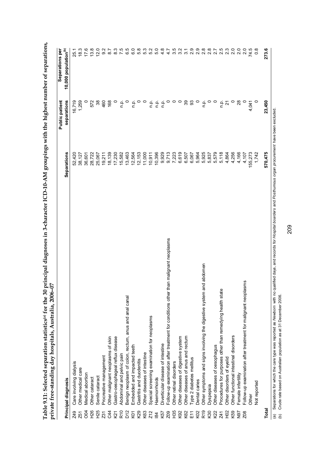|                      | private free-standing day hospitals, Australia, 2006-07                                |                | Public patient                                            | Separations per                  |
|----------------------|----------------------------------------------------------------------------------------|----------------|-----------------------------------------------------------|----------------------------------|
|                      | Principal diagnosis                                                                    | Separations    | separations                                               | 10,000 population <sup>(b)</sup> |
| <b>Z49</b>           | Care involving dialysis                                                                | 52,420         | 16,719                                                    | 25.1                             |
| <b>Z51</b>           | Other medical care                                                                     | 38,127         | 1,259                                                     | 18.3                             |
| OO4                  | Medical abortion                                                                       | 36,601         |                                                           | 17.6                             |
| H26                  | Other cataract                                                                         | 28,722         | 572                                                       | 13.8                             |
| H25                  | Senile cataract                                                                        | 25,067         | 38                                                        | 12.0                             |
| Z31                  | Procreative management                                                                 | 19,211         | 460                                                       | 9.2                              |
| C4                   | Other malignant neoplasms of skin                                                      | 18,139         | 168                                                       | 8.7                              |
| K21                  | Gastro-oesophageal reflux disease                                                      | 17,230         | $\circ$                                                   | $8.\overline{3}$                 |
| R <sub>10</sub>      | Abdominal and pelvic pain                                                              | 15,582         | n.p.                                                      | 7.5                              |
| D <sub>12</sub>      | Benign neoplasm of colon, rectum, anus and anal canal                                  | 13,463         | $\circ$                                                   |                                  |
| KO                   | Embedded and impacted teeth                                                            | 12,564         | n.p.                                                      |                                  |
| K29                  | Gastritis and duodenitis                                                               | 12,153         |                                                           |                                  |
| K63                  | Other diseases of intestine                                                            | 11,000         | $\circ$ $\circ$                                           | 5<br>5<br>5<br>5<br>5            |
| <b>Z12</b>           | Special screening examination for neoplasms                                            | 10,911         | ρ.                                                        |                                  |
| $\overline{8}$       | Haemorrhoids                                                                           | 10,396         |                                                           | 5.0                              |
| K57                  | Diverticular disease of intestine                                                      | 9,929          | $\begin{array}{ccc}\n0 & 0 \\ \hline\n0 & 0\n\end{array}$ | 4.8                              |
| Z <sub>0</sub> g     | than malignant neoplasms<br>Follow-up examination after treatment for conditions other | 9,713<br>7,223 | $\circ$                                                   | 4.7                              |
| H35                  | Other retinal disorders                                                                |                | $\circ$ $\circ$                                           |                                  |
| K92                  | Other diseases of digestive system                                                     | 6,619          |                                                           |                                  |
| K62                  | Other diseases of anus and rectum                                                      | 6,507          | . ಇ ಇ                                                     |                                  |
| E11                  | Type 2 diabetes mellitus                                                               | 6,067          |                                                           |                                  |
| K <sub>0</sub> 2     | Dental caries                                                                          | 5,964          | $\circ$                                                   | 5<br>6<br>6 7 7 9 9 9 9 9 9      |
| R19                  | Other symptoms and signs involving the digestive system and abdomen                    | 5,925          | n p.                                                      |                                  |
| K30                  | Dyspepsia                                                                              | 5,837          | $\circ$                                                   |                                  |
| K22                  | Other diseases of oesophagus                                                           | 5,579          | $\circ$                                                   | 2.7                              |
| Z41                  | Procedures for purposes other than remedying health state                              | 5,118          | n p.                                                      | 2.5                              |
| $\frac{2}{5}$        | Other disorders of eyelid                                                              | 4,864          | $\tilde{z}$                                               | ี 2<br>2 ม                       |
| K59                  | Other functional intestinal disorders                                                  | 4,256          |                                                           |                                  |
| N <sub>97</sub>      | Female infertility                                                                     | 4,166          | 28                                                        | 2.0                              |
| Z <sub>0</sub> 8     | sms<br>Follow-up examination after treatment for malignant neopla                      | 4,107          |                                                           | 2.0                              |
|                      | Other                                                                                  | 155,273        | 4,041                                                     | 74.5                             |
|                      | Not reported                                                                           | 1,742          |                                                           | $0.\overline{8}$                 |
| <b>Total</b>         |                                                                                        | 570,475        | 23,450                                                    | 273.6                            |
| $\tilde{\mathbf{c}}$ | <b>Polificia</b><br>sahinin tho                                                        |                |                                                           |                                  |

(a) Separations for which the care type was reported as *Newborn* with no qualified days, and records for *Hospital boarders* and *Posthumous organ procurement* have been excluded. have been excluded records for Hospital boarders and Posthumous organ procurement ed days, (a) Separations for which the care type was reported as *Newborn* with no<br>(b) Crude rate based on Australian population as at 31 December 2006.

(b) Crude rate based on Australian population as at 31 December 2006.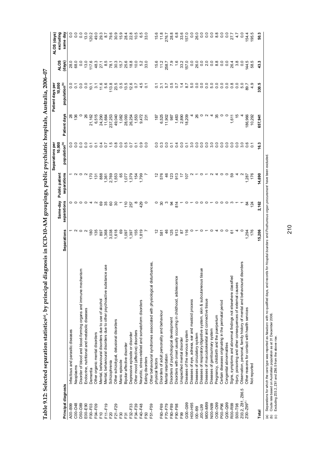|                        |                                                                              |                                  |                 |                | Separations per           |               | Patient days per          |                       | ALOS (days)      |
|------------------------|------------------------------------------------------------------------------|----------------------------------|-----------------|----------------|---------------------------|---------------|---------------------------|-----------------------|------------------|
|                        |                                                                              |                                  | Same-day        | Public patient | 10,000                    |               | 10,000                    | <b>ALOS</b>           | excluding        |
| Principal diagnosis    |                                                                              | Separations                      | separations     | separations    | population <sup>(b)</sup> | Patient days  | population <sup>(b)</sup> | (days)                | same day         |
| $A00 - B99$            | Infectious and parasitic diseases                                            |                                  |                 |                | 0.0                       | $\frac{8}{3}$ |                           | 28.0                  |                  |
| C00-D48                | Neoplasms                                                                    |                                  |                 |                |                           |               | 0.70                      | 68.0                  | 0.0              |
| D50-D89                | Disorder of blood and blood-forming organs and immune mechanism              | $\circ$ $\sim$                   |                 |                | $\overline{0}$ .          |               |                           | $\overline{0}$        | $\overline{0}$   |
| $E00-E90$              | Endocrine, nutritional and metabolic diseases                                |                                  |                 |                | $\overline{0}$ .          | 26            | $\overline{0}$ .          | 13.0                  | 13.0             |
| F00-F03                | Dementia                                                                     | 180                              |                 | 170            | $\overline{C}$            | 21,162        | $\overline{10}$           | 117.6                 | 120.2            |
| F04-F09                | Other organic mental disorders                                               | 135                              |                 | 131            | $\overline{c}$            | 6,515         | $\sum_{i=1}^{n}$          |                       | 49.0             |
| F10                    | Mental, behavioural disorders due to use of alcohol                          | 897                              |                 | 888            | 0.7                       | 24,290        | 11.6                      | $48.7$<br>27.5<br>8.5 | 29.3             |
| $F11-F19$              | Mental, behavioural disorders due to other psychoactive substance use        |                                  |                 |                |                           | 11,664        | 5.6                       |                       | $\overline{8.7}$ |
| F20                    | Schizophrenia                                                                | 1,368<br>3,038                   | 8588            | 1,361<br>2,769 |                           | 237,253       | 113.8                     |                       | 79.6             |
| F21-F29                | Other schizotypal, delusional disorders                                      | 1,618                            |                 | 1,553          | $\frac{1.5}{0.8}$         | 49,040        | 23.5                      | 78.3<br>80.3<br>15.7  | 30.9             |
| F30                    | Manic episode                                                                | 8                                |                 | 65             | $\overline{0}$ .          | 1,082         | 0.5                       |                       | 15.9             |
| F31                    | Bipolar affective disorder                                                   |                                  | $\frac{1}{2}$   |                | 0.5                       | 28,093        | 13.5                      | 25.6                  | 28.4             |
| F32-F33                | Depressive episode or disorder                                               | 1,097<br>1,397<br>1,819<br>1,819 | 257             | 1,379          | $\overline{0.7}$          | 26,254        | 12.6                      |                       | 22.8             |
| F34-F39                | Other mood (affective) disorders                                             |                                  |                 | 154<br>1,799   | $\overline{C}$            | 1,553         | $\overline{c}$            | $6000$<br>$600$       | $10.5$<br>6.5    |
| F40-F48                | Neurotic, stress-related and somatoform disorders                            |                                  | 429             |                | 0.9                       | 9,472         | 4.5                       |                       |                  |
| F50                    | Eating disorders                                                             |                                  | $\circ$         |                | 0.0                       | 231           | $\overline{c}$            | 33.0                  | 33.0             |
| F51-F59                | Other behavioural syndromes associated with physiological disturbances       |                                  |                 |                |                           |               |                           |                       |                  |
|                        | physical factors                                                             | $\tilde{c}$                      | $\circ$         |                | 0.0                       | 187           |                           | 15.6                  | 15.6             |
| F60-F69                | Disorders of adult personality and behaviour                                 | 581                              | <u>ვ</u> ო      |                | $\frac{3}{2}$             | 6,525         | $\frac{7}{9}$             | 11.2                  | 11.8             |
| F70-F79                | Mental retardation                                                           | 46                               |                 |                | 0.0                       | 11,902        | 5.7                       | 258.7                 | 276.7            |
| F80-F89                | Disorders of psychological development                                       |                                  |                 |                | $\overline{c}$            | 987           | 0.5                       | $7.9$<br>1.6          | 28.8             |
| F90-F98                | Disorders with onset usually occurring in childhood, adolescence             | $125$<br>913                     | $94\frac{8}{4}$ | 7888255        | 0.4                       | 1,483         | $\overline{0.7}$          |                       | 6.8              |
| F99                    | Unspecified mental disorder                                                  | 29                               |                 |                | 0.0                       | 2,890         | $\ddot{4}$                | 33.2                  | 33.6             |
| G00-G99                | Diseases of the nervous system                                               | 116                              |                 |                | $\overline{c}$            | 18,209        | 8.7                       | 157.0                 | 157.0            |
| H <sub>00</sub> -H95   | Diseases of eye, adnexa, ear and mastoid process                             |                                  |                 |                | 3.0                       |               | 0.00000                   | $\overline{0}$ .      | $\frac{0}{2}$    |
| $100 - 199$            | Diseases of circulatory system                                               |                                  |                 |                | 0.0                       | $\approx$     |                           | 26.0                  | 26.0             |
| $00 - 199$             | issue<br>Diseases of respiratory/digestive system, skin & subcutaneous       |                                  |                 |                | 0.0                       |               |                           | 0.0                   | 0.0              |
| <b>MOO-M99</b>         | Diseases of musculoskeletal and connective tissue                            |                                  |                 |                | 0.0                       |               |                           |                       | $\overline{0}$   |
| <b>NOO-N99</b>         | Diseases of genitourinary system                                             | $\circ$                          |                 |                | 3.0                       |               |                           | 00800<br>20000        | $rac{0}{8}$      |
| O00-O99                | Pregnancy, childbirth and the puerperium                                     |                                  |                 |                | 0.0                       | 35            |                           |                       |                  |
| P00-P96                | Certain diseases originating in the perinatal period                         | $\circ$                          |                 |                | 0.0                       | $\circ$       |                           |                       | 0.0              |
| $Q00 - Q99$            | Congenital abnormalities                                                     | $\circ$                          |                 |                | $\overline{0}$ .          |               | $\overline{0}$ .          |                       | 0.0              |
| R00-R99                | Signs, symptoms and abnormal findings not elsewhere classified               | 5                                |                 |                | 0.0                       | 1,611         | 0.8                       | 26.4                  | 27.7             |
| $SOO - T98$            | njury, poisoning and other consequences of external causes                   |                                  |                 |                | $\overline{0}$ .          | $\frac{5}{2}$ | 0.0                       | 3.8                   | 4.7              |
| , Z86.5<br>203.2, 281, | disorders<br>Observation, personal, family history of mental and behavioural |                                  |                 |                | 3.0                       |               | 5.0                       | 0.0                   | 0.0              |
| Z00-Z99(c)             | Other reasons for contact with health services                               | 1,294                            | 2               | 1,287          | 0.6                       | 186,966       | 89.7                      | 44.5                  | 54.4             |
|                        | Not reported                                                                 | 176                              | 124             | 176            |                           | 10,292        | 4.9                       | 58.5                  | 195.5            |
| Total                  |                                                                              | 5,206                            | 2,162           | 14,690         | $\frac{3}{2}$             | 657,94        | 330.5                     | 43.3                  | នី               |
|                        |                                                                              |                                  |                 |                |                           |               |                           |                       |                  |

Table 9.12: Selected separation statistics(a), by principal diagnosis in ICD-10-AM groupings, public psychiatric hospitals, Australia, 2006-07 **Table 9.12: Selected separation statistics(a), by principal diagnosis in ICD-10-AM groupings, public psychiatric hospitals, Australia, 2006–07** 

(a) Separations for which the care type was reported as Newbo*rn* with no qualified days, and records for *Hospital boarders* and *Posthumous organ procurement* have been excluded.<br>(b) Crude rate based on Australian popula (a) Separations for which the care type was reported as *Newborn* with no qualified days, and records for *Hospital boarders* and *Posthumous organ procurement* have been excluded.

(b) Crude rate based on Australian population as at 31 December 2006.

(c) Excluding Z03.2, Z81 and Z86.5 from the above row.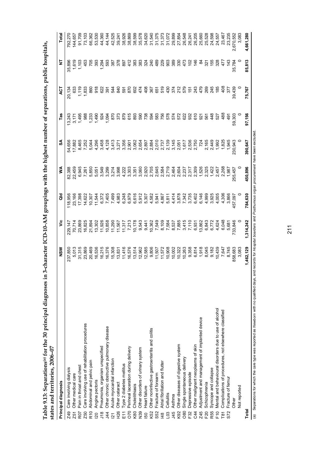| ļ                                                                                                                                                                                                                                                                                |                         |
|----------------------------------------------------------------------------------------------------------------------------------------------------------------------------------------------------------------------------------------------------------------------------------|-------------------------|
| $5 - 5 - 5$                                                                                                                                                                                                                                                                      |                         |
| ֖֚֓                                                                                                                                                                                                                                                                              |                         |
|                                                                                                                                                                                                                                                                                  |                         |
| th the himact nimher<br>:<br>:<br>:                                                                                                                                                                                                                                              |                         |
|                                                                                                                                                                                                                                                                                  |                         |
|                                                                                                                                                                                                                                                                                  |                         |
|                                                                                                                                                                                                                                                                                  |                         |
| .<br>،<br>j<br>י<br>ג                                                                                                                                                                                                                                                            |                         |
| $\frac{1}{2}$                                                                                                                                                                                                                                                                    |                         |
|                                                                                                                                                                                                                                                                                  |                         |
| ;<br>;<br>$3.6$ In $3 - 7$                                                                                                                                                                                                                                                       |                         |
| ١                                                                                                                                                                                                                                                                                |                         |
|                                                                                                                                                                                                                                                                                  |                         |
| Į<br>Į                                                                                                                                                                                                                                                                           |                         |
| ٦<br>٢<br>י<br>;<br>Ë                                                                                                                                                                                                                                                            |                         |
|                                                                                                                                                                                                                                                                                  | i<br>S                  |
|                                                                                                                                                                                                                                                                                  |                         |
| ı                                                                                                                                                                                                                                                                                |                         |
| - - - - - - - - -<br>$\ddot{\phantom{0}}$<br>ا<br>المعالم العالم العالم العالم العالم العالم العالم العالم العالم العالم العالم العالم العالم العالم العالم الع<br>العالم العالم العالم العالم العالم العالم العالم العالم العالم العالم العالم العالم العالم العالم العالم العا | キスキのチャ<br>$\frac{1}{2}$ |
|                                                                                                                                                                                                                                                                                  |                         |

| Table 9.13: Separations <sup>(a)</sup> for the 30 principal diagnoses<br>states and territories, 2006-07 | in 3-character ICD-10-AM groupings with the highest number of separations, public hospitals, |                  |                |                |                                                |                                                             |                                                                                                                                                                                                                                                                                                                                                                                                                     |                             |                                      |
|----------------------------------------------------------------------------------------------------------|----------------------------------------------------------------------------------------------|------------------|----------------|----------------|------------------------------------------------|-------------------------------------------------------------|---------------------------------------------------------------------------------------------------------------------------------------------------------------------------------------------------------------------------------------------------------------------------------------------------------------------------------------------------------------------------------------------------------------------|-----------------------------|--------------------------------------|
| Principal diagnosis                                                                                      | NSM                                                                                          | ۶Ë               | 공              | ⋚              | వ్                                             | Tas                                                         | ā                                                                                                                                                                                                                                                                                                                                                                                                                   | Ξ                           | Total                                |
| Care involving dialysis<br><b>Z49</b>                                                                    | 237,850                                                                                      | 29,147           | 18,956         | 82,388         | 54,656                                         | 13,243                                                      | 20,134                                                                                                                                                                                                                                                                                                                                                                                                              | 35,896                      | 792,270                              |
| Other medical care<br>Z51                                                                                | 5,013                                                                                        | 70,714           | 23,166         | 22,459         | 17,882                                         | $3,171$<br>$1,495$                                          | 633                                                                                                                                                                                                                                                                                                                                                                                                                 |                             | 144,657                              |
| Pain in throat and chest<br>R07                                                                          | 31,315                                                                                       |                  | 17,398         |                |                                                |                                                             | 1,119                                                                                                                                                                                                                                                                                                                                                                                                               |                             |                                      |
| Care involving use of rehabilitation procedures<br>Z50                                                   | 23,869                                                                                       | 23,869<br>16,825 | 14,622         | 6,945<br>7,261 |                                                |                                                             | 1,833                                                                                                                                                                                                                                                                                                                                                                                                               | $1,619$<br>$1,103$<br>$453$ | 91,709<br>73,103                     |
| Abdominal and pelvic pain<br>R10                                                                         | 20,469                                                                                       | 21,894           | 10,307         | 5,850          |                                                |                                                             | 860                                                                                                                                                                                                                                                                                                                                                                                                                 | <b>293</b>                  | 66,362                               |
| Angina pectoris                                                                                          |                                                                                              |                  | 11,544         |                |                                                |                                                             | 918                                                                                                                                                                                                                                                                                                                                                                                                                 |                             | 53,530                               |
| Pneumonia, organism unspecified<br>J18                                                                   |                                                                                              |                  |                |                |                                                |                                                             |                                                                                                                                                                                                                                                                                                                                                                                                                     |                             |                                      |
| Other chronic obstructive pulmonary disease<br>$\frac{44}{3}$                                            |                                                                                              |                  |                |                |                                                |                                                             | $\begin{array}{l} 25 \overline{15} \\ 26 \overline{15} \\ 27 \overline{15} \\ 28 \overline{15} \\ 29 \overline{15} \\ 25 \overline{15} \\ 26 \overline{15} \\ 27 \overline{15} \\ 28 \overline{15} \\ 29 \overline{15} \\ 29 \overline{15} \\ 29 \overline{15} \\ 29 \overline{15} \\ 29 \overline{15} \\ 29 \overline{15} \\ 29 \overline{15} \\ 29 \overline{15} \\ 29 \overline{15} \\ 29 \overline{15} \\ 29 \$ | 1,294<br>593                |                                      |
| Acute myocardial infarction<br>$\overline{21}$                                                           |                                                                                              |                  |                |                |                                                | 873<br>973                                                  |                                                                                                                                                                                                                                                                                                                                                                                                                     | 387                         |                                      |
| Other cataract<br><b>H26</b>                                                                             |                                                                                              |                  |                |                |                                                |                                                             |                                                                                                                                                                                                                                                                                                                                                                                                                     |                             |                                      |
| Type 2 diabetes mellitus<br>$\frac{1}{2}$                                                                |                                                                                              |                  |                |                |                                                |                                                             |                                                                                                                                                                                                                                                                                                                                                                                                                     |                             |                                      |
| Perineal laceration during delivery<br>070                                                               |                                                                                              |                  |                |                |                                                |                                                             |                                                                                                                                                                                                                                                                                                                                                                                                                     |                             |                                      |
| Cholelithiasis<br>K80                                                                                    |                                                                                              |                  |                |                |                                                |                                                             |                                                                                                                                                                                                                                                                                                                                                                                                                     |                             |                                      |
| Other disorders of urinary system<br>N <sub>39</sub>                                                     |                                                                                              |                  |                |                |                                                |                                                             |                                                                                                                                                                                                                                                                                                                                                                                                                     |                             |                                      |
| Heart failure<br>50                                                                                      |                                                                                              |                  |                |                |                                                |                                                             |                                                                                                                                                                                                                                                                                                                                                                                                                     |                             |                                      |
| Other noninfective gastroenteritis and colitis<br>K52                                                    |                                                                                              |                  |                |                |                                                | <u>និទី ទី ទី ទី ទី ទី ទី ទី ទី ដី ដី ដី ទី ទី ទី ទី ទី</u> |                                                                                                                                                                                                                                                                                                                                                                                                                     |                             |                                      |
| Fracture of forearm<br>S52                                                                               |                                                                                              |                  |                |                |                                                |                                                             |                                                                                                                                                                                                                                                                                                                                                                                                                     |                             |                                      |
| Atrial fibrillation and flutter<br>48                                                                    |                                                                                              |                  |                |                |                                                |                                                             |                                                                                                                                                                                                                                                                                                                                                                                                                     |                             |                                      |
| Cellulitis<br>$\frac{3}{2}$                                                                              |                                                                                              |                  |                |                |                                                |                                                             |                                                                                                                                                                                                                                                                                                                                                                                                                     |                             |                                      |
| Asthma<br>J45                                                                                            |                                                                                              |                  |                |                |                                                |                                                             |                                                                                                                                                                                                                                                                                                                                                                                                                     |                             |                                      |
| Other diseases of digestive system<br>K92                                                                |                                                                                              |                  |                |                |                                                |                                                             |                                                                                                                                                                                                                                                                                                                                                                                                                     |                             |                                      |
| Single spontaneous delivery<br>080                                                                       |                                                                                              |                  |                |                |                                                |                                                             |                                                                                                                                                                                                                                                                                                                                                                                                                     |                             |                                      |
| Depressive episode<br>F32                                                                                |                                                                                              |                  |                |                |                                                |                                                             |                                                                                                                                                                                                                                                                                                                                                                                                                     |                             |                                      |
| Other malignant neoplasms of skin<br>34                                                                  |                                                                                              |                  |                |                |                                                |                                                             |                                                                                                                                                                                                                                                                                                                                                                                                                     |                             |                                      |
| Adjustment and management of implanted device<br>Z45                                                     |                                                                                              |                  |                |                |                                                |                                                             |                                                                                                                                                                                                                                                                                                                                                                                                                     |                             | 25,660<br>26,528<br>26,536<br>24,557 |
| Schizophrenia<br>F <sub>20</sub>                                                                         |                                                                                              |                  |                |                |                                                |                                                             |                                                                                                                                                                                                                                                                                                                                                                                                                     |                             |                                      |
| Syncope and collapse<br>R55                                                                              |                                                                                              |                  |                |                |                                                |                                                             |                                                                                                                                                                                                                                                                                                                                                                                                                     |                             |                                      |
| Mental and behavioural disorders due to use of alcohol<br>F <sub>10</sub>                                |                                                                                              |                  |                |                |                                                | $48$<br>$28$<br>$48$                                        |                                                                                                                                                                                                                                                                                                                                                                                                                     |                             |                                      |
| Complications of procedures, not elsewhere classified<br>$\overline{181}$                                |                                                                                              |                  | 4,306<br>3,866 |                | 2, 165<br>2, 449<br>2, 992<br>1, 945<br>1, 945 |                                                             | 408                                                                                                                                                                                                                                                                                                                                                                                                                 |                             | 23,467                               |
| Fracture of femur<br>S72                                                                                 |                                                                                              |                  |                |                |                                                | 491                                                         | 377                                                                                                                                                                                                                                                                                                                                                                                                                 | 143                         | 23,235                               |
| Other                                                                                                    | 858,683                                                                                      | 733,846          | 157,097        | 255,457        | 230,943                                        | 59,303                                                      | 39,439                                                                                                                                                                                                                                                                                                                                                                                                              | 35,784                      | 2,670,552                            |
| Not reported                                                                                             | 3,083                                                                                        |                  |                |                |                                                |                                                             |                                                                                                                                                                                                                                                                                                                                                                                                                     |                             | 3,083                                |
| Total                                                                                                    | 1,462,129                                                                                    | 1,314,242        | 784,630        | 450,896        | 390,647                                        | 97,156                                                      | 75,767                                                                                                                                                                                                                                                                                                                                                                                                              | 85,813                      | 4,661,280                            |

(a) Separations for which the care type was reported as Newborn with no qualified days, and records for Hospital boarders and Posthurnous organ procurement have been excluded. (a) Separations for which the care type was reported as *Newborn* with no qualified days, and records for *Hospital boarders* and *Posthumous organ procurement* have been excluded.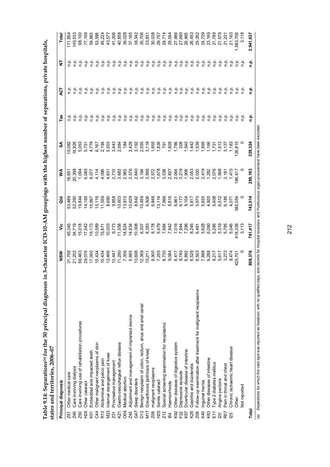| $\frac{1}{2}$                                                                                                    |                                    |
|------------------------------------------------------------------------------------------------------------------|------------------------------------|
| <b>!</b>                                                                                                         |                                    |
|                                                                                                                  |                                    |
| ׅׅ֖֚֚֚֚֚֚֚֚֚֚֚֚֚֚֚֚֚֚֚֚֚֚֚֚֚֚֚֚֚֚֝֝֝֡֡֡֝                                                                         |                                    |
|                                                                                                                  |                                    |
|                                                                                                                  |                                    |
|                                                                                                                  |                                    |
| ֧֧֧֧֧ׅ֧֧֧֧֧֛֪֧֧֧֧֧֧֧֧֧֧֧֧֧֛֛֚֚֚֚֚֚֚֚֚֚֚֚֚֚֚֚֡֬֕֝֓֝֓֝֬֝֓֝֬֜֝֬֝֓֜֝֬֜֝֬֝֬֝֬֝֬֝֬֝֬֝֬֝֬֝֬֝֬֝֬֝֬<br>֧֪֧֪֪֪֪֪֪֪֪֪֪֪֪֚֚֝ |                                    |
|                                                                                                                  |                                    |
|                                                                                                                  |                                    |
|                                                                                                                  |                                    |
| י<br>ו<br>                                                                                                       |                                    |
|                                                                                                                  |                                    |
|                                                                                                                  |                                    |
|                                                                                                                  |                                    |
| י<br>נ                                                                                                           |                                    |
| )                                                                                                                |                                    |
|                                                                                                                  |                                    |
| ı                                                                                                                |                                    |
|                                                                                                                  |                                    |
| ble 9.14: Separations <sup>(a)</sup> for the 30 principal diagnos                                                | $100004$ , $200001$<br>ة<br>C<br>C |
|                                                                                                                  |                                    |
|                                                                                                                  | states and territories             |
|                                                                                                                  | ales anu teilin                    |
|                                                                                                                  |                                    |

|                                                                                                                                                                                                                                                                                                                                                                                                                                                                                      | ⋚       | న్      | Tas    | ঢ়ৄ                                           |                                                                          |             |
|--------------------------------------------------------------------------------------------------------------------------------------------------------------------------------------------------------------------------------------------------------------------------------------------------------------------------------------------------------------------------------------------------------------------------------------------------------------------------------------|---------|---------|--------|-----------------------------------------------|--------------------------------------------------------------------------|-------------|
| る                                                                                                                                                                                                                                                                                                                                                                                                                                                                                    |         |         |        |                                               | 눌                                                                        | Total       |
| 53,489<br>45,345                                                                                                                                                                                                                                                                                                                                                                                                                                                                     |         | 5,082   |        |                                               |                                                                          | 71,85       |
|                                                                                                                                                                                                                                                                                                                                                                                                                                                                                      |         | 6,926   |        |                                               |                                                                          | 45,533      |
| 52,260<br>19,844                                                                                                                                                                                                                                                                                                                                                                                                                                                                     |         |         |        |                                               |                                                                          | 98,100      |
|                                                                                                                                                                                                                                                                                                                                                                                                                                                                                      |         |         |        |                                               |                                                                          | 77,169      |
|                                                                                                                                                                                                                                                                                                                                                                                                                                                                                      |         |         |        |                                               |                                                                          |             |
|                                                                                                                                                                                                                                                                                                                                                                                                                                                                                      |         |         |        |                                               |                                                                          |             |
|                                                                                                                                                                                                                                                                                                                                                                                                                                                                                      |         |         | ف<br>1 |                                               | م<br>م                                                                   |             |
|                                                                                                                                                                                                                                                                                                                                                                                                                                                                                      |         |         |        |                                               |                                                                          |             |
|                                                                                                                                                                                                                                                                                                                                                                                                                                                                                      |         |         |        |                                               |                                                                          |             |
|                                                                                                                                                                                                                                                                                                                                                                                                                                                                                      |         |         |        | ۹'n                                           |                                                                          |             |
|                                                                                                                                                                                                                                                                                                                                                                                                                                                                                      |         |         |        |                                               |                                                                          |             |
|                                                                                                                                                                                                                                                                                                                                                                                                                                                                                      |         |         |        |                                               |                                                                          |             |
|                                                                                                                                                                                                                                                                                                                                                                                                                                                                                      |         |         |        |                                               |                                                                          |             |
|                                                                                                                                                                                                                                                                                                                                                                                                                                                                                      |         |         |        |                                               |                                                                          |             |
|                                                                                                                                                                                                                                                                                                                                                                                                                                                                                      |         |         |        |                                               |                                                                          |             |
|                                                                                                                                                                                                                                                                                                                                                                                                                                                                                      |         |         | ې      |                                               |                                                                          |             |
|                                                                                                                                                                                                                                                                                                                                                                                                                                                                                      |         |         | ې      |                                               |                                                                          |             |
|                                                                                                                                                                                                                                                                                                                                                                                                                                                                                      |         |         | 은      |                                               |                                                                          |             |
|                                                                                                                                                                                                                                                                                                                                                                                                                                                                                      |         |         | م<br>C |                                               |                                                                          |             |
|                                                                                                                                                                                                                                                                                                                                                                                                                                                                                      |         |         |        |                                               |                                                                          |             |
|                                                                                                                                                                                                                                                                                                                                                                                                                                                                                      |         |         |        |                                               |                                                                          |             |
|                                                                                                                                                                                                                                                                                                                                                                                                                                                                                      |         |         |        |                                               |                                                                          |             |
|                                                                                                                                                                                                                                                                                                                                                                                                                                                                                      |         |         | غ      |                                               |                                                                          |             |
|                                                                                                                                                                                                                                                                                                                                                                                                                                                                                      |         |         |        |                                               |                                                                          |             |
|                                                                                                                                                                                                                                                                                                                                                                                                                                                                                      |         |         |        |                                               |                                                                          |             |
|                                                                                                                                                                                                                                                                                                                                                                                                                                                                                      |         |         |        |                                               |                                                                          |             |
|                                                                                                                                                                                                                                                                                                                                                                                                                                                                                      |         |         |        |                                               |                                                                          |             |
|                                                                                                                                                                                                                                                                                                                                                                                                                                                                                      |         |         |        |                                               |                                                                          |             |
|                                                                                                                                                                                                                                                                                                                                                                                                                                                                                      |         |         |        |                                               |                                                                          |             |
|                                                                                                                                                                                                                                                                                                                                                                                                                                                                                      |         |         |        |                                               |                                                                          |             |
|                                                                                                                                                                                                                                                                                                                                                                                                                                                                                      |         |         |        |                                               |                                                                          | 593,756     |
|                                                                                                                                                                                                                                                                                                                                                                                                                                                                                      |         |         |        |                                               |                                                                          |             |
| 742,014<br>761,417                                                                                                                                                                                                                                                                                                                                                                                                                                                                   | 289,163 | 229,324 |        |                                               | ۼ                                                                        | 2,941,637   |
| $\begin{array}{l} \mathcal{A}\ \tilde{\mathcal{H}}\ \tilde{\mathcal{H}}\ \tilde{\mathcal{H}}\ \tilde{\mathcal{H}}\ \tilde{\mathcal{H}}\ \tilde{\mathcal{H}}\ \tilde{\mathcal{H}}\ \tilde{\mathcal{H}}\ \tilde{\mathcal{H}}\ \tilde{\mathcal{H}}\ \tilde{\mathcal{H}}\ \tilde{\mathcal{H}}\ \tilde{\mathcal{H}}\ \tilde{\mathcal{H}}\ \tilde{\mathcal{H}}\ \tilde{\mathcal{H}}\ \tilde{\mathcal{H}}\ \tilde{\mathcal{H}}\ \tilde{\mathcal{H}}\ \tilde{\mathcal{H}}\ \tilde{\mathcal{$ |         |         |        | 음 음 음 음 음 음<br>을 흘을 흘을 흘을<br>ې<br>ې<br>은<br>ې | - 후 후 후 후 후 후 후 후<br>- 루 루 루 루 루 루 루 루<br>후 후<br>윤윤윤윤윤<br>음 음 음 음 음<br>ę | 음 음 음 음 음 음 |

(a) Separations for which the care type was reported as Newborn with no qualified days, and records for Hospital boarders and Posthumous organ procurement have been excluded. (a) Separations for which the care type was reported as *Newborn* with no qualified days, and records for *Hospital boarders* and *Posthumous organ procurement* have been excluded.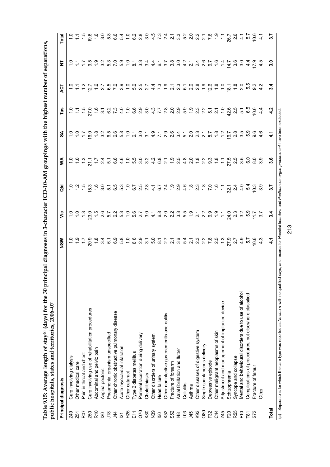| ここ ナウキウキ<br>せんきゅうしょう くろう<br>j<br>こと<br>これには<br> <br> <br>  איי א<br>じくこく こくらく<br>Table 9.15: Average length of stay(a) (days) for the 30 rr | `∩_n∩^*<br>$\sim$ 2006 $\sim$            |
|---------------------------------------------------------------------------------------------------------------------------------------------|------------------------------------------|
|                                                                                                                                             |                                          |
|                                                                                                                                             |                                          |
|                                                                                                                                             | public hospitals, states and territories |
|                                                                                                                                             | <b>TRANSPORT OF</b>                      |

|                         | Principal diagnosis                                    | <b>NSW</b>                                                                                                                                 |                                                                                                                                                                                                                                   |                                                                                                                                                                                                                                                                                                           |     |                                                                                                                                                                          |                                                                                       | ζJ  | ż                                                                               | Total                                                                                                                              |
|-------------------------|--------------------------------------------------------|--------------------------------------------------------------------------------------------------------------------------------------------|-----------------------------------------------------------------------------------------------------------------------------------------------------------------------------------------------------------------------------------|-----------------------------------------------------------------------------------------------------------------------------------------------------------------------------------------------------------------------------------------------------------------------------------------------------------|-----|--------------------------------------------------------------------------------------------------------------------------------------------------------------------------|---------------------------------------------------------------------------------------|-----|---------------------------------------------------------------------------------|------------------------------------------------------------------------------------------------------------------------------------|
| <b>Z49</b>              | Care involving dialysis                                |                                                                                                                                            | $\frac{1}{2}$ and the state of the state of the state of the state of the state of the state of the state of the state of the state of the state of the state of the state of the state of the state of the state of the state of | $\frac{9}{8}$ = $\frac{1}{6}$ = $\frac{1}{6}$ = $\frac{1}{6}$ = $\frac{1}{6}$ = $\frac{1}{6}$ = $\frac{1}{6}$ = $\frac{1}{6}$ = $\frac{1}{6}$ = $\frac{1}{6}$ = $\frac{1}{6}$ = $\frac{1}{6}$ = $\frac{1}{6}$ = $\frac{1}{6}$ = $\frac{1}{6}$ = $\frac{1}{6}$ = $\frac{1}{6}$ = $\frac{1}{6}$ = $\frac{1$ |     | $\mathbf{R}$ $\mathbf{S}$ $\mathbf{S}$ $\mathbf{S}$ $\mathbf{S}$ $\mathbf{S}$ $\mathbf{S}$ $\mathbf{S}$ $\mathbf{S}$ $\mathbf{S}$ $\mathbf{S}$ $\mathbf{S}$ $\mathbf{S}$ | e   C L L C L W C L A W O C R W W 4 L M M M M L M M M M M L G W W L G O L W M M C G 4 |     | トーー ロー こうしつしー ロミュート こっこん ムクファイム ここん インター・シー こうしょう こうしゅう しょうこう こうしん けっこう せいこうしょう |                                                                                                                                    |
| <b>Z51</b>              | Other medical care                                     |                                                                                                                                            |                                                                                                                                                                                                                                   |                                                                                                                                                                                                                                                                                                           |     |                                                                                                                                                                          |                                                                                       |     |                                                                                 |                                                                                                                                    |
| R <sub>07</sub>         | Pain in throat and chest                               |                                                                                                                                            |                                                                                                                                                                                                                                   |                                                                                                                                                                                                                                                                                                           |     |                                                                                                                                                                          |                                                                                       |     |                                                                                 |                                                                                                                                    |
| <b>Z50</b>              | Care involving use of rehabilitation procedures        |                                                                                                                                            |                                                                                                                                                                                                                                   |                                                                                                                                                                                                                                                                                                           |     |                                                                                                                                                                          |                                                                                       |     |                                                                                 |                                                                                                                                    |
| R <sub>10</sub>         | Abdominal and pelvic pain                              |                                                                                                                                            |                                                                                                                                                                                                                                   |                                                                                                                                                                                                                                                                                                           |     |                                                                                                                                                                          |                                                                                       |     |                                                                                 |                                                                                                                                    |
| $\overline{20}$         | Angina pectoris                                        |                                                                                                                                            |                                                                                                                                                                                                                                   |                                                                                                                                                                                                                                                                                                           |     |                                                                                                                                                                          |                                                                                       |     |                                                                                 |                                                                                                                                    |
| $\frac{8}{10}$          | Pneumonia, organism unspecified                        |                                                                                                                                            |                                                                                                                                                                                                                                   |                                                                                                                                                                                                                                                                                                           |     |                                                                                                                                                                          |                                                                                       |     |                                                                                 |                                                                                                                                    |
| र्यु                    | Other chronic obstructive pulmonary disease            | c a r a a d r a a c a u r a a u u a u u u u u u u d r Ž u 4 n d d 4<br>c a r a a d r a a c a u r a u u a u u u u u u u u d r Ž u 4 n d d 4 |                                                                                                                                                                                                                                   |                                                                                                                                                                                                                                                                                                           |     |                                                                                                                                                                          |                                                                                       |     |                                                                                 | c r r b r w m o m r o u w 4 r u u w w u u u r r r 8 u 4 n 5 4<br>c r r o c c c c m o n r o u w 4 r u u w m u u u r r - 8 u 4 n 5 4 |
| $\overline{2}$          | Acute myocardial infarction                            |                                                                                                                                            |                                                                                                                                                                                                                                   |                                                                                                                                                                                                                                                                                                           |     |                                                                                                                                                                          |                                                                                       |     |                                                                                 |                                                                                                                                    |
| E <sub>26</sub>         | Other cataract                                         |                                                                                                                                            |                                                                                                                                                                                                                                   |                                                                                                                                                                                                                                                                                                           |     |                                                                                                                                                                          |                                                                                       |     |                                                                                 |                                                                                                                                    |
|                         | Type 2 diabetes mellitus                               |                                                                                                                                            |                                                                                                                                                                                                                                   |                                                                                                                                                                                                                                                                                                           |     |                                                                                                                                                                          |                                                                                       |     |                                                                                 |                                                                                                                                    |
| $\frac{2}{11}$          | Perineal laceration during delivery                    |                                                                                                                                            |                                                                                                                                                                                                                                   |                                                                                                                                                                                                                                                                                                           |     |                                                                                                                                                                          |                                                                                       |     |                                                                                 |                                                                                                                                    |
| K80                     | Cholelithiasis                                         |                                                                                                                                            |                                                                                                                                                                                                                                   |                                                                                                                                                                                                                                                                                                           |     |                                                                                                                                                                          |                                                                                       |     |                                                                                 |                                                                                                                                    |
| N39                     | Other disorders of urinary system                      |                                                                                                                                            |                                                                                                                                                                                                                                   |                                                                                                                                                                                                                                                                                                           |     |                                                                                                                                                                          |                                                                                       |     |                                                                                 |                                                                                                                                    |
| $\overline{\mathbb{S}}$ | Heart failure                                          |                                                                                                                                            |                                                                                                                                                                                                                                   |                                                                                                                                                                                                                                                                                                           |     |                                                                                                                                                                          |                                                                                       |     |                                                                                 |                                                                                                                                    |
| K52                     | Other noninfective gastroenteritis and colitis         |                                                                                                                                            |                                                                                                                                                                                                                                   |                                                                                                                                                                                                                                                                                                           |     |                                                                                                                                                                          |                                                                                       |     |                                                                                 |                                                                                                                                    |
| S52                     | Fracture of forearm                                    |                                                                                                                                            |                                                                                                                                                                                                                                   |                                                                                                                                                                                                                                                                                                           |     |                                                                                                                                                                          |                                                                                       |     |                                                                                 |                                                                                                                                    |
| $\frac{48}{5}$          | Atrial fibrillation and flutter                        |                                                                                                                                            |                                                                                                                                                                                                                                   |                                                                                                                                                                                                                                                                                                           |     |                                                                                                                                                                          |                                                                                       |     |                                                                                 |                                                                                                                                    |
| $\overline{103}$        | Cellulitis                                             |                                                                                                                                            |                                                                                                                                                                                                                                   |                                                                                                                                                                                                                                                                                                           |     |                                                                                                                                                                          |                                                                                       |     |                                                                                 |                                                                                                                                    |
| <b>J45</b>              | Asthma                                                 |                                                                                                                                            |                                                                                                                                                                                                                                   |                                                                                                                                                                                                                                                                                                           |     |                                                                                                                                                                          |                                                                                       |     |                                                                                 |                                                                                                                                    |
| K92                     | Other diseases of digestive system                     |                                                                                                                                            |                                                                                                                                                                                                                                   |                                                                                                                                                                                                                                                                                                           |     |                                                                                                                                                                          |                                                                                       |     |                                                                                 |                                                                                                                                    |
| 080                     | Single spontaneous delivery                            |                                                                                                                                            |                                                                                                                                                                                                                                   |                                                                                                                                                                                                                                                                                                           |     |                                                                                                                                                                          |                                                                                       |     |                                                                                 |                                                                                                                                    |
| F32                     | Depressive episode                                     |                                                                                                                                            |                                                                                                                                                                                                                                   |                                                                                                                                                                                                                                                                                                           |     |                                                                                                                                                                          |                                                                                       |     |                                                                                 |                                                                                                                                    |
| C44                     | Other malignant neoplasms of skin                      |                                                                                                                                            |                                                                                                                                                                                                                                   |                                                                                                                                                                                                                                                                                                           |     |                                                                                                                                                                          |                                                                                       |     |                                                                                 |                                                                                                                                    |
| Z45                     | Adjustment and management of implanted device          |                                                                                                                                            |                                                                                                                                                                                                                                   |                                                                                                                                                                                                                                                                                                           |     |                                                                                                                                                                          |                                                                                       |     |                                                                                 |                                                                                                                                    |
| F20                     | Schizophrenia                                          |                                                                                                                                            |                                                                                                                                                                                                                                   |                                                                                                                                                                                                                                                                                                           |     |                                                                                                                                                                          |                                                                                       |     |                                                                                 |                                                                                                                                    |
| R <sub>55</sub>         | Syncope and collapse                                   |                                                                                                                                            |                                                                                                                                                                                                                                   |                                                                                                                                                                                                                                                                                                           |     |                                                                                                                                                                          |                                                                                       |     |                                                                                 |                                                                                                                                    |
| F10                     | Mental and behavioural disorders due to use of alcohol |                                                                                                                                            |                                                                                                                                                                                                                                   |                                                                                                                                                                                                                                                                                                           |     |                                                                                                                                                                          |                                                                                       |     |                                                                                 |                                                                                                                                    |
| T81                     | Complications of procedures, not elsewhere classified  |                                                                                                                                            |                                                                                                                                                                                                                                   |                                                                                                                                                                                                                                                                                                           |     |                                                                                                                                                                          |                                                                                       |     |                                                                                 |                                                                                                                                    |
| S72                     | Fracture of femur                                      |                                                                                                                                            |                                                                                                                                                                                                                                   |                                                                                                                                                                                                                                                                                                           |     |                                                                                                                                                                          |                                                                                       |     |                                                                                 |                                                                                                                                    |
|                         | Other                                                  |                                                                                                                                            |                                                                                                                                                                                                                                   |                                                                                                                                                                                                                                                                                                           |     |                                                                                                                                                                          |                                                                                       |     |                                                                                 |                                                                                                                                    |
| Total                   |                                                        |                                                                                                                                            | $\ddot{a}$                                                                                                                                                                                                                        | 3.7                                                                                                                                                                                                                                                                                                       | 3.6 | $\frac{4}{1}$                                                                                                                                                            | 4.2                                                                                   | 3.4 | 3.0                                                                             | 3.7                                                                                                                                |
|                         |                                                        |                                                                                                                                            |                                                                                                                                                                                                                                   |                                                                                                                                                                                                                                                                                                           |     |                                                                                                                                                                          |                                                                                       |     |                                                                                 |                                                                                                                                    |

<sup>(</sup>a) Separations for which the care type was reported as Newborn with no qualified days, and records for Hospital boarders and Posthurnous organ procurement have been excluded. (a) Separations for which the care type was reported as *Newborn* with no qualified days, and records for *Hospital boarders* and *Posthumous organ procurement* have been excluded.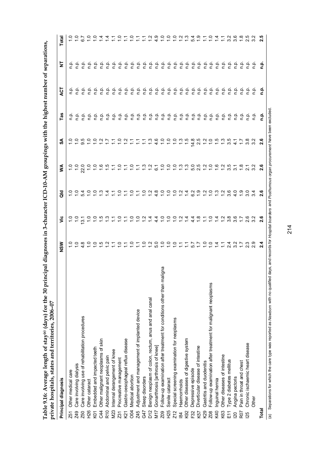| ים המא היה הל                                                               |                                                          |
|-----------------------------------------------------------------------------|----------------------------------------------------------|
|                                                                             |                                                          |
| <br> <br>j                                                                  |                                                          |
| $\sim$                                                                      |                                                          |
| וקות או הוא<br>.<br>.<br>.                                                  |                                                          |
| とくさい つうちょう<br>֖֖֖֖֖֖֖֧ׅ֖֖֧֖֧֧֖֧֖֚֚֚֚֚֚֚֚֚֚֚֚֚֚֚֚֚֚֚֚֚֚֚֚֚֚֚֚֚֚֚֬֝֝֓֞֝֓֞֝֬֝֬ |                                                          |
| s) for the 30<br>$+22$                                                      | ֧֧֦֧֧֧֧֧֧֧֧֚֚֚֚֚֚֚֚֚֚֚֚֚֚֚֚֚֚֚֚֚֚֚֚֚֚֟֓֡֝֓֓֝֬֝֓֓֓֓֟<br>ì |
| $\infty$ ee length of stay(a) (day.                                         | spitals, states and territor                             |
| 1 avic ノ・10. イュv Jing                                                       | i                                                        |
| a U   L   A<br>$T_{\rm e}1.1$                                               | <b>COIT AIR ATL</b><br>וחיידדים הי                       |

| Table 9.16: Average length of stay® (days) for the 30 pri<br>private hospitals, states and territories, 2006-07 | incipal diagnoses in 3-character ICD-10-AM groupings with the highest number of separations, |                                                                     |                               |                                                                                                                                                                                                                                                                                                                                                                                                                                                                                       |                   |                                                                                                                                                                                                                                                                                                                                                                                                                                     |        |               |                |
|-----------------------------------------------------------------------------------------------------------------|----------------------------------------------------------------------------------------------|---------------------------------------------------------------------|-------------------------------|---------------------------------------------------------------------------------------------------------------------------------------------------------------------------------------------------------------------------------------------------------------------------------------------------------------------------------------------------------------------------------------------------------------------------------------------------------------------------------------|-------------------|-------------------------------------------------------------------------------------------------------------------------------------------------------------------------------------------------------------------------------------------------------------------------------------------------------------------------------------------------------------------------------------------------------------------------------------|--------|---------------|----------------|
| Principal diagnosis                                                                                             | NSM                                                                                          | έ                                                                   | aio                           | ⋚                                                                                                                                                                                                                                                                                                                                                                                                                                                                                     | న్                | Tas                                                                                                                                                                                                                                                                                                                                                                                                                                 | 75     | 눋             | Total          |
| Other medical care<br><b>Z51</b>                                                                                |                                                                                              | $\frac{0}{1}$ $\frac{0}{1}$                                         | $\frac{1}{2}$                 | $\frac{1}{2}$                                                                                                                                                                                                                                                                                                                                                                                                                                                                         |                   | ن<br>ء                                                                                                                                                                                                                                                                                                                                                                                                                              | q.n    | ρ             |                |
| Care involving dialysis<br><b>Z49</b>                                                                           | $\frac{0}{1}$                                                                                |                                                                     |                               | $\frac{1}{2}$                                                                                                                                                                                                                                                                                                                                                                                                                                                                         | $\frac{1}{2}$     | ف<br>n                                                                                                                                                                                                                                                                                                                                                                                                                              | م<br>p | م<br>م        |                |
| Care involving use of rehabilitation procedures<br>Z50                                                          |                                                                                              |                                                                     | 54                            | 22.0                                                                                                                                                                                                                                                                                                                                                                                                                                                                                  | 95                | ف<br>م                                                                                                                                                                                                                                                                                                                                                                                                                              |        | e e<br>c c    |                |
| Other cataract<br>H26                                                                                           |                                                                                              |                                                                     |                               |                                                                                                                                                                                                                                                                                                                                                                                                                                                                                       | $\frac{1}{2}$     | ف.<br>E                                                                                                                                                                                                                                                                                                                                                                                                                             |        |               | $\frac{0}{10}$ |
| Embedded and impacted teeth<br>K <sub>0</sub>                                                                   |                                                                                              |                                                                     |                               | $\frac{1}{1}$ $\frac{1}{1}$                                                                                                                                                                                                                                                                                                                                                                                                                                                           |                   | ن<br>م                                                                                                                                                                                                                                                                                                                                                                                                                              |        | ف<br>1        |                |
| Other malignant neoplasms of skin<br>C44                                                                        | 4 2 2 2 2 2 2 2 2 2 2 2 2 0                                                                  | r 0 0 5 5 7 5 7 6 7 6 7 6 7 4 7 6 9 0 1 7 4 7 6 7 6 7 6 7 6 7 8 9 7 | $C$ $C$ $C$ $C$ $C$ $C$       |                                                                                                                                                                                                                                                                                                                                                                                                                                                                                       | $-5.2 - 7.7$      | ف<br>E                                                                                                                                                                                                                                                                                                                                                                                                                              |        |               |                |
| Abdominal and pelvic pain<br>R <sub>10</sub>                                                                    |                                                                                              |                                                                     |                               | 6.57                                                                                                                                                                                                                                                                                                                                                                                                                                                                                  |                   | ف<br>p                                                                                                                                                                                                                                                                                                                                                                                                                              |        | $\frac{1}{2}$ |                |
| Internal derangement of knee<br>M23                                                                             |                                                                                              |                                                                     |                               |                                                                                                                                                                                                                                                                                                                                                                                                                                                                                       | $\sum$            | في                                                                                                                                                                                                                                                                                                                                                                                                                                  |        | 은             |                |
| Procreative management<br><b>Z31</b>                                                                            |                                                                                              |                                                                     | $rac{1}{2}$ $rac{1}{2}$       |                                                                                                                                                                                                                                                                                                                                                                                                                                                                                       | $\frac{0}{1}$     | فہ                                                                                                                                                                                                                                                                                                                                                                                                                                  |        | ف<br>ء        | $\frac{1}{2}$  |
| Gastro-oesophageal reflux disease<br>K21                                                                        |                                                                                              |                                                                     |                               |                                                                                                                                                                                                                                                                                                                                                                                                                                                                                       |                   | م<br>ء                                                                                                                                                                                                                                                                                                                                                                                                                              |        | ف<br>و        |                |
| Medical abortion<br>004                                                                                         |                                                                                              |                                                                     |                               |                                                                                                                                                                                                                                                                                                                                                                                                                                                                                       |                   | نې<br>ء                                                                                                                                                                                                                                                                                                                                                                                                                             |        | م<br>ء        |                |
| Adjustment and management of implanted device<br>Z45                                                            |                                                                                              |                                                                     |                               |                                                                                                                                                                                                                                                                                                                                                                                                                                                                                       |                   | ہے<br>ء                                                                                                                                                                                                                                                                                                                                                                                                                             |        | ن<br>ء        |                |
| Sleep disorders<br>G47                                                                                          |                                                                                              |                                                                     |                               |                                                                                                                                                                                                                                                                                                                                                                                                                                                                                       |                   | ف<br>ء                                                                                                                                                                                                                                                                                                                                                                                                                              |        | م<br>ء        |                |
| Benign neoplasm of colon, rectum, anus and anal canal<br>D <sub>12</sub>                                        |                                                                                              |                                                                     | C.700000                      | $\frac{3}{1}$ $\frac{3}{1}$ $\frac{5}{1}$                                                                                                                                                                                                                                                                                                                                                                                                                                             | 5.9999            | $\begin{array}{c} \mathbf{a} \\ \mathbf{c} \end{array}$                                                                                                                                                                                                                                                                                                                                                                             |        | ف<br>أ        |                |
| Gonarthrosis [arthrosis of knee]<br>N17                                                                         |                                                                                              |                                                                     |                               |                                                                                                                                                                                                                                                                                                                                                                                                                                                                                       |                   |                                                                                                                                                                                                                                                                                                                                                                                                                                     |        | ف<br>و        | $\frac{6}{4}$  |
| naligna<br>Follow-up examination after treatment for conditions other than n<br>Z <sub>0</sub> 9                |                                                                                              |                                                                     |                               | $\frac{1}{2}$                                                                                                                                                                                                                                                                                                                                                                                                                                                                         |                   |                                                                                                                                                                                                                                                                                                                                                                                                                                     |        |               | $\frac{1}{2}$  |
| Senile cataract<br>H25                                                                                          | COOFFLATOOTT                                                                                 |                                                                     |                               | $\frac{0}{1}$                                                                                                                                                                                                                                                                                                                                                                                                                                                                         |                   | $\begin{array}{cccccccccc} \mathbf{e} & \mathbf{e} & \mathbf{e} & \mathbf{e} & \mathbf{e} & \mathbf{e} & \mathbf{e} & \mathbf{e} & \mathbf{e} & \mathbf{e} & \mathbf{e} & \mathbf{e} & \mathbf{e} & \mathbf{e} & \mathbf{e} & \mathbf{e} & \mathbf{e} & \mathbf{e} & \mathbf{e} & \mathbf{e} & \mathbf{e} & \mathbf{e} & \mathbf{e} & \mathbf{e} & \mathbf{e} & \mathbf{e} & \mathbf{e} & \mathbf{e} & \mathbf{e} & \mathbf{e} & \$ |        |               | ္              |
| Special screening examination for neoplasms<br>Z <sub>12</sub>                                                  |                                                                                              |                                                                     |                               | $\overline{1}$ .0                                                                                                                                                                                                                                                                                                                                                                                                                                                                     | $\frac{1}{2}$     |                                                                                                                                                                                                                                                                                                                                                                                                                                     |        |               | $\frac{0}{1}$  |
| Haemorrhoids<br>$\overline{a}$                                                                                  |                                                                                              |                                                                     |                               |                                                                                                                                                                                                                                                                                                                                                                                                                                                                                       |                   |                                                                                                                                                                                                                                                                                                                                                                                                                                     |        |               |                |
| Other diseases of digestive system<br>K92                                                                       |                                                                                              |                                                                     | C G A A G A A C W G G G A A G | $\begin{array}{ccccccccccccc} \multicolumn{2}{c}{} & \multicolumn{2}{c}{} & \multicolumn{2}{c}{} & \multicolumn{2}{c}{} & \multicolumn{2}{c}{} & \multicolumn{2}{c}{} & \multicolumn{2}{c}{} & \multicolumn{2}{c}{} & \multicolumn{2}{c}{} & \multicolumn{2}{c}{} & \multicolumn{2}{c}{} & \multicolumn{2}{c}{} & \multicolumn{2}{c}{} & \multicolumn{2}{c}{} & \multicolumn{2}{c}{} & \multicolumn{2}{c}{} & \multicolumn{2}{c}{} & \multicolumn{2}{c}{} & \multicolumn{2}{c}{} & \$ | $\frac{1}{2}$     |                                                                                                                                                                                                                                                                                                                                                                                                                                     |        |               |                |
| Depressive episode<br>F32                                                                                       |                                                                                              |                                                                     |                               |                                                                                                                                                                                                                                                                                                                                                                                                                                                                                       | $\frac{4.8}{2.5}$ |                                                                                                                                                                                                                                                                                                                                                                                                                                     |        |               | 54             |
| Diverticular disease of intestine<br>K57                                                                        |                                                                                              |                                                                     |                               |                                                                                                                                                                                                                                                                                                                                                                                                                                                                                       |                   | $\begin{array}{c} \mathbf{a} \\ \mathbf{c} \end{array}$                                                                                                                                                                                                                                                                                                                                                                             |        |               |                |
| Gastritis and duodenitis<br>K29                                                                                 |                                                                                              |                                                                     |                               |                                                                                                                                                                                                                                                                                                                                                                                                                                                                                       |                   |                                                                                                                                                                                                                                                                                                                                                                                                                                     |        |               |                |
| Follow-up examination after treatment for malignant neoplasms<br><b>Z08</b>                                     |                                                                                              |                                                                     |                               |                                                                                                                                                                                                                                                                                                                                                                                                                                                                                       | $\frac{1}{2}$     |                                                                                                                                                                                                                                                                                                                                                                                                                                     |        |               | $\frac{1}{2}$  |
| nguinal hernia<br>K40                                                                                           |                                                                                              |                                                                     |                               |                                                                                                                                                                                                                                                                                                                                                                                                                                                                                       | $\frac{15}{10}$   |                                                                                                                                                                                                                                                                                                                                                                                                                                     |        |               |                |
| Other diseases of intestine<br>K63                                                                              |                                                                                              |                                                                     |                               |                                                                                                                                                                                                                                                                                                                                                                                                                                                                                       | $\frac{3}{2}$     |                                                                                                                                                                                                                                                                                                                                                                                                                                     |        |               |                |
| Type 2 diabetes mellitus<br>E11                                                                                 | $23.7$<br>2.3.7                                                                              |                                                                     |                               |                                                                                                                                                                                                                                                                                                                                                                                                                                                                                       | ယ္<br>က           | 흔                                                                                                                                                                                                                                                                                                                                                                                                                                   |        |               | ന്             |
| Angina pectoris<br>$\overline{20}$                                                                              |                                                                                              |                                                                     | $\frac{1}{4}$                 | က                                                                                                                                                                                                                                                                                                                                                                                                                                                                                     | 4.7               | فہ<br>ع                                                                                                                                                                                                                                                                                                                                                                                                                             |        |               | ပ<br>က         |
| Pain in throat and chest<br>R <sub>07</sub>                                                                     |                                                                                              |                                                                     | တ္                            | $\frac{8}{10}$                                                                                                                                                                                                                                                                                                                                                                                                                                                                        |                   | ف<br>ء                                                                                                                                                                                                                                                                                                                                                                                                                              |        |               |                |
| Chronic ischaemic heart disease<br>25                                                                           | ຕ ດ<br>ດ<br>ດ<br>ດ                                                                           | بہ م<br>പ് ത                                                        | 3.0                           | 2. 2<br>2. 9                                                                                                                                                                                                                                                                                                                                                                                                                                                                          | ್ಲ ಜ<br>ನ         | e e<br>c e                                                                                                                                                                                                                                                                                                                                                                                                                          |        |               |                |
| Other                                                                                                           |                                                                                              |                                                                     |                               |                                                                                                                                                                                                                                                                                                                                                                                                                                                                                       |                   |                                                                                                                                                                                                                                                                                                                                                                                                                                     |        |               |                |
| Total                                                                                                           | Ń۰                                                                                           | ဖ<br>N                                                              | ဖ<br>N                        | ဖ<br>Ñ                                                                                                                                                                                                                                                                                                                                                                                                                                                                                | ဖ<br>$\mathbf{a}$ | q.                                                                                                                                                                                                                                                                                                                                                                                                                                  | n.p    | 윤             | ທ              |

(a) Separations for which the care type was reported as Newborn with no qualified days, and records for Hospital boarders and Posthurnous organ procurement have been excluded. (a) Separations for which the care type was reported as *Newborn* with no qualified days, and records for *Hospital boarders* and *Posthumous organ procurement* have been excluded.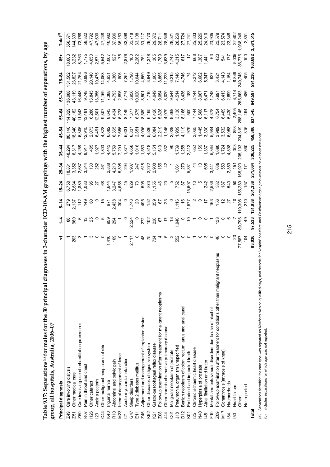|                         | group, all hospitals, Australia, 2006-07                                                |                   |               |                 |                                                  |                                         |                                                                |                           |                                                    |                                                                                                             |                    |                                                                                                                                                                                               |                      |
|-------------------------|-----------------------------------------------------------------------------------------|-------------------|---------------|-----------------|--------------------------------------------------|-----------------------------------------|----------------------------------------------------------------|---------------------------|----------------------------------------------------|-------------------------------------------------------------------------------------------------------------|--------------------|-----------------------------------------------------------------------------------------------------------------------------------------------------------------------------------------------|----------------------|
|                         | Principal diagnosis                                                                     | ᢑ                 | $\frac{1}{4}$ | $5 - 14$        | $5 - 24$                                         | $25 - 34$                               | $35 - 44$                                                      | 45–54                     | 55-64                                              | $-50$                                                                                                       | $75 - 84$          | $\frac{1}{8}$                                                                                                                                                                                 | Total <sup>(b)</sup> |
| <b>Z49</b>              | Care involving dialysis                                                                 |                   |               |                 |                                                  |                                         | 48,294                                                         | 80,140                    | 114,829                                            | 36,988                                                                                                      | 131,562            | 18,603                                                                                                                                                                                        | 556,371              |
| Z51                     | Other medical care                                                                      | 203               | န္တ ဓွ        |                 |                                                  | 18,352<br>18,352<br>18,344<br>19,344    |                                                                |                           |                                                    |                                                                                                             |                    |                                                                                                                                                                                               | 144,303              |
| Z50                     | Care involving use of rehabilitation procedures                                         |                   |               |                 |                                                  |                                         | 6,317<br>4,258                                                 | 18,340<br>6,305<br>12,915 | 40,182<br>11,543<br>13,481                         | 16,448                                                                                                      |                    | 3,26<br>3,66<br>1,71                                                                                                                                                                          |                      |
| R07                     | Pain in throat and chest                                                                |                   |               |                 |                                                  |                                         | 8,917                                                          |                           |                                                    | 9,748                                                                                                       | 6,896              |                                                                                                                                                                                               | 58,322               |
| <b>ЯZН</b>              | Other cataract                                                                          |                   |               |                 |                                                  |                                         |                                                                | 2,073<br>6,491            |                                                    | 13,845                                                                                                      | 20,140             |                                                                                                                                                                                               |                      |
| $\overline{20}$         | Angina pectoris                                                                         |                   |               |                 |                                                  |                                         |                                                                |                           |                                                    |                                                                                                             |                    |                                                                                                                                                                                               | 47,600               |
| C44                     | Other malignant neoplasms of skin                                                       |                   |               |                 |                                                  |                                         |                                                                | 4,828                     |                                                    |                                                                                                             | 10,475<br>14,063   |                                                                                                                                                                                               |                      |
| K40                     | Inguinal hemia                                                                          |                   |               |                 |                                                  |                                         |                                                                |                           | 6,286<br>12,501<br>19,307<br>8,643                 | $\begin{array}{l} 13,356 \\ 71,159 \\ 7,388 \\ 7,793 \\ 4,793 \\ 7,74 \\ 7,74 \\ 7,74 \\ 8,956 \end{array}$ |                    | $4.0.057$ $0.0578$ $0.0578$ $0.0578$ $0.0578$ $0.0578$ $0.0578$ $0.0578$ $0.0578$ $0.0578$ $0.0578$ $0.0578$ $0.0578$ $0.0578$ $0.0578$ $0.0578$ $0.0578$ $0.0578$ $0.0578$ $0.0578$ $0.0578$ | 40,982               |
| R <sub>10</sub>         | Abdominal and pelvic pain                                                               |                   |               |                 |                                                  |                                         |                                                                |                           |                                                    |                                                                                                             | $4,931$<br>$3,360$ |                                                                                                                                                                                               | 37,936               |
| <b>M23</b>              | Internal derangement of knee                                                            |                   |               |                 |                                                  |                                         |                                                                |                           |                                                    |                                                                                                             |                    |                                                                                                                                                                                               | 35,163               |
| $\overline{21}$         | Acute myocardial infarction                                                             |                   |               |                 |                                                  |                                         |                                                                |                           |                                                    |                                                                                                             |                    |                                                                                                                                                                                               | 33,898               |
| G47                     | Sleep disorders                                                                         |                   |               |                 |                                                  |                                         |                                                                |                           |                                                    |                                                                                                             |                    |                                                                                                                                                                                               | 33,718               |
| E11                     | Type 2 diabetes mellitus                                                                |                   |               |                 |                                                  |                                         |                                                                |                           |                                                    |                                                                                                             |                    |                                                                                                                                                                                               | 33,108               |
| Z45                     | Adjustment and management of implanted device                                           |                   |               |                 |                                                  |                                         |                                                                |                           |                                                    |                                                                                                             |                    |                                                                                                                                                                                               | 30,117               |
| K92                     | Other diseases of digestive system                                                      |                   |               |                 |                                                  |                                         |                                                                |                           |                                                    |                                                                                                             |                    |                                                                                                                                                                                               | 29,470               |
| ΚŽ1                     | Gastro-oesophageal reflux disease                                                       |                   |               |                 |                                                  |                                         |                                                                |                           |                                                    |                                                                                                             |                    |                                                                                                                                                                                               | 29,372               |
| Z <sub>0</sub> 8        | Follow-up examination after treatment for malignant neoplasms                           |                   |               |                 |                                                  |                                         |                                                                |                           |                                                    |                                                                                                             |                    |                                                                                                                                                                                               | 28,711               |
| $\overline{4}$          | Other chronic obstructive pulmonary disease                                             |                   |               |                 |                                                  |                                         |                                                                |                           |                                                    |                                                                                                             |                    |                                                                                                                                                                                               | 28,546               |
| C61                     | Vlalignant neoplasm of prostate                                                         |                   |               |                 |                                                  |                                         |                                                                |                           |                                                    |                                                                                                             |                    |                                                                                                                                                                                               | 28,521               |
| J18                     | Pneumonia, organism unspecified                                                         |                   |               |                 |                                                  |                                         |                                                                |                           |                                                    |                                                                                                             |                    |                                                                                                                                                                                               | 28,260               |
| D12                     | Benign neoplasm of colon, rectum, anus and anal canal                                   |                   |               |                 |                                                  |                                         |                                                                |                           |                                                    |                                                                                                             |                    |                                                                                                                                                                                               |                      |
| K01                     | Embedded and impacted teeth                                                             |                   |               |                 |                                                  |                                         |                                                                |                           |                                                    |                                                                                                             |                    | $\ddot{=}$                                                                                                                                                                                    | 27,24                |
| <b>25</b>               | Chronic ischaemic heart disease                                                         |                   |               |                 |                                                  |                                         |                                                                |                           |                                                    |                                                                                                             |                    | 668                                                                                                                                                                                           | 25,303               |
| N40                     | Hyperplasia of prostate                                                                 | $\sim$ 0 $\sim$ 0 |               |                 |                                                  | $\approx$                               |                                                                |                           |                                                    |                                                                                                             |                    | $1,387$<br>$1,441$                                                                                                                                                                            | 25,226               |
| $\frac{48}{5}$          | Atrial fibrillation and flutter                                                         |                   |               |                 |                                                  |                                         |                                                                |                           |                                                    |                                                                                                             |                    |                                                                                                                                                                                               | 24,910               |
| F10                     | Mental and behavioural disorders due to use of alcohol                                  |                   |               |                 |                                                  |                                         |                                                                |                           |                                                    |                                                                                                             |                    | ő                                                                                                                                                                                             | 23,905               |
| Z <sub>0</sub> g        | ant neoplasms<br>Follow-up examination after treatment for conditions other than malign | 46                |               |                 |                                                  |                                         |                                                                |                           |                                                    |                                                                                                             |                    | $\ddot{q}$                                                                                                                                                                                    | 23,579               |
| M17                     | Gonarthrosis [arthrosis of knee]                                                        |                   |               |                 | $2438$<br>$253$<br>$253$<br>$25$<br>$25$<br>$25$ | 605<br>3,441<br>3,553<br>2,359<br>2,359 | $1,337$<br>$5,364$<br>$1,590$<br>$1,728$<br>$1,898$<br>$1,898$ |                           | 7.444<br>6.568<br>6.578<br>7.468<br>7.469<br>7.469 |                                                                                                             |                    | 54 <sub>1</sub>                                                                                                                                                                               | 23,574               |
| $\overline{\mathbf{g}}$ | Haemorrhoids                                                                            |                   |               | $\frac{27}{10}$ |                                                  |                                         |                                                                |                           | 5,430                                              |                                                                                                             |                    | 17                                                                                                                                                                                            | 23,348               |
| 50                      | Heart failure                                                                           | ສ                 |               |                 | 5                                                | $\frac{5}{2}$                           | š                                                              |                           | 2,40                                               | 4,71                                                                                                        |                    | 5,03                                                                                                                                                                                          | 22,402               |
|                         | Other                                                                                   | 77,587            | 89,796        | 119,308<br>210  | 155,289<br>157                                   | 165,920                                 | 205, 193<br>360                                                | 858<br>234,819<br>315     | 288,145                                            | 265,663                                                                                                     |                    | 86,77                                                                                                                                                                                         | ,938,246             |
|                         | Not reported                                                                            | $\frac{1}{2}$     |               |                 |                                                  | $\ddot{ }$                              |                                                                |                           |                                                    |                                                                                                             |                    |                                                                                                                                                                                               | 2,851                |
| Total                   |                                                                                         | 83,036            | 97,533        | 131,938         | 201,338                                          | 231,064                                 | 336,225                                                        | 458,306                   | 637,545                                            | 649,597                                                                                                     | 591,236            | 163,692                                                                                                                                                                                       | 3,581,515            |

Table 9.17: Separations<sup>(a)</sup> for males for the 30 principal diagnoses in 3-character ICD-10-AM groupings with the highest number of separations, by age **Table 9.17: Separations(a) for males for the 30 principal diagnoses in 3-character ICD-10-AM groupings with the highest number of separations, by age** 

(a) Separations for which the care type was reported as Newborn with no qualified days, and records for Hospital boarders and Posthurnous organ procurement have been excluded.<br>(b) Includes separations for which age was not (a) Separations for which the care type was reported as *Newborn* with no qualified days, and records for *Hospital boarders* and *Posthumous organ procurement* have been excluded.

(b) Includes separations for which age was not reported.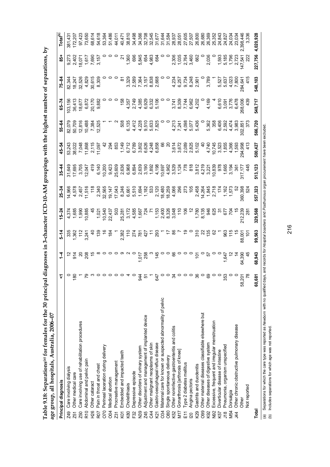| Table 9.18: Separations <sup>(a)</sup> for females for the 30 pri |  |  |  |  | incipal diagnoses in 3-character ICD-10-AM groupings with the highest number of separations, by |               |
|-------------------------------------------------------------------|--|--|--|--|-------------------------------------------------------------------------------------------------|---------------|
| age group, all hospitals, Australia, 2006-07                      |  |  |  |  |                                                                                                 |               |
| rincipal diagnosi:                                                |  |  |  |  | 14-9-24 5-64 55-44 35-44 35-84 25-84 55-64 55-84 5-6-84                                         | $\frac{1}{8}$ |

| $\mathbf{A}$ and $\mathbf{A}$                                     |       |        |           |                                                                                                                                                                                                                                                                                                                                                                                                           |        |         |         |         |                                                                                                                                                                                                                                      |           |                                                                                                                                                                                                                                                                                        |                                                            |
|-------------------------------------------------------------------|-------|--------|-----------|-----------------------------------------------------------------------------------------------------------------------------------------------------------------------------------------------------------------------------------------------------------------------------------------------------------------------------------------------------------------------------------------------------------|--------|---------|---------|---------|--------------------------------------------------------------------------------------------------------------------------------------------------------------------------------------------------------------------------------------|-----------|----------------------------------------------------------------------------------------------------------------------------------------------------------------------------------------------------------------------------------------------------------------------------------------|------------------------------------------------------------|
| Principal diagnosis                                               |       |        | 5-14<br>- |                                                                                                                                                                                                                                                                                                                                                                                                           |        |         |         | 55–62   | $-7-8$                                                                                                                                                                                                                               | 75-8<br>7 |                                                                                                                                                                                                                                                                                        |                                                            |
| Care involving dialysis<br><b>Z49</b>                             |       |        |           | $\begin{array}{lllllllllll} \mathbf{A} & \frac{1}{2} & \frac{1}{2} & \frac{1}{2} & \frac{1}{2} & \frac{1}{2} & \frac{1}{2} & \frac{1}{2} & \frac{1}{2} & \frac{1}{2} & \frac{1}{2} & \frac{1}{2} & \frac{1}{2} & \frac{1}{2} & \frac{1}{2} & \frac{1}{2} & \frac{1}{2} & \frac{1}{2} & \frac{1}{2} & \frac{1}{2} & \frac{1}{2} & \frac{1}{2} & \frac{1}{2} & \frac{1}{2} & \frac{1}{2} & \frac{1}{2} & \$ |        |         |         |         |                                                                                                                                                                                                                                      |           |                                                                                                                                                                                                                                                                                        |                                                            |
| Other medical care<br><b>Z51</b>                                  | ၕ     |        |           |                                                                                                                                                                                                                                                                                                                                                                                                           |        |         |         |         |                                                                                                                                                                                                                                      |           |                                                                                                                                                                                                                                                                                        |                                                            |
| Care involving use of rehabilitation procedures<br>Z50            |       |        |           |                                                                                                                                                                                                                                                                                                                                                                                                           |        |         |         |         | 00<br>2008 - 2009 - 2009 - 2009 - 2009 - 2009 - 2009 - 2009 - 2009 - 2009 - 2009 - 2009 - 2009 - 2009 - 2009 - 2009<br>2008 - 2009 - 2009 - 2009 - 2009 - 2009 - 2009 - 2009 - 2009 - 2009 - 2009 - 2009 - 2009 - 2009 - 2009 - 2009 |           | $\begin{array}{cccccccccccccccccc} 0.05 & 0.05 & 0.05 & 0.05 & 0.05 & 0.05 & 0.05 & 0.05 & 0.05 & 0.05 & 0.05 & 0.05 & 0.05 & 0.05 & 0.05 & 0.05 & 0.05 & 0.05 & 0.05 & 0.05 & 0.05 & 0.05 & 0.05 & 0.05 & 0.05 & 0.05 & 0.05 & 0.05 & 0.05 & 0.05 & 0.05 & 0.05 & 0.05 & 0.05 & 0.05$ | 381,43;<br>172,207<br>97,423<br>68,614<br>68,614<br>54,618 |
| Abdominal and pelvic pain<br>R10                                  |       |        |           |                                                                                                                                                                                                                                                                                                                                                                                                           |        |         |         |         |                                                                                                                                                                                                                                      |           |                                                                                                                                                                                                                                                                                        |                                                            |
| Other cataract<br>ЯZН                                             |       |        |           |                                                                                                                                                                                                                                                                                                                                                                                                           |        |         |         |         |                                                                                                                                                                                                                                      |           |                                                                                                                                                                                                                                                                                        |                                                            |
| Pain in throat and chest<br>R <sub>07</sub>                       |       |        |           |                                                                                                                                                                                                                                                                                                                                                                                                           |        |         |         |         |                                                                                                                                                                                                                                      |           |                                                                                                                                                                                                                                                                                        |                                                            |
| Perineal laceration during delivery<br>070                        |       |        |           |                                                                                                                                                                                                                                                                                                                                                                                                           |        |         |         |         |                                                                                                                                                                                                                                      |           |                                                                                                                                                                                                                                                                                        |                                                            |
| Medical abortion<br><b>DOC</b>                                    |       |        |           |                                                                                                                                                                                                                                                                                                                                                                                                           |        |         |         |         |                                                                                                                                                                                                                                      |           |                                                                                                                                                                                                                                                                                        |                                                            |
| Procreative management<br>Z31                                     |       |        |           |                                                                                                                                                                                                                                                                                                                                                                                                           |        |         |         |         |                                                                                                                                                                                                                                      |           |                                                                                                                                                                                                                                                                                        |                                                            |
| Embedded and impacted teeth<br>K <sub>0</sub> 1                   |       |        |           |                                                                                                                                                                                                                                                                                                                                                                                                           |        |         |         |         |                                                                                                                                                                                                                                      |           |                                                                                                                                                                                                                                                                                        |                                                            |
| Cholelithiasis<br>K80                                             |       |        |           |                                                                                                                                                                                                                                                                                                                                                                                                           |        |         |         |         |                                                                                                                                                                                                                                      |           |                                                                                                                                                                                                                                                                                        |                                                            |
| Depressive episode<br>F32                                         |       |        |           |                                                                                                                                                                                                                                                                                                                                                                                                           |        |         |         |         |                                                                                                                                                                                                                                      |           |                                                                                                                                                                                                                                                                                        |                                                            |
| Other disorders of urinary system<br>N39                          | ड़    |        |           |                                                                                                                                                                                                                                                                                                                                                                                                           |        |         |         |         |                                                                                                                                                                                                                                      |           |                                                                                                                                                                                                                                                                                        |                                                            |
| Adjustment and management of implanted device<br>Z45              |       |        |           |                                                                                                                                                                                                                                                                                                                                                                                                           |        |         |         |         |                                                                                                                                                                                                                                      |           |                                                                                                                                                                                                                                                                                        |                                                            |
| Other malignant neoplasms of skin<br>C44                          |       |        |           |                                                                                                                                                                                                                                                                                                                                                                                                           |        |         |         |         |                                                                                                                                                                                                                                      |           |                                                                                                                                                                                                                                                                                        |                                                            |
| Gastro-oesophageal reflux disease<br>K21                          | S,    |        |           |                                                                                                                                                                                                                                                                                                                                                                                                           |        |         |         |         |                                                                                                                                                                                                                                      |           |                                                                                                                                                                                                                                                                                        |                                                            |
| Maternal care for known or suspected abnormality of pelvic<br>034 |       |        |           |                                                                                                                                                                                                                                                                                                                                                                                                           |        |         |         |         |                                                                                                                                                                                                                                      |           |                                                                                                                                                                                                                                                                                        |                                                            |
| Single spontaneous delivery<br>080                                |       |        |           |                                                                                                                                                                                                                                                                                                                                                                                                           |        |         |         |         |                                                                                                                                                                                                                                      |           |                                                                                                                                                                                                                                                                                        |                                                            |
| Other noninfective gastroenteritis and colitis<br>K52             |       |        |           |                                                                                                                                                                                                                                                                                                                                                                                                           |        |         |         |         |                                                                                                                                                                                                                                      |           |                                                                                                                                                                                                                                                                                        |                                                            |
| Gonarthrosis [arthrosis of knee]<br>M17                           |       |        |           |                                                                                                                                                                                                                                                                                                                                                                                                           |        |         |         |         |                                                                                                                                                                                                                                      |           |                                                                                                                                                                                                                                                                                        |                                                            |
| Type 2 diabetes mellitus<br>E11                                   |       |        |           |                                                                                                                                                                                                                                                                                                                                                                                                           |        |         |         |         |                                                                                                                                                                                                                                      |           |                                                                                                                                                                                                                                                                                        |                                                            |
| Angina pectoris<br>$\overline{20}$                                |       |        |           |                                                                                                                                                                                                                                                                                                                                                                                                           |        |         |         |         |                                                                                                                                                                                                                                      |           |                                                                                                                                                                                                                                                                                        |                                                            |
| Gastritis and duodenitis<br>K29                                   | ო     |        |           |                                                                                                                                                                                                                                                                                                                                                                                                           |        |         |         |         |                                                                                                                                                                                                                                      |           |                                                                                                                                                                                                                                                                                        |                                                            |
| Other maternal diseases classifiable elsewhere but<br>099         |       |        |           |                                                                                                                                                                                                                                                                                                                                                                                                           |        |         |         |         |                                                                                                                                                                                                                                      |           |                                                                                                                                                                                                                                                                                        |                                                            |
| Other diseases of digestive system<br>K92                         |       |        |           |                                                                                                                                                                                                                                                                                                                                                                                                           |        |         |         |         |                                                                                                                                                                                                                                      |           |                                                                                                                                                                                                                                                                                        |                                                            |
| Excessive, frequent and irregular menstruation<br>N <sub>92</sub> |       |        |           |                                                                                                                                                                                                                                                                                                                                                                                                           |        |         |         |         |                                                                                                                                                                                                                                      |           |                                                                                                                                                                                                                                                                                        |                                                            |
| Diverticular disease of intestine<br>K57                          |       |        |           |                                                                                                                                                                                                                                                                                                                                                                                                           |        |         |         |         |                                                                                                                                                                                                                                      |           |                                                                                                                                                                                                                                                                                        |                                                            |
| Pneumonia, organism unspecified<br>J18                            | ఘ్    |        |           |                                                                                                                                                                                                                                                                                                                                                                                                           |        |         |         |         |                                                                                                                                                                                                                                      |           |                                                                                                                                                                                                                                                                                        |                                                            |
| Dorsalgia<br>M54                                                  |       |        |           |                                                                                                                                                                                                                                                                                                                                                                                                           |        |         |         |         |                                                                                                                                                                                                                                      |           |                                                                                                                                                                                                                                                                                        |                                                            |
| Other chronic obstructive pulmonary disease<br>$\overline{44}$    |       |        |           |                                                                                                                                                                                                                                                                                                                                                                                                           |        |         |         |         |                                                                                                                                                                                                                                      |           |                                                                                                                                                                                                                                                                                        |                                                            |
| Other                                                             | 58,20 |        |           |                                                                                                                                                                                                                                                                                                                                                                                                           |        |         |         |         |                                                                                                                                                                                                                                      |           |                                                                                                                                                                                                                                                                                        |                                                            |
| <b>Not reported</b>                                               |       |        |           |                                                                                                                                                                                                                                                                                                                                                                                                           |        |         |         |         |                                                                                                                                                                                                                                      |           |                                                                                                                                                                                                                                                                                        |                                                            |
| Total                                                             | 60,68 | 68,943 | 99,563    | 329,568                                                                                                                                                                                                                                                                                                                                                                                                   | 57,323 | 513,123 | 500,427 | 566,720 | 548,717                                                                                                                                                                                                                              | 548,103   | 227,756                                                                                                                                                                                                                                                                                | 4,020,928                                                  |
|                                                                   |       |        |           |                                                                                                                                                                                                                                                                                                                                                                                                           |        |         |         |         |                                                                                                                                                                                                                                      |           |                                                                                                                                                                                                                                                                                        |                                                            |

(a) Separations for which the care type was reported as Newborn with no qualified days, and records for Hospital boarders and Posth*umous organ procurement* have been excluded.<br>(b) Includes separations for which age was no (a) Separations for which the care type was reported as *Newborn* with no qualified days, and records for *Hospital boarders* and *Posthumous organ procurement* have been excluded.

(b) Includes separations for which age was not reported.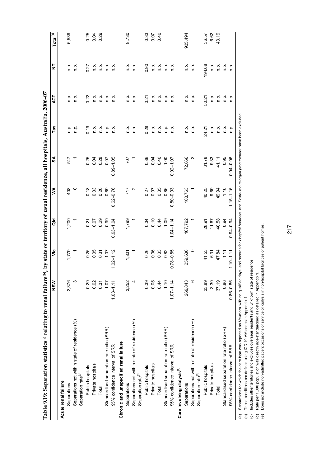| י<br>י<br>l                                          |
|------------------------------------------------------|
|                                                      |
| Í<br>֖֖֚֚֚֚֚֚֬                                       |
|                                                      |
| j                                                    |
|                                                      |
|                                                      |
|                                                      |
| )                                                    |
| <br> <br> <br>Ć                                      |
| l<br>I                                               |
| ļ<br>$\overline{\phantom{1}}$<br>$\ddot{\cdot}$<br>i |

| Table 9.19: Separation statistics® relating to renal failure®), by state or territory of usual residence, all hospitals, Australia, 2006-07 |               |               |               |                   |                                                                                             |         |                       |         |                        |
|---------------------------------------------------------------------------------------------------------------------------------------------|---------------|---------------|---------------|-------------------|---------------------------------------------------------------------------------------------|---------|-----------------------|---------|------------------------|
|                                                                                                                                             | $rac{8}{2}$   | ۊ             | aio           | ⋚                 | SA                                                                                          | Tas     | <b>40T</b>            | Ż       | $\mathsf{Total}^{(c)}$ |
| Acute renal failure                                                                                                                         |               |               |               |                   |                                                                                             |         |                       |         |                        |
| Separations                                                                                                                                 | 2,376         | 1,779         | 1,200         | 408               | 547                                                                                         | ن<br>ء  | ن<br>ء                | n p.    | 6.539                  |
| Separations not within state of residence (%)<br>Separation rate <sup>(d)</sup>                                                             | ო             |               |               | $\circ$           |                                                                                             | ن<br>ء  | ف<br>P                | ن<br>ص  |                        |
| Public hospitals                                                                                                                            | 0.29          | 0.26          |               | 0.18              | 0.25                                                                                        | 0.19    | 0.22                  | 0.27    |                        |
| Private hospitals                                                                                                                           | 0.02          | 0.05          | 0.27          | 0.03              | 0.04                                                                                        | ن<br>ء  | ρ.<br>Γ               | ρ.<br>Π | 0.25<br>0.04           |
| Total                                                                                                                                       | 0.31          | 0.31          | 0.29          | 0.20              | 0.28                                                                                        | n.p.    | ρ.<br>Γ               | ρ.<br>Π | 0.29                   |
| Standardised separation rate ratio (SRR)                                                                                                    | 1.07          | $\frac{2}{1}$ | 0.99          | 0.69              | 0.97                                                                                        | o.<br>E | $\frac{\alpha}{\Box}$ | ن<br>ء  |                        |
| 95% confidence interval of SRR                                                                                                              | $1.03 - 1.11$ | $1.02 - 1.12$ | $0.93 - 1.04$ | $0.62 - 0.76$     | $0.89 - 1.05$                                                                               | ن<br>ء  | n.p.                  | ن<br>ء  |                        |
| Chronic and unspecified renal failure                                                                                                       |               |               |               |                   |                                                                                             |         |                       |         |                        |
| Separations                                                                                                                                 | 3,252         | 1,801         | 1,799         | 717               | 707                                                                                         | ن<br>ء  | ρ.<br>Π               | ن<br>ء  | 8.730                  |
| Separations not within state of residence (%)<br>Separation rate <sup>(d)</sup>                                                             | 4             |               |               | $\mathbf{\Omega}$ |                                                                                             | ن<br>ء  | n p.                  | ءِ<br>ص |                        |
| Public hospitals                                                                                                                            | 0.39          | 0.26          | 0.34          | 0.27              | 0.36                                                                                        | 0.28    | 0.21                  | 0.90    | 0.33                   |
| Private hospitals                                                                                                                           | 0.05          | 0.06          | 0.10          | 0.07              | 0.04                                                                                        | ن<br>ء  | n.p.                  | م<br>ء  | 0.07                   |
| Total                                                                                                                                       | 0.44          | 0.33          | 0.44          | 0.35              | 0.40                                                                                        | ن<br>ء  | $\frac{a}{n}$         | ن<br>ء  | 0.40                   |
| Standardised separation rate ratio (SRR)                                                                                                    | 1.10          | 0.82          | 1.09          | 0.86              | 1,00                                                                                        | o.<br>E | ن<br>ء                | n p.    |                        |
| 95% confidence interval of SRR                                                                                                              | $1.07 - 1.14$ | $0.78 - 0.85$ | $1.04 - 1.14$ | $0.80 - 0.93$     | $0.92 - 1.07$                                                                               | o.<br>C | n.p.                  | n p.    |                        |
| Care involving dialysis <sup>(e)</sup>                                                                                                      |               |               |               |                   |                                                                                             |         |                       |         |                        |
| Separations                                                                                                                                 | 269,843       | 259,636       | 167,792       | 103,763           | 72,666                                                                                      | n.p.    | ن<br>ء                | ن<br>ء  | 935,494                |
| Separations not within state of residence (%)<br>Separation rate <sup>(d)</sup>                                                             | $\circ$       | $\circ$       |               |                   |                                                                                             | ρ.      | ρ.<br>Γ               | n.p.    |                        |
| Public hospitals                                                                                                                            | 33.89         | 41.53         | 28.91         | 40.25             | 31.78                                                                                       | 24.21   | 50.21                 | 194.68  | 36.57                  |
| Private hospitals                                                                                                                           | 3.30          | 6.31          | 11.67         | 9.69              | 9.33                                                                                        | n.p.    | م.<br>ء               | n.p.    | 6.62<br>43.19          |
| Total                                                                                                                                       | 37.19         | 47.84         | 40.58         | 49.94             | 41.11                                                                                       | م.<br>n | ن<br>ء                | ن<br>ء  |                        |
| Standardised separation rate ratio (SRR)                                                                                                    | 0.86          | 111           | 0.94          | 1.16              | 0.95                                                                                        | n.p.    | ρ.<br>Π               | ρ.<br>Π |                        |
| 95% confidence interval of SRR                                                                                                              | $0.86 - 0.86$ | $1.10 - 1.11$ | $0.94 - 0.94$ | $1.15 - 1.16$     | $0.94 - 0.96$                                                                               | ρ.<br>Π | n.p.                  | n.p.    |                        |
| Separations for which the care type was reported as Newborn with no qualified<br>$\widehat{a}$                                              |               |               |               |                   | days, and records for Hospital boarders and Posthumous organ procurement have been excluded |         |                       |         |                        |

*Newborn* with no qualified days, and records for *Hospital boarders* and *Posthumous organ procurement* have been excluded. **THANG** DREAT l NAANAorgan procur (a) Separations for which the care type was reported as Mewborn with no qualified days, and re(b) These conditions are defined using ICD-10-AM codes in Appendix 1.<br>(c) Includes other territories and excludes overseas resid (a) Separations for which the care type was reported as

(b) These conditions are defined using ICD-10-AM codes in Appendix 1.

(c) Includes other territories and excludes overseas residents and unknown state of residence.

(d) Rate per 1,000 population was directly age-standardised as detailed in Appendix 1.

Rate per 1,000 population was directly age-standardised as detailed in Appendix 1.<br>Does not include non-admitted patient occasions of service or dialysis in non-hospital facilities or patient homes. (e) Does not include non-admitted patient occasions of service or dialysis in non-hospital facilities or patient homes.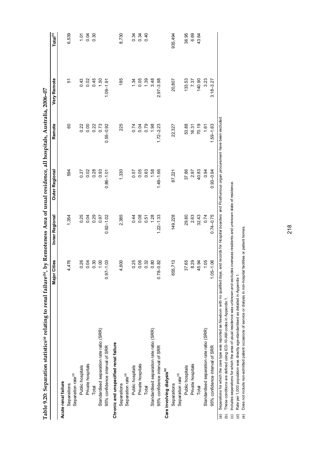| Table 9.20: Separation statistics® relating to renal failure®, by Remoteness Area of usual residence, all hospitals, Australia, 2006-07 |                     |                |                |               |               |                       |
|-----------------------------------------------------------------------------------------------------------------------------------------|---------------------|----------------|----------------|---------------|---------------|-----------------------|
|                                                                                                                                         | or Cities<br>∑<br>⊠ | Inner Regional | Outer Regional | Remote        | Very Remote   | $\mathsf{Tota}^{(c)}$ |
| Acute renal failure                                                                                                                     |                     |                |                |               |               |                       |
| Separations                                                                                                                             | 4,476               | 1,354          | 594            | 60            | 5             | 6,539                 |
| Separation rate <sup>(d)</sup>                                                                                                          |                     |                |                |               |               |                       |
| Public hospitals                                                                                                                        | 0.26                | 0.25           | 0.27           | 0.22          | 0.43          | 101                   |
| Private hospitals                                                                                                                       | 0.04                | 0.04           | 0.02           | 0.00          | 0.02          | 0.04                  |
| Total                                                                                                                                   | 0.30                | 0.29           | 0.28           | 0.22          | 0.45          | 0.30                  |
| Standardised separation rate ratio (SRR)                                                                                                | 00.1                | 0.97           | 0.93           | 0.73          | 1.50          |                       |
| 95% confidence interval of SRR                                                                                                          | $97 - 1.03$         | $0.92 - 1.02$  | $0.86 - 1.01$  | $0.55 - 0.92$ | $1.09 - 1.91$ |                       |
| Chronic and unspecified renal failure                                                                                                   |                     |                |                |               |               |                       |
| Separation rate <sup>(d)</sup><br>Separations                                                                                           | 4,600               | 2,385          | 1,330          | 225           | 185           | 8,730                 |
| Public hospitals                                                                                                                        | 0.25                | 0.44           | 0.57           | 0.74          | 1.34          | 0.34                  |
| Private hospitals                                                                                                                       | 0.06                | 0.08           | 0.05           | 0.04          | 0.05          | 0.34                  |
| Total                                                                                                                                   | 0.32                | 0.51           | 0.63           | 0.79          | 1.39          | 0.40                  |
| Standardised separation rate ratio (SRR)                                                                                                | 0.80                | 1.28           | 1.58           | 1.98          | 3.48          |                       |
| 95% confidence interval of SRR                                                                                                          | $0.78 - 0.82$       | $1.22 - 1.33$  | $1.49 - 1.66$  | $1.72 - 2.23$ | $2.97 - 3.98$ |                       |
| Care involving dialysis <sup>(e)</sup>                                                                                                  |                     |                |                |               |               |                       |
| Separations                                                                                                                             | 655,713             | 149,228        | 87,221         | 22,327        | 20,807        | 935,494               |
| Separation rate <sup>(d)</sup>                                                                                                          |                     |                |                |               |               |                       |
| Public hospitals                                                                                                                        | 37.65               | 29.80          | 37.86          | 53.88         | 133.53        | 36.95                 |
| Private hospitals                                                                                                                       | 8.29                | 2.63           | 2.97           | 16.31         | 7.37          | 6.69                  |
| Total                                                                                                                                   | 45.94               | 32.43          | 40.83          | 70.19         | 140.90        | 43.64                 |
| Standardised separation rate ratio (SRR)                                                                                                | 1.05                | 0.74           | 0.94           | 1.61          | 3.23          |                       |
| 95% confidence interval of SRR                                                                                                          | $.05 - 1.06$        | $0.74 - 0.75$  | $0.93 - 0.94$  | $1.59 - 1.63$ | $3.18 - 3.27$ |                       |
|                                                                                                                                         |                     |                |                |               |               |                       |

(a) Separations for which the care type was reported as Mew*born* with no qualified days, and records for *Hospital boarders* and *Posthumous organ procurement* have been excluded.<br>(b) These conditions are defined using IC *Newborn* with no qualified days, and records for *Hospital boarders* and *Posthumous organ procurement* have been excluded.(a) Separations for which the care type was reported as

(b) These conditions are defined using ICD-10-AM codes in Appendix 1.

(c) Includes separations for which the area of usual residence was unknown and excludes overseas residents and unknown state of residence.

(d) Rate per 1,000 population was directly age-standardised as detailed in Appendix 1.

(e) Does not include non-admitted patient occasions of service or dialysis in non-hospital facilities or patient homes.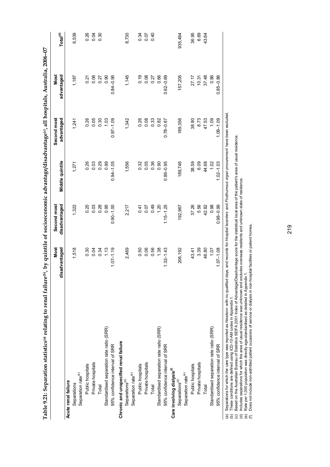|                                          | Most<br>disadvantaged | Second most<br>disadvantaged | Middle quintile | Second most<br>advantaged | Most<br>advantaged | Total <sup>(d)</sup> |
|------------------------------------------|-----------------------|------------------------------|-----------------|---------------------------|--------------------|----------------------|
| Acute renal failure                      |                       |                              |                 |                           |                    |                      |
| Separations                              | 1,518                 | 1,322                        | 1,271           | 1,241                     | 1,187              | 6,539                |
| Separation rate <sup>(e)</sup>           |                       |                              |                 |                           |                    |                      |
| Public hospitals                         | 0.30                  | 0.25                         | 0.26            | 0.26                      | 0.21               | 0.26                 |
| Private hospitals                        | 0.04                  | 0.03                         | 0.03            | 0.05                      | 0.06               | 0.04                 |
| Total                                    | 0.34                  | 0.28                         | 0.29            | 0.30                      | 0.27               | 0.30                 |
| Standardised separation rate ratio (SRR) | 1.13                  | 0.95                         | 0.99            | 1.03                      | 0.90               |                      |
| 95% confidence interval of SRR           | $1.07 - 1.19$         | $0.90 - 1.00$                | $0.94 - 1.05$   | $0.97 - 1.09$             | $0.84 - 0.95$      |                      |
| Chronic and unspecified renal failure    |                       |                              |                 |                           |                    |                      |
| Separations <sup>(d)</sup>               | 2,469                 | 2,217                        | 1,556           | 1,342                     | 1,145              | 8,730                |
| Separation rate <sup>(e)</sup>           |                       |                              |                 |                           |                    |                      |
| Public hospitals                         | 0.50                  | 0.41                         | 0.32            | 0.26                      | 0.19               | 0.34                 |
| Private hospitals                        | 0.06                  | 0.07                         | 0.05            | 0.08                      | 0.08               | 0.07                 |
| Total                                    | 0.56                  | 0.49                         | 0.36            | 0.33                      | 0.27               | 0.40                 |
| Standardised separation rate ratio (SRR) | 1.38                  | 1.20                         | 0.90            | 0.82                      | 0.66               |                      |
| 95% confidence interval of SRR           | $1.32 - 1.43$         | $1.15 - 1.25$                | $0.86 - 0.95$   | $0.78 - 0.87$             | $0.62 - 0.69$      |                      |
| Care involving dialysis <sup>(1)</sup>   |                       |                              |                 |                           |                    |                      |
| Separations <sup>(d)</sup>               | 206,192               | 192,967                      | 189,746         | 189,356                   | 157,205            | 935,494              |
| Separation rate <sup>(e)</sup>           |                       |                              |                 |                           |                    |                      |
| Public hospitals                         | 43.41                 | 37.26                        | 38.59           | 38.80                     | 27.17              | 36.95                |
| Private hospitals                        | 3.39                  | 5.56                         | 6.09            | 8.73                      | 10.31              | 6.69                 |
| Total                                    | 46.80                 | 42.82                        | 44.68           | 47.53                     | 37.48              | 43.64                |
| Standardised separation rate ratio (SRR) | 1.07                  | 0.98                         | 1.02            | <b>1.09</b>               | 0.86               |                      |
| 95% confidence interval of SRR           | $1.07 - 1.08$         | $0.98 - 0.99$                | $1.02 - 1.03$   | $1.08 - 1.09$             | $0.85 - 0.86$      |                      |

(a) Separations for which the care type was reported as *Newborn* with no qualified days, and records for *Hospital boarders* and *Posthumous organ procurement* have been excluded.

(b) These conditions are defined using ICD-10-AM codes in Appendix 1.

(a) separatons tor which the cate type was reported as *rvemoonr* with ito qualities , and records tor *rrosyntal boatders* and *r-ostitutinous organ procurement* inave between the passing of the state of the state fica (c) Based on the Australian Bureau of Statistics SEIFA 2001 Index of Advantage/Disadvantage score for the statistical local area of the patient's area of usual residence.

(d) Includes separations for which the area of usual residence was unknown and excludes overseas residents and unknown state of residence.

(e) Rate per 1,000 population was directly age-standardised as detailed in Appendix 1. (f) Does not include non-admitted patient occasions of service or dialysis in non-hospital facilities or patient homes.